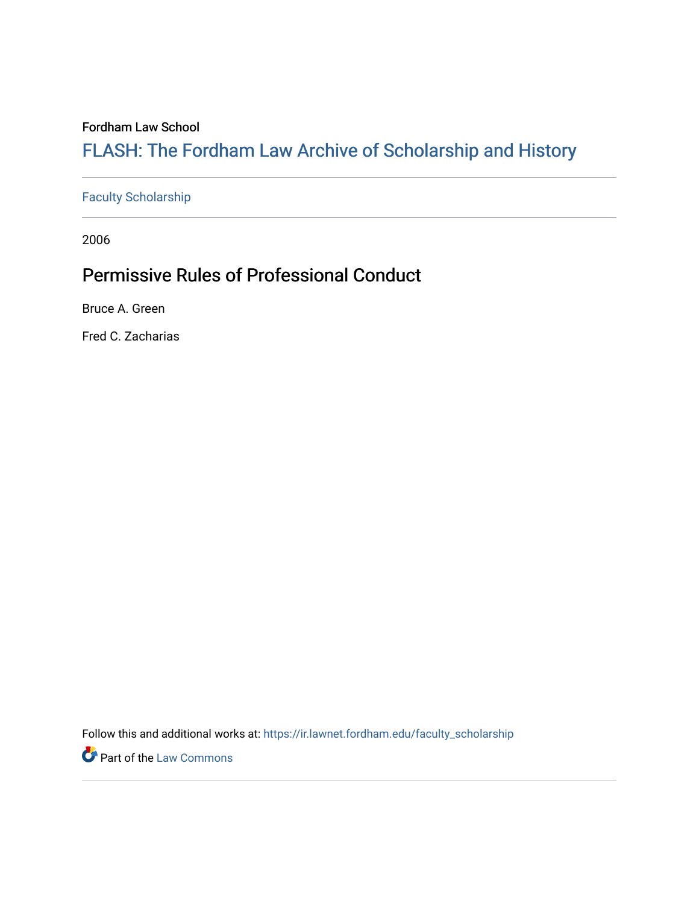## Fordham Law School

# FLASH: The For[dham Law Archive of Scholarship and Hist](https://ir.lawnet.fordham.edu/)ory

## [Faculty Scholarship](https://ir.lawnet.fordham.edu/faculty_scholarship)

2006

# Permissive Rules of Professional Conduct

Bruce A. Green

Fred C. Zacharias

Follow this and additional works at: [https://ir.lawnet.fordham.edu/faculty\\_scholarship](https://ir.lawnet.fordham.edu/faculty_scholarship?utm_source=ir.lawnet.fordham.edu%2Ffaculty_scholarship%2F1166&utm_medium=PDF&utm_campaign=PDFCoverPages)

**Part of the [Law Commons](http://network.bepress.com/hgg/discipline/578?utm_source=ir.lawnet.fordham.edu%2Ffaculty_scholarship%2F1166&utm_medium=PDF&utm_campaign=PDFCoverPages)**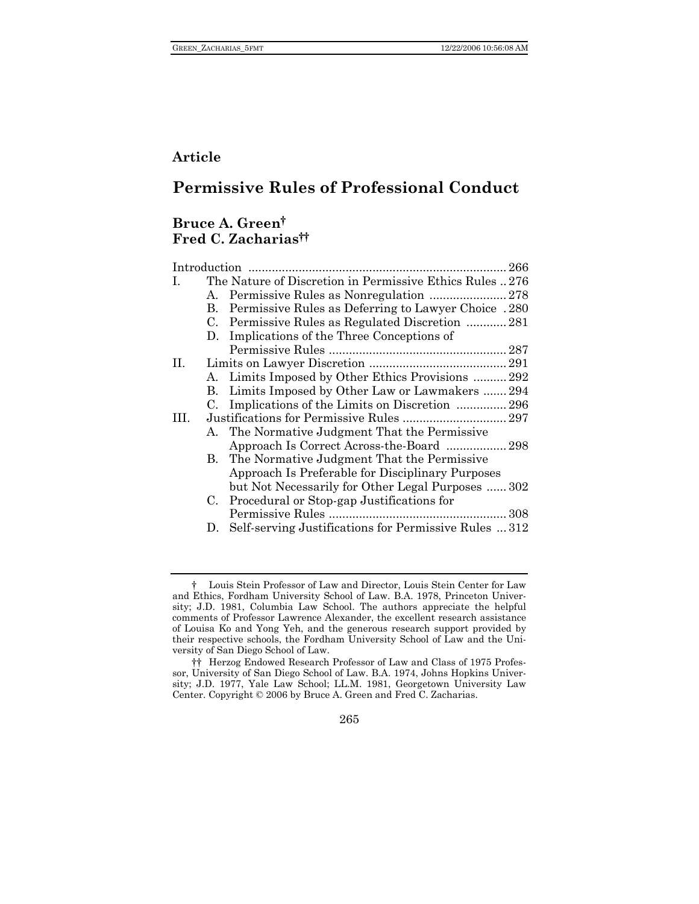## **Article**

## **Permissive Rules of Professional Conduct**

## **Bruce A. Green† Fred C. Zacharias††**

| Introduction |             | 266                                                     |
|--------------|-------------|---------------------------------------------------------|
| L.           |             | The Nature of Discretion in Permissive Ethics Rules 276 |
|              | А.          |                                                         |
|              | B.          | Permissive Rules as Deferring to Lawyer Choice .280     |
|              | $C_{\cdot}$ | Permissive Rules as Regulated Discretion  281           |
|              |             | D. Implications of the Three Conceptions of             |
|              |             |                                                         |
| $\Pi$ .      |             |                                                         |
|              |             | A. Limits Imposed by Other Ethics Provisions  292       |
|              |             | B. Limits Imposed by Other Law or Lawmakers  294        |
|              |             | C. Implications of the Limits on Discretion  296        |
| HL.          |             |                                                         |
|              |             | A. The Normative Judgment That the Permissive           |
|              |             | Approach Is Correct Across-the-Board  298               |
|              | В.          | The Normative Judgment That the Permissive              |
|              |             | Approach Is Preferable for Disciplinary Purposes        |
|              |             | but Not Necessarily for Other Legal Purposes  302       |
|              | C.          | Procedural or Stop-gap Justifications for               |
|              |             |                                                         |
|              | $D_{\tau}$  | Self-serving Justifications for Permissive Rules  312   |
|              |             |                                                         |

265

<sup>†</sup> Louis Stein Professor of Law and Director, Louis Stein Center for Law and Ethics, Fordham University School of Law. B.A. 1978, Princeton University; J.D. 1981, Columbia Law School. The authors appreciate the helpful comments of Professor Lawrence Alexander, the excellent research assistance of Louisa Ko and Yong Yeh, and the generous research support provided by their respective schools, the Fordham University School of Law and the University of San Diego School of Law.

<sup>††</sup> Herzog Endowed Research Professor of Law and Class of 1975 Professor, University of San Diego School of Law. B.A. 1974, Johns Hopkins University; J.D. 1977, Yale Law School; LL.M. 1981, Georgetown University Law Center. Copyright © 2006 by Bruce A. Green and Fred C. Zacharias.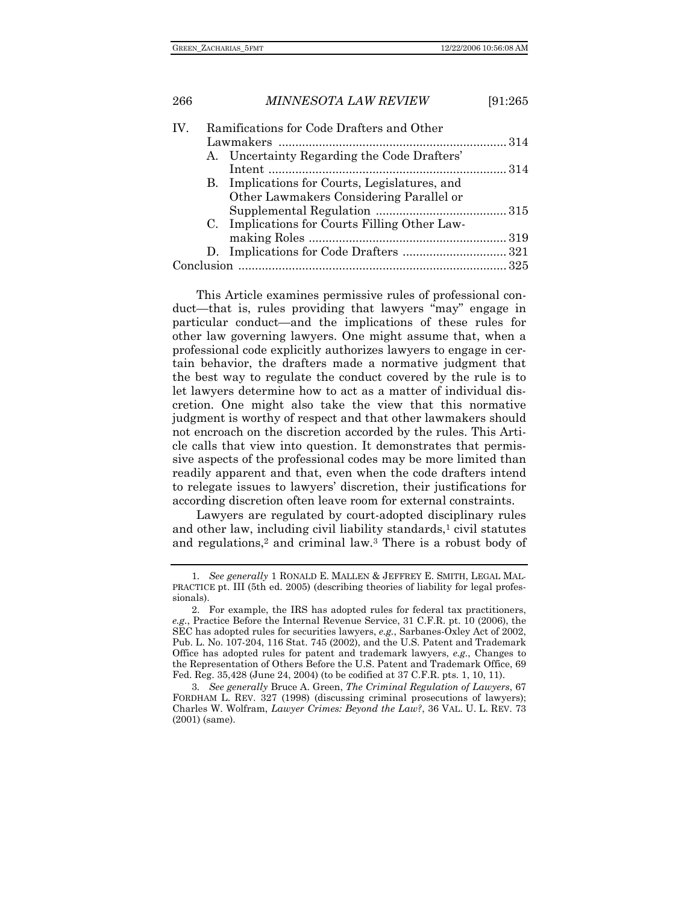| 266 |                                           | <b>MINNESOTA LAW REVIEW</b>                   | [91:265 |  |
|-----|-------------------------------------------|-----------------------------------------------|---------|--|
| IV. | Ramifications for Code Drafters and Other |                                               |         |  |
|     |                                           |                                               |         |  |
|     |                                           | A. Uncertainty Regarding the Code Drafters'   |         |  |
|     |                                           |                                               |         |  |
|     |                                           | B. Implications for Courts, Legislatures, and |         |  |
|     |                                           | Other Lawmakers Considering Parallel or       |         |  |
|     |                                           |                                               |         |  |
|     |                                           | C. Implications for Courts Filling Other Law- |         |  |
|     |                                           |                                               |         |  |
|     |                                           |                                               |         |  |
|     |                                           |                                               |         |  |

This Article examines permissive rules of professional conduct—that is, rules providing that lawyers "may" engage in particular conduct—and the implications of these rules for other law governing lawyers. One might assume that, when a professional code explicitly authorizes lawyers to engage in certain behavior, the drafters made a normative judgment that the best way to regulate the conduct covered by the rule is to let lawyers determine how to act as a matter of individual discretion. One might also take the view that this normative judgment is worthy of respect and that other lawmakers should not encroach on the discretion accorded by the rules. This Article calls that view into question. It demonstrates that permissive aspects of the professional codes may be more limited than readily apparent and that, even when the code drafters intend to relegate issues to lawyers' discretion, their justifications for according discretion often leave room for external constraints.

Lawyers are regulated by court-adopted disciplinary rules and other law, including civil liability standards,<sup>1</sup> civil statutes and regulations,<sup>2</sup> and criminal law.<sup>3</sup> There is a robust body of

<sup>1</sup>*. See generally* 1 RONALD E. MALLEN & JEFFREY E. SMITH, LEGAL MAL-PRACTICE pt. III (5th ed. 2005) (describing theories of liability for legal professionals).

 <sup>2.</sup> For example, the IRS has adopted rules for federal tax practitioners, *e.g.*, Practice Before the Internal Revenue Service, 31 C.F.R. pt. 10 (2006), the SEC has adopted rules for securities lawyers, *e.g.*, Sarbanes-Oxley Act of 2002, Pub. L. No. 107-204, 116 Stat. 745 (2002), and the U.S. Patent and Trademark Office has adopted rules for patent and trademark lawyers, *e.g.*, Changes to the Representation of Others Before the U.S. Patent and Trademark Office, 69 Fed. Reg. 35,428 (June 24, 2004) (to be codified at 37 C.F.R. pts. 1, 10, 11).

<sup>3</sup>*. See generally* Bruce A. Green, *The Criminal Regulation of Lawyers*, 67 FORDHAM L. REV. 327 (1998) (discussing criminal prosecutions of lawyers); Charles W. Wolfram, *Lawyer Crimes: Beyond the Law?*, 36 VAL. U. L. REV. 73 (2001) (same).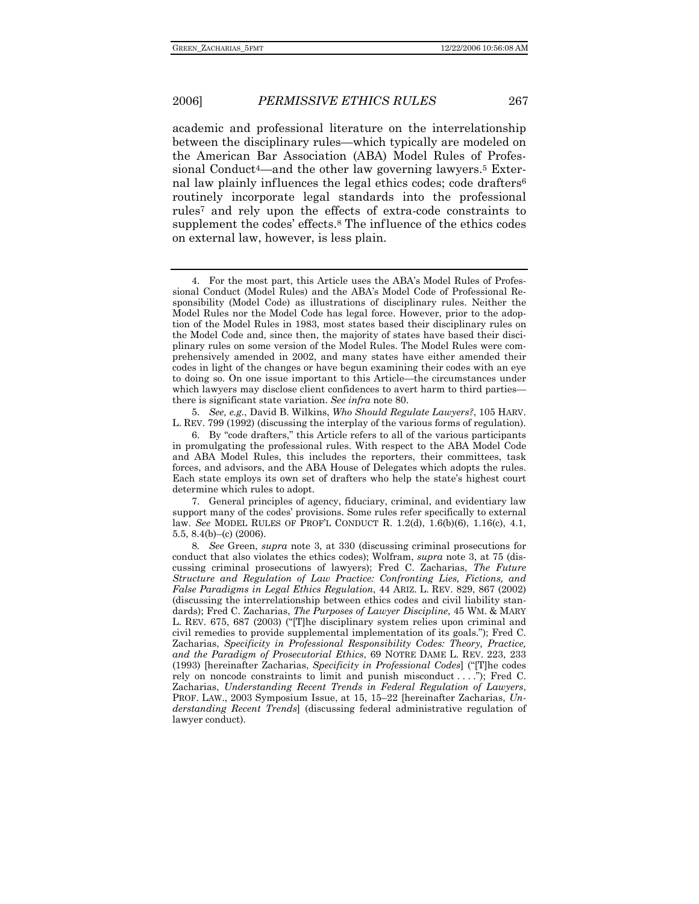academic and professional literature on the interrelationship between the disciplinary rules—which typically are modeled on the American Bar Association (ABA) Model Rules of Professional Conduct<sup>4</sup>—and the other law governing lawyers.<sup>5</sup> External law plainly influences the legal ethics codes; code drafters<sup>6</sup> routinely incorporate legal standards into the professional rules7 and rely upon the effects of extra-code constraints to supplement the codes' effects.8 The influence of the ethics codes on external law, however, is less plain.

 5. *See, e.g.*, David B. Wilkins, *Who Should Regulate Lawyers?*, 105 HARV. L. REV. 799 (1992) (discussing the interplay of the various forms of regulation).

 <sup>4.</sup> For the most part, this Article uses the ABA's Model Rules of Professional Conduct (Model Rules) and the ABA's Model Code of Professional Responsibility (Model Code) as illustrations of disciplinary rules. Neither the Model Rules nor the Model Code has legal force. However, prior to the adoption of the Model Rules in 1983, most states based their disciplinary rules on the Model Code and, since then, the majority of states have based their disciplinary rules on some version of the Model Rules. The Model Rules were comprehensively amended in 2002, and many states have either amended their codes in light of the changes or have begun examining their codes with an eye to doing so. On one issue important to this Article—the circumstances under which lawyers may disclose client confidences to avert harm to third parties there is significant state variation. *See infra* note 80.

 <sup>6.</sup> By "code drafters," this Article refers to all of the various participants in promulgating the professional rules. With respect to the ABA Model Code and ABA Model Rules, this includes the reporters, their committees, task forces, and advisors, and the ABA House of Delegates which adopts the rules. Each state employs its own set of drafters who help the state's highest court determine which rules to adopt.

 <sup>7.</sup> General principles of agency, fiduciary, criminal, and evidentiary law support many of the codes' provisions. Some rules refer specifically to external law. *See* MODEL RULES OF PROF'L CONDUCT R. 1.2(d), 1.6(b)(6), 1.16(c), 4.1, 5.5, 8.4(b)–(c) (2006).

<sup>8</sup>*. See* Green, *supra* note 3, at 330 (discussing criminal prosecutions for conduct that also violates the ethics codes); Wolfram, *supra* note 3, at 75 (discussing criminal prosecutions of lawyers); Fred C. Zacharias, *The Future Structure and Regulation of Law Practice: Confronting Lies, Fictions, and False Paradigms in Legal Ethics Regulation*, 44 ARIZ. L. REV. 829, 867 (2002) (discussing the interrelationship between ethics codes and civil liability standards); Fred C. Zacharias, *The Purposes of Lawyer Discipline*, 45 WM. & MARY L. REV. 675, 687 (2003) ("[T]he disciplinary system relies upon criminal and civil remedies to provide supplemental implementation of its goals."); Fred C. Zacharias, *Specificity in Professional Responsibility Codes: Theory, Practice, and the Paradigm of Prosecutorial Ethics*, 69 NOTRE DAME L. REV. 223, 233 (1993) [hereinafter Zacharias, *Specificity in Professional Codes*] ("[T]he codes rely on noncode constraints to limit and punish misconduct . . . ."); Fred C. Zacharias, *Understanding Recent Trends in Federal Regulation of Lawyers*, PROF. LAW., 2003 Symposium Issue, at 15, 15–22 [hereinafter Zacharias, *Understanding Recent Trends*] (discussing federal administrative regulation of lawyer conduct).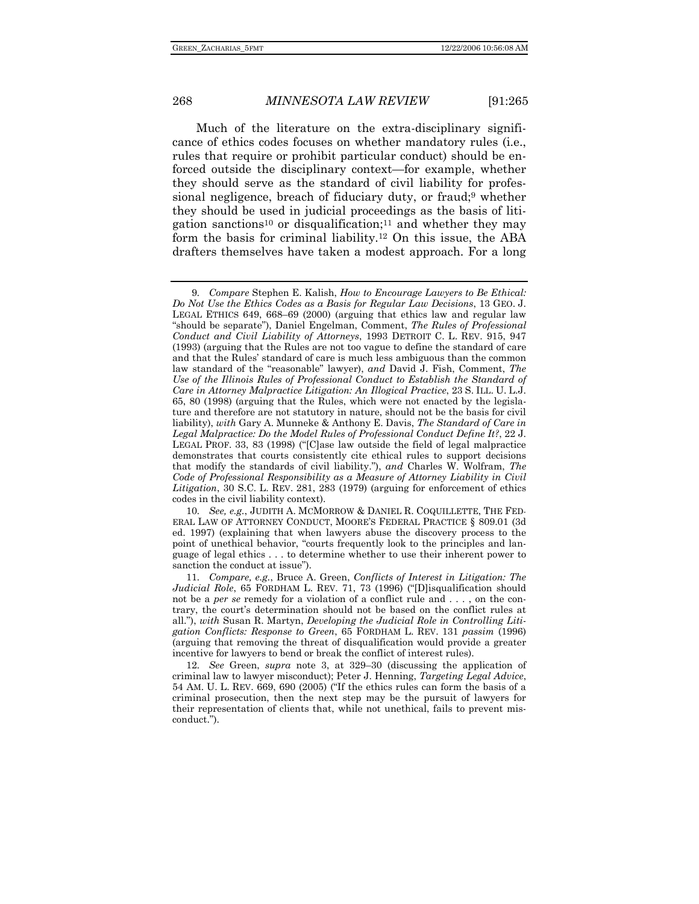Much of the literature on the extra-disciplinary significance of ethics codes focuses on whether mandatory rules (i.e., rules that require or prohibit particular conduct) should be enforced outside the disciplinary context—for example, whether they should serve as the standard of civil liability for professional negligence, breach of fiduciary duty, or fraud;9 whether they should be used in judicial proceedings as the basis of litigation sanctions10 or disqualification;11 and whether they may form the basis for criminal liability.12 On this issue, the ABA drafters themselves have taken a modest approach. For a long

<sup>9</sup>*. Compare* Stephen E. Kalish, *How to Encourage Lawyers to Be Ethical: Do Not Use the Ethics Codes as a Basis for Regular Law Decisions*, 13 GEO. J. LEGAL ETHICS 649, 668–69 (2000) (arguing that ethics law and regular law "should be separate"), Daniel Engelman, Comment, *The Rules of Professional Conduct and Civil Liability of Attorneys*, 1993 DETROIT C. L. REV. 915, 947 (1993) (arguing that the Rules are not too vague to define the standard of care and that the Rules' standard of care is much less ambiguous than the common law standard of the "reasonable" lawyer), *and* David J. Fish, Comment, *The Use of the Illinois Rules of Professional Conduct to Establish the Standard of Care in Attorney Malpractice Litigation: An Illogical Practice*, 23 S. ILL. U. L.J. 65, 80 (1998) (arguing that the Rules, which were not enacted by the legislature and therefore are not statutory in nature, should not be the basis for civil liability), *with* Gary A. Munneke & Anthony E. Davis, *The Standard of Care in Legal Malpractice: Do the Model Rules of Professional Conduct Define It?*, 22 J. LEGAL PROF. 33, 83 (1998) ("[C]ase law outside the field of legal malpractice demonstrates that courts consistently cite ethical rules to support decisions that modify the standards of civil liability."), *and* Charles W. Wolfram, *The Code of Professional Responsibility as a Measure of Attorney Liability in Civil Litigation*, 30 S.C. L. REV. 281, 283 (1979) (arguing for enforcement of ethics codes in the civil liability context).

<sup>10</sup>*. See, e.g.*, JUDITH A. MCMORROW & DANIEL R. COQUILLETTE, THE FED-ERAL LAW OF ATTORNEY CONDUCT, MOORE'S FEDERAL PRACTICE § 809.01 (3d ed. 1997) (explaining that when lawyers abuse the discovery process to the point of unethical behavior, "courts frequently look to the principles and language of legal ethics . . . to determine whether to use their inherent power to sanction the conduct at issue").

<sup>11</sup>*. Compare, e.g.*, Bruce A. Green, *Conflicts of Interest in Litigation: The Judicial Role*, 65 FORDHAM L. REV. 71, 73 (1996) ("[D]isqualification should not be a *per se* remedy for a violation of a conflict rule and . . . , on the contrary, the court's determination should not be based on the conflict rules at all."), *with* Susan R. Martyn, *Developing the Judicial Role in Controlling Litigation Conflicts: Response to Green*, 65 FORDHAM L. REV. 131 *passim* (1996) (arguing that removing the threat of disqualification would provide a greater incentive for lawyers to bend or break the conflict of interest rules).

<sup>12</sup>*. See* Green, *supra* note 3, at 329–30 (discussing the application of criminal law to lawyer misconduct); Peter J. Henning, *Targeting Legal Advice*, 54 AM. U. L. REV. 669, 690 (2005) ("If the ethics rules can form the basis of a criminal prosecution, then the next step may be the pursuit of lawyers for their representation of clients that, while not unethical, fails to prevent misconduct.").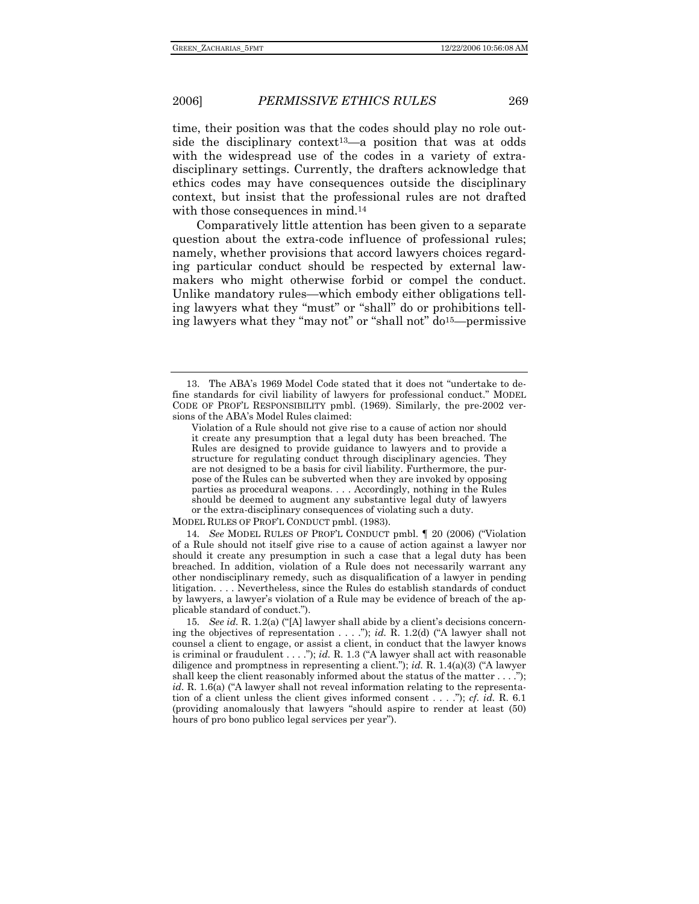time, their position was that the codes should play no role outside the disciplinary context<sup>13</sup>-a position that was at odds with the widespread use of the codes in a variety of extradisciplinary settings. Currently, the drafters acknowledge that ethics codes may have consequences outside the disciplinary context, but insist that the professional rules are not drafted with those consequences in mind.<sup>14</sup>

Comparatively little attention has been given to a separate question about the extra-code influence of professional rules; namely, whether provisions that accord lawyers choices regarding particular conduct should be respected by external lawmakers who might otherwise forbid or compel the conduct. Unlike mandatory rules—which embody either obligations telling lawyers what they "must" or "shall" do or prohibitions telling lawyers what they "may not" or "shall not" do15—permissive

MODEL RULES OF PROF'L CONDUCT pmbl. (1983).

14*. See* MODEL RULES OF PROF'L CONDUCT pmbl. ¶ 20 (2006) ("Violation of a Rule should not itself give rise to a cause of action against a lawyer nor should it create any presumption in such a case that a legal duty has been breached. In addition, violation of a Rule does not necessarily warrant any other nondisciplinary remedy, such as disqualification of a lawyer in pending litigation. . . . Nevertheless, since the Rules do establish standards of conduct by lawyers, a lawyer's violation of a Rule may be evidence of breach of the applicable standard of conduct.").

15*. See id.* R. 1.2(a) ("[A] lawyer shall abide by a client's decisions concerning the objectives of representation . . . ."); *id.* R. 1.2(d) ("A lawyer shall not counsel a client to engage, or assist a client, in conduct that the lawyer knows is criminal or fraudulent . . . ."); *id.* R. 1.3 ("A lawyer shall act with reasonable diligence and promptness in representing a client."); *id.* R. 1.4(a)(3) ("A lawyer shall keep the client reasonably informed about the status of the matter . . . ."); *id.* R. 1.6(a) ("A lawyer shall not reveal information relating to the representation of a client unless the client gives informed consent . . . ."); *cf. id.* R. 6.1 (providing anomalously that lawyers "should aspire to render at least (50) hours of pro bono publico legal services per year").

 <sup>13.</sup> The ABA's 1969 Model Code stated that it does not "undertake to define standards for civil liability of lawyers for professional conduct." MODEL CODE OF PROF'L RESPONSIBILITY pmbl. (1969). Similarly, the pre-2002 versions of the ABA's Model Rules claimed:

Violation of a Rule should not give rise to a cause of action nor should it create any presumption that a legal duty has been breached. The Rules are designed to provide guidance to lawyers and to provide a structure for regulating conduct through disciplinary agencies. They are not designed to be a basis for civil liability. Furthermore, the purpose of the Rules can be subverted when they are invoked by opposing parties as procedural weapons. . . . Accordingly, nothing in the Rules should be deemed to augment any substantive legal duty of lawyers or the extra-disciplinary consequences of violating such a duty.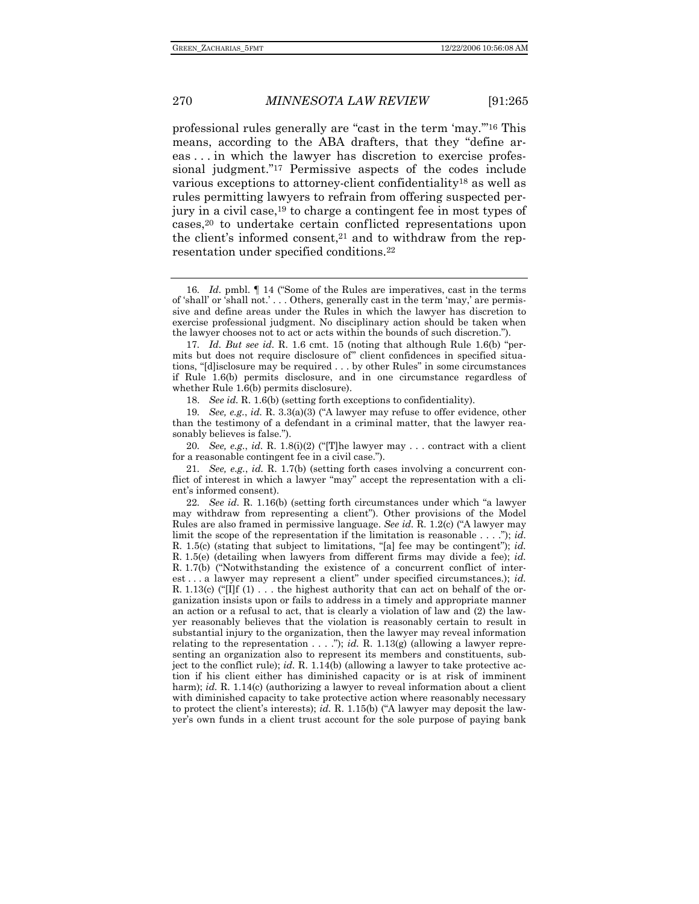professional rules generally are "cast in the term 'may.'"16 This means, according to the ABA drafters, that they "define areas . . . in which the lawyer has discretion to exercise professional judgment."17 Permissive aspects of the codes include various exceptions to attorney-client confidentiality18 as well as rules permitting lawyers to refrain from offering suspected perjury in a civil case,19 to charge a contingent fee in most types of cases,20 to undertake certain conflicted representations upon the client's informed consent,<sup>21</sup> and to withdraw from the representation under specified conditions.22

18. *See id.* R. 1.6(b) (setting forth exceptions to confidentiality).

20*. See, e.g.*, *id.* R. 1.8(i)(2) ("[T]he lawyer may . . . contract with a client for a reasonable contingent fee in a civil case.").

21*. See, e.g.*, *id.* R. 1.7(b) (setting forth cases involving a concurrent conflict of interest in which a lawyer "may" accept the representation with a client's informed consent).

22*. See id.* R. 1.16(b) (setting forth circumstances under which "a lawyer may withdraw from representing a client"). Other provisions of the Model Rules are also framed in permissive language. *See id.* R. 1.2(c) ("A lawyer may limit the scope of the representation if the limitation is reasonable . . . ."); *id.* R. 1.5(c) (stating that subject to limitations, "[a] fee may be contingent"); *id.* R. 1.5(e) (detailing when lawyers from different firms may divide a fee); *id.* R. 1.7(b) ("Notwithstanding the existence of a concurrent conflict of interest . . . a lawyer may represent a client" under specified circumstances.); *id.* R. 1.13(c) ("[I]f (1)  $\dots$  the highest authority that can act on behalf of the organization insists upon or fails to address in a timely and appropriate manner an action or a refusal to act, that is clearly a violation of law and (2) the lawyer reasonably believes that the violation is reasonably certain to result in substantial injury to the organization, then the lawyer may reveal information relating to the representation  $\dots$  ."); *id.* R. 1.13(g) (allowing a lawyer representing an organization also to represent its members and constituents, subject to the conflict rule); *id.* R. 1.14(b) (allowing a lawyer to take protective action if his client either has diminished capacity or is at risk of imminent harm); *id.* R. 1.14(c) (authorizing a lawyer to reveal information about a client with diminished capacity to take protective action where reasonably necessary to protect the client's interests); *id.* R. 1.15(b) ("A lawyer may deposit the lawyer's own funds in a client trust account for the sole purpose of paying bank

<sup>16</sup>*. Id.* pmbl. ¶ 14 ("Some of the Rules are imperatives, cast in the terms of 'shall' or 'shall not.' . . . Others, generally cast in the term 'may,' are permissive and define areas under the Rules in which the lawyer has discretion to exercise professional judgment. No disciplinary action should be taken when the lawyer chooses not to act or acts within the bounds of such discretion.").

<sup>17</sup>*. Id. But see id.* R. 1.6 cmt. 15 (noting that although Rule 1.6(b) "permits but does not require disclosure of" client confidences in specified situations, "[d]isclosure may be required . . . by other Rules" in some circumstances if Rule 1.6(b) permits disclosure, and in one circumstance regardless of whether Rule 1.6(b) permits disclosure).

<sup>19</sup>*. See, e.g.*, *id.* R. 3.3(a)(3) ("A lawyer may refuse to offer evidence, other than the testimony of a defendant in a criminal matter, that the lawyer reasonably believes is false.").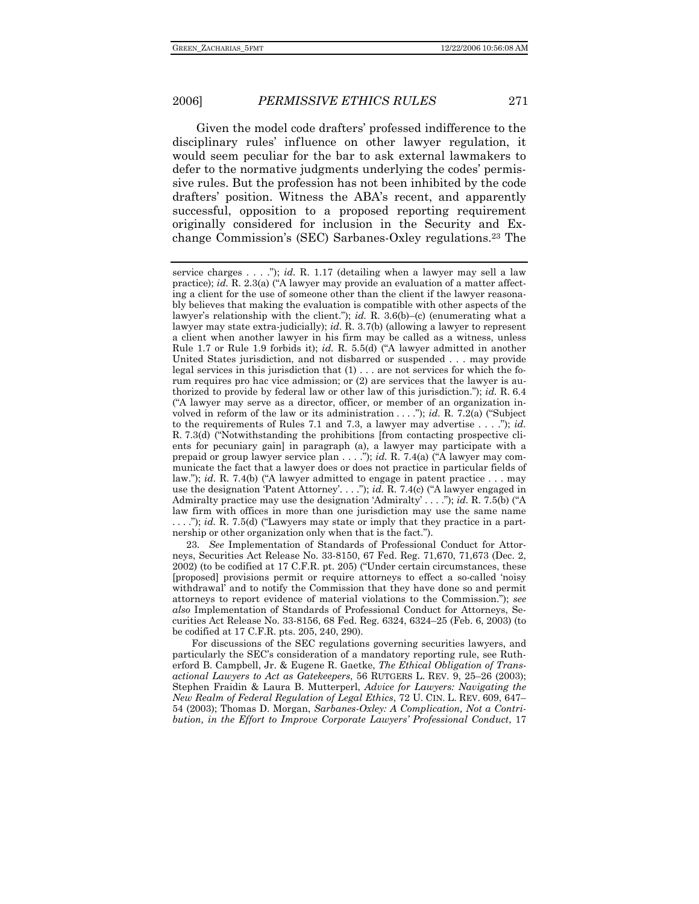Given the model code drafters' professed indifference to the disciplinary rules' influence on other lawyer regulation, it would seem peculiar for the bar to ask external lawmakers to defer to the normative judgments underlying the codes' permissive rules. But the profession has not been inhibited by the code drafters' position. Witness the ABA's recent, and apparently successful, opposition to a proposed reporting requirement originally considered for inclusion in the Security and Exchange Commission's (SEC) Sarbanes-Oxley regulations.23 The

23*. See* Implementation of Standards of Professional Conduct for Attorneys, Securities Act Release No. 33-8150, 67 Fed. Reg. 71,670, 71,673 (Dec. 2, 2002) (to be codified at 17 C.F.R. pt. 205) ("Under certain circumstances, these [proposed] provisions permit or require attorneys to effect a so-called 'noisy withdrawal' and to notify the Commission that they have done so and permit attorneys to report evidence of material violations to the Commission."); *see also* Implementation of Standards of Professional Conduct for Attorneys, Securities Act Release No. 33-8156, 68 Fed. Reg. 6324, 6324–25 (Feb. 6, 2003) (to be codified at 17 C.F.R. pts. 205, 240, 290).

For discussions of the SEC regulations governing securities lawyers, and particularly the SEC's consideration of a mandatory reporting rule, see Rutherford B. Campbell, Jr. & Eugene R. Gaetke, *The Ethical Obligation of Transactional Lawyers to Act as Gatekeepers*, 56 RUTGERS L. REV. 9, 25–26 (2003); Stephen Fraidin & Laura B. Mutterperl, *Advice for Lawyers: Navigating the New Realm of Federal Regulation of Legal Ethics*, 72 U. CIN. L. REV. 609, 647– 54 (2003); Thomas D. Morgan, *Sarbanes-Oxley: A Complication, Not a Contribution, in the Effort to Improve Corporate Lawyers' Professional Conduct*, 17

service charges . . . ."); *id.* R. 1.17 (detailing when a lawyer may sell a law practice); *id.* R. 2.3(a) ("A lawyer may provide an evaluation of a matter affecting a client for the use of someone other than the client if the lawyer reasonably believes that making the evaluation is compatible with other aspects of the lawyer's relationship with the client."); *id.* R. 3.6(b)–(c) (enumerating what a lawyer may state extra-judicially); *id.* R. 3.7(b) (allowing a lawyer to represent a client when another lawyer in his firm may be called as a witness, unless Rule 1.7 or Rule 1.9 forbids it); *id.* R. 5.5(d) ("A lawyer admitted in another United States jurisdiction, and not disbarred or suspended . . . may provide legal services in this jurisdiction that (1) . . . are not services for which the forum requires pro hac vice admission; or (2) are services that the lawyer is authorized to provide by federal law or other law of this jurisdiction."); *id.* R. 6.4 ("A lawyer may serve as a director, officer, or member of an organization involved in reform of the law or its administration . . . ."); *id.* R. 7.2(a) ("Subject to the requirements of Rules 7.1 and 7.3, a lawyer may advertise . . . ."); *id.* R. 7.3(d) ("Notwithstanding the prohibitions [from contacting prospective clients for pecuniary gain] in paragraph (a), a lawyer may participate with a prepaid or group lawyer service plan . . . ."); *id.* R. 7.4(a) ("A lawyer may communicate the fact that a lawyer does or does not practice in particular fields of law."); *id.* R. 7.4(b) ("A lawyer admitted to engage in patent practice . . . may use the designation 'Patent Attorney'. . . ."); *id.* R. 7.4(c) ("A lawyer engaged in Admiralty practice may use the designation 'Admiralty' . . . ."); *id.* R. 7.5(b) ("A law firm with offices in more than one jurisdiction may use the same name . . . ."); *id.* R. 7.5(d) ("Lawyers may state or imply that they practice in a partnership or other organization only when that is the fact.").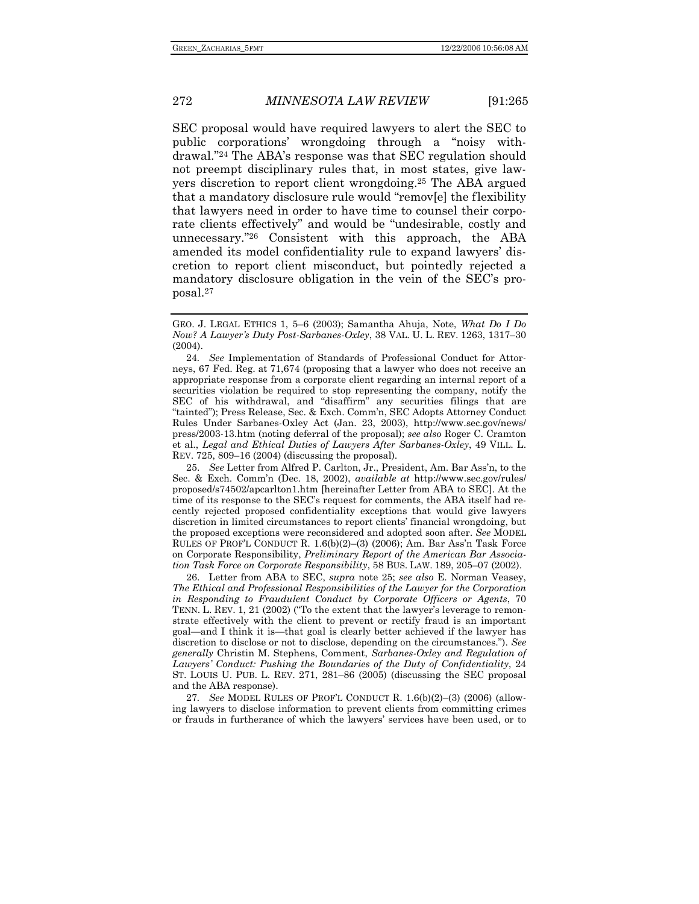SEC proposal would have required lawyers to alert the SEC to public corporations' wrongdoing through a "noisy withdrawal."24 The ABA's response was that SEC regulation should not preempt disciplinary rules that, in most states, give lawyers discretion to report client wrongdoing.25 The ABA argued that a mandatory disclosure rule would "remov[e] the flexibility that lawyers need in order to have time to counsel their corporate clients effectively" and would be "undesirable, costly and unnecessary."26 Consistent with this approach, the ABA amended its model confidentiality rule to expand lawyers' discretion to report client misconduct, but pointedly rejected a mandatory disclosure obligation in the vein of the SEC's proposal.27

 25. *See* Letter from Alfred P. Carlton, Jr., President, Am. Bar Ass'n, to the Sec. & Exch. Comm'n (Dec. 18, 2002), *available at* http://www.sec.gov/rules/ proposed/s74502/apcarlton1.htm [hereinafter Letter from ABA to SEC]. At the time of its response to the SEC's request for comments, the ABA itself had recently rejected proposed confidentiality exceptions that would give lawyers discretion in limited circumstances to report clients' financial wrongdoing, but the proposed exceptions were reconsidered and adopted soon after. *See* MODEL RULES OF PROF'L CONDUCT R. 1.6(b)(2)–(3) (2006); Am. Bar Ass'n Task Force on Corporate Responsibility, *Preliminary Report of the American Bar Association Task Force on Corporate Responsibility*, 58 BUS. LAW. 189, 205–07 (2002).

 26. Letter from ABA to SEC, *supra* note 25; *see also* E. Norman Veasey, *The Ethical and Professional Responsibilities of the Lawyer for the Corporation in Responding to Fraudulent Conduct by Corporate Officers or Agents*, 70 TENN. L. REV. 1, 21 (2002) ("To the extent that the lawyer's leverage to remonstrate effectively with the client to prevent or rectify fraud is an important goal—and I think it is—that goal is clearly better achieved if the lawyer has discretion to disclose or not to disclose, depending on the circumstances."). *See generally* Christin M. Stephens, Comment, *Sarbanes-Oxley and Regulation of Lawyers' Conduct: Pushing the Boundaries of the Duty of Confidentiality*, 24 ST. LOUIS U. PUB. L. REV. 271, 281–86 (2005) (discussing the SEC proposal and the ABA response).

27*. See* MODEL RULES OF PROF'L CONDUCT R. 1.6(b)(2)–(3) (2006) (allowing lawyers to disclose information to prevent clients from committing crimes or frauds in furtherance of which the lawyers' services have been used, or to

GEO. J. LEGAL ETHICS 1, 5–6 (2003); Samantha Ahuja, Note, *What Do I Do Now? A Lawyer's Duty Post-Sarbanes-Oxley*, 38 VAL. U. L. REV. 1263, 1317–30 (2004).

<sup>24</sup>*. See* Implementation of Standards of Professional Conduct for Attorneys, 67 Fed. Reg. at 71,674 (proposing that a lawyer who does not receive an appropriate response from a corporate client regarding an internal report of a securities violation be required to stop representing the company, notify the SEC of his withdrawal, and "disaffirm" any securities filings that are "tainted"); Press Release, Sec. & Exch. Comm'n, SEC Adopts Attorney Conduct Rules Under Sarbanes-Oxley Act (Jan. 23, 2003), http://www.sec.gov/news/ press/2003-13.htm (noting deferral of the proposal); *see also* Roger C. Cramton et al., *Legal and Ethical Duties of Lawyers After Sarbanes-Oxley*, 49 VILL. L. REV. 725, 809–16 (2004) (discussing the proposal).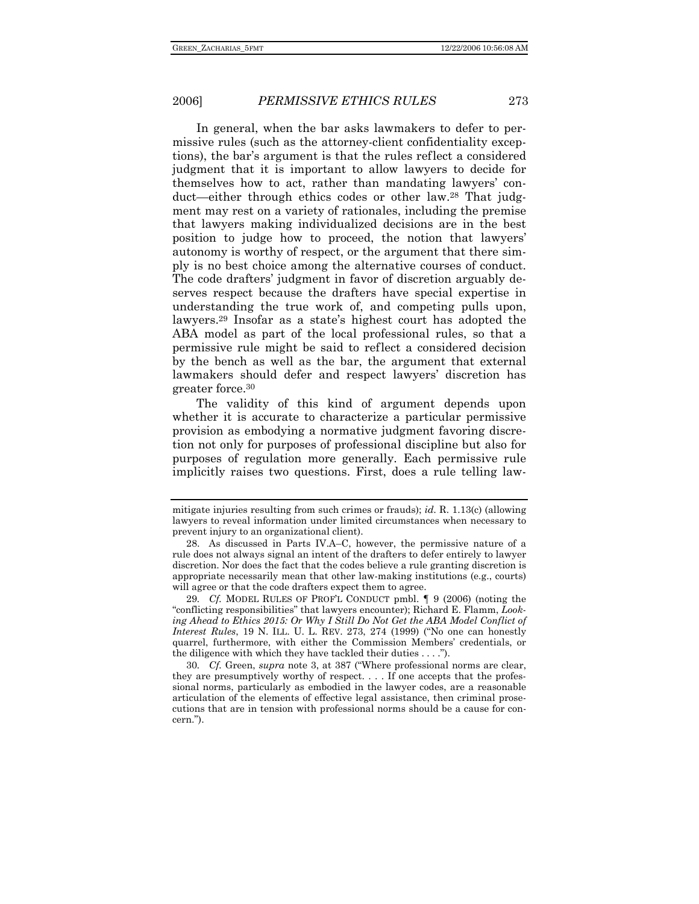In general, when the bar asks lawmakers to defer to permissive rules (such as the attorney-client confidentiality exceptions), the bar's argument is that the rules reflect a considered judgment that it is important to allow lawyers to decide for themselves how to act, rather than mandating lawyers' conduct—either through ethics codes or other law.28 That judgment may rest on a variety of rationales, including the premise that lawyers making individualized decisions are in the best position to judge how to proceed, the notion that lawyers' autonomy is worthy of respect, or the argument that there simply is no best choice among the alternative courses of conduct. The code drafters' judgment in favor of discretion arguably deserves respect because the drafters have special expertise in understanding the true work of, and competing pulls upon, lawyers.29 Insofar as a state's highest court has adopted the ABA model as part of the local professional rules, so that a permissive rule might be said to reflect a considered decision by the bench as well as the bar, the argument that external lawmakers should defer and respect lawyers' discretion has greater force.30

The validity of this kind of argument depends upon whether it is accurate to characterize a particular permissive provision as embodying a normative judgment favoring discretion not only for purposes of professional discipline but also for purposes of regulation more generally. Each permissive rule implicitly raises two questions. First, does a rule telling law-

mitigate injuries resulting from such crimes or frauds); *id.* R. 1.13(c) (allowing lawyers to reveal information under limited circumstances when necessary to prevent injury to an organizational client).

 <sup>28.</sup> As discussed in Parts IV.A–C, however, the permissive nature of a rule does not always signal an intent of the drafters to defer entirely to lawyer discretion. Nor does the fact that the codes believe a rule granting discretion is appropriate necessarily mean that other law-making institutions (e.g., courts) will agree or that the code drafters expect them to agree.

<sup>29</sup>*. Cf.* MODEL RULES OF PROF'L CONDUCT pmbl. ¶ 9 (2006) (noting the "conflicting responsibilities" that lawyers encounter); Richard E. Flamm, *Look*ing Ahead to Ethics 2015: Or Why I Still Do Not Get the ABA Model Conflict of *Interest Rules*, 19 N. ILL. U. L. REV. 273, 274 (1999) ("No one can honestly quarrel, furthermore, with either the Commission Members' credentials, or the diligence with which they have tackled their duties . . . .").

<sup>30</sup>*. Cf.* Green, *supra* note 3, at 387 ("Where professional norms are clear, they are presumptively worthy of respect. . . . If one accepts that the professional norms, particularly as embodied in the lawyer codes, are a reasonable articulation of the elements of effective legal assistance, then criminal prosecutions that are in tension with professional norms should be a cause for concern.").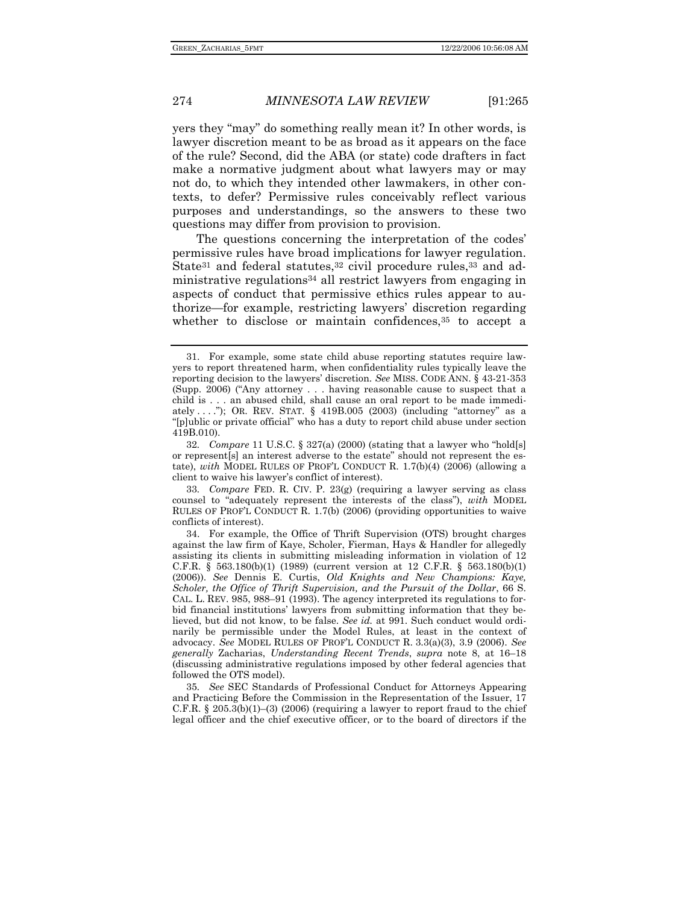yers they "may" do something really mean it? In other words, is lawyer discretion meant to be as broad as it appears on the face of the rule? Second, did the ABA (or state) code drafters in fact make a normative judgment about what lawyers may or may not do, to which they intended other lawmakers, in other contexts, to defer? Permissive rules conceivably reflect various purposes and understandings, so the answers to these two questions may differ from provision to provision.

The questions concerning the interpretation of the codes' permissive rules have broad implications for lawyer regulation. State<sup>31</sup> and federal statutes,<sup>32</sup> civil procedure rules,<sup>33</sup> and administrative regulations34 all restrict lawyers from engaging in aspects of conduct that permissive ethics rules appear to authorize—for example, restricting lawyers' discretion regarding whether to disclose or maintain confidences,<sup>35</sup> to accept a

33*. Compare* FED. R. CIV. P. 23(g) (requiring a lawyer serving as class counsel to "adequately represent the interests of the class"), *with* MODEL RULES OF PROF'L CONDUCT R. 1.7(b) (2006) (providing opportunities to waive conflicts of interest).

35*. See* SEC Standards of Professional Conduct for Attorneys Appearing and Practicing Before the Commission in the Representation of the Issuer, 17 C.F.R.  $\S 205.3(b)(1)–(3)$  (2006) (requiring a lawyer to report fraud to the chief legal officer and the chief executive officer, or to the board of directors if the

 <sup>31.</sup> For example, some state child abuse reporting statutes require lawyers to report threatened harm, when confidentiality rules typically leave the reporting decision to the lawyers' discretion. *See* MISS. CODE ANN. § 43-21-353 (Supp. 2006) ("Any attorney . . . having reasonable cause to suspect that a child is . . . an abused child, shall cause an oral report to be made immediately . . . ."); OR. REV. STAT. § 419B.005 (2003) (including "attorney" as a "[p]ublic or private official" who has a duty to report child abuse under section 419B.010).

<sup>32</sup>*. Compare* 11 U.S.C. § 327(a) (2000) (stating that a lawyer who "hold[s] or represent[s] an interest adverse to the estate" should not represent the estate), *with* MODEL RULES OF PROF'L CONDUCT R. 1.7(b)(4) (2006) (allowing a client to waive his lawyer's conflict of interest).

 <sup>34.</sup> For example, the Office of Thrift Supervision (OTS) brought charges against the law firm of Kaye, Scholer, Fierman, Hays & Handler for allegedly assisting its clients in submitting misleading information in violation of 12 C.F.R. § 563.180(b)(1) (1989) (current version at 12 C.F.R. § 563.180(b)(1) (2006)). *See* Dennis E. Curtis, *Old Knights and New Champions: Kaye, Scholer, the Office of Thrift Supervision, and the Pursuit of the Dollar*, 66 S. CAL. L. REV. 985, 988–91 (1993). The agency interpreted its regulations to forbid financial institutions' lawyers from submitting information that they believed, but did not know, to be false. *See id.* at 991. Such conduct would ordinarily be permissible under the Model Rules, at least in the context of advocacy. *See* MODEL RULES OF PROF'L CONDUCT R. 3.3(a)(3), 3.9 (2006). *See generally* Zacharias, *Understanding Recent Trends*, *supra* note 8, at 16–18 (discussing administrative regulations imposed by other federal agencies that followed the OTS model).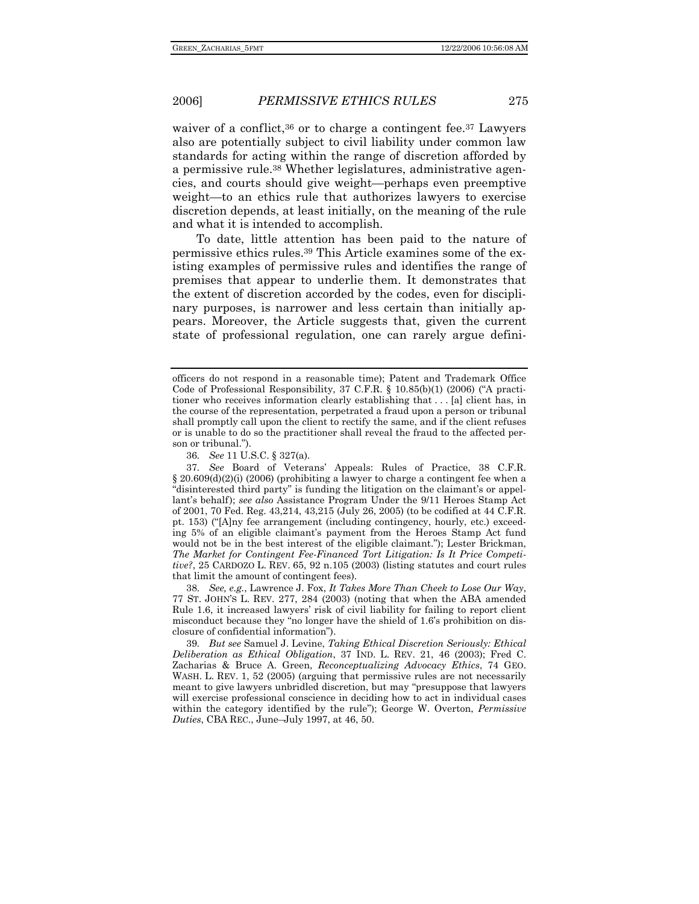waiver of a conflict,<sup>36</sup> or to charge a contingent fee.<sup>37</sup> Lawyers also are potentially subject to civil liability under common law standards for acting within the range of discretion afforded by a permissive rule.38 Whether legislatures, administrative agencies, and courts should give weight—perhaps even preemptive weight—to an ethics rule that authorizes lawyers to exercise discretion depends, at least initially, on the meaning of the rule and what it is intended to accomplish.

To date, little attention has been paid to the nature of permissive ethics rules.39 This Article examines some of the existing examples of permissive rules and identifies the range of premises that appear to underlie them. It demonstrates that the extent of discretion accorded by the codes, even for disciplinary purposes, is narrower and less certain than initially appears. Moreover, the Article suggests that, given the current state of professional regulation, one can rarely argue defini-

38*. See, e.g.*, Lawrence J. Fox, *It Takes More Than Cheek to Lose Our Way*, 77 ST. JOHN'S L. REV. 277, 284 (2003) (noting that when the ABA amended Rule 1.6, it increased lawyers' risk of civil liability for failing to report client misconduct because they "no longer have the shield of 1.6's prohibition on disclosure of confidential information").

39*. But see* Samuel J. Levine, *Taking Ethical Discretion Seriously: Ethical Deliberation as Ethical Obligation*, 37 IND. L. REV. 21, 46 (2003); Fred C. Zacharias & Bruce A. Green, *Reconceptualizing Advocacy Ethics*, 74 GEO. WASH. L. REV. 1, 52 (2005) (arguing that permissive rules are not necessarily meant to give lawyers unbridled discretion, but may "presuppose that lawyers will exercise professional conscience in deciding how to act in individual cases within the category identified by the rule"); George W. Overton, *Permissive Duties*, CBA REC., June–July 1997, at 46, 50.

officers do not respond in a reasonable time); Patent and Trademark Office Code of Professional Responsibility, 37 C.F.R. § 10.85(b)(1) (2006) ("A practitioner who receives information clearly establishing that . . . [a] client has, in the course of the representation, perpetrated a fraud upon a person or tribunal shall promptly call upon the client to rectify the same, and if the client refuses or is unable to do so the practitioner shall reveal the fraud to the affected person or tribunal.").

<sup>36</sup>*. See* 11 U.S.C. § 327(a).

<sup>37</sup>*. See* Board of Veterans' Appeals: Rules of Practice, 38 C.F.R.  $\S 20.609(d)(2)(i)$  (2006) (prohibiting a lawyer to charge a contingent fee when a "disinterested third party" is funding the litigation on the claimant's or appellant's behalf); *see also* Assistance Program Under the 9/11 Heroes Stamp Act of 2001, 70 Fed. Reg. 43,214, 43,215 (July 26, 2005) (to be codified at 44 C.F.R. pt. 153) ("[A]ny fee arrangement (including contingency, hourly, etc.) exceeding 5% of an eligible claimant's payment from the Heroes Stamp Act fund would not be in the best interest of the eligible claimant."); Lester Brickman, *The Market for Contingent Fee-Financed Tort Litigation: Is It Price Competitive?*, 25 CARDOZO L. REV. 65, 92 n.105 (2003) (listing statutes and court rules that limit the amount of contingent fees).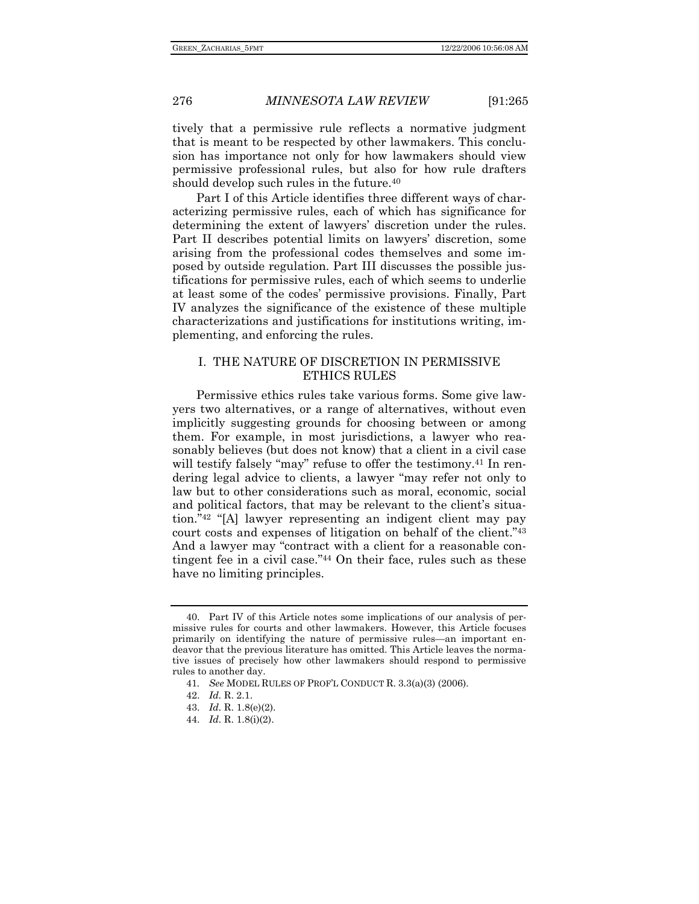tively that a permissive rule reflects a normative judgment that is meant to be respected by other lawmakers. This conclusion has importance not only for how lawmakers should view permissive professional rules, but also for how rule drafters should develop such rules in the future.40

Part I of this Article identifies three different ways of characterizing permissive rules, each of which has significance for determining the extent of lawyers' discretion under the rules. Part II describes potential limits on lawyers' discretion, some arising from the professional codes themselves and some imposed by outside regulation. Part III discusses the possible justifications for permissive rules, each of which seems to underlie at least some of the codes' permissive provisions. Finally, Part IV analyzes the significance of the existence of these multiple characterizations and justifications for institutions writing, implementing, and enforcing the rules.

### I. THE NATURE OF DISCRETION IN PERMISSIVE ETHICS RULES

Permissive ethics rules take various forms. Some give lawyers two alternatives, or a range of alternatives, without even implicitly suggesting grounds for choosing between or among them. For example, in most jurisdictions, a lawyer who reasonably believes (but does not know) that a client in a civil case will testify falsely "may" refuse to offer the testimony.<sup>41</sup> In rendering legal advice to clients, a lawyer "may refer not only to law but to other considerations such as moral, economic, social and political factors, that may be relevant to the client's situation."42 "[A] lawyer representing an indigent client may pay court costs and expenses of litigation on behalf of the client."43 And a lawyer may "contract with a client for a reasonable contingent fee in a civil case."44 On their face, rules such as these have no limiting principles.

 <sup>40.</sup> Part IV of this Article notes some implications of our analysis of permissive rules for courts and other lawmakers. However, this Article focuses primarily on identifying the nature of permissive rules—an important endeavor that the previous literature has omitted. This Article leaves the normative issues of precisely how other lawmakers should respond to permissive rules to another day.

<sup>41</sup>*. See* MODEL RULES OF PROF'L CONDUCT R. 3.3(a)(3) (2006).

 <sup>42.</sup> *Id.* R. 2.1.

 <sup>43.</sup> *Id.* R. 1.8(e)(2).

 <sup>44.</sup> *Id.* R. 1.8(i)(2).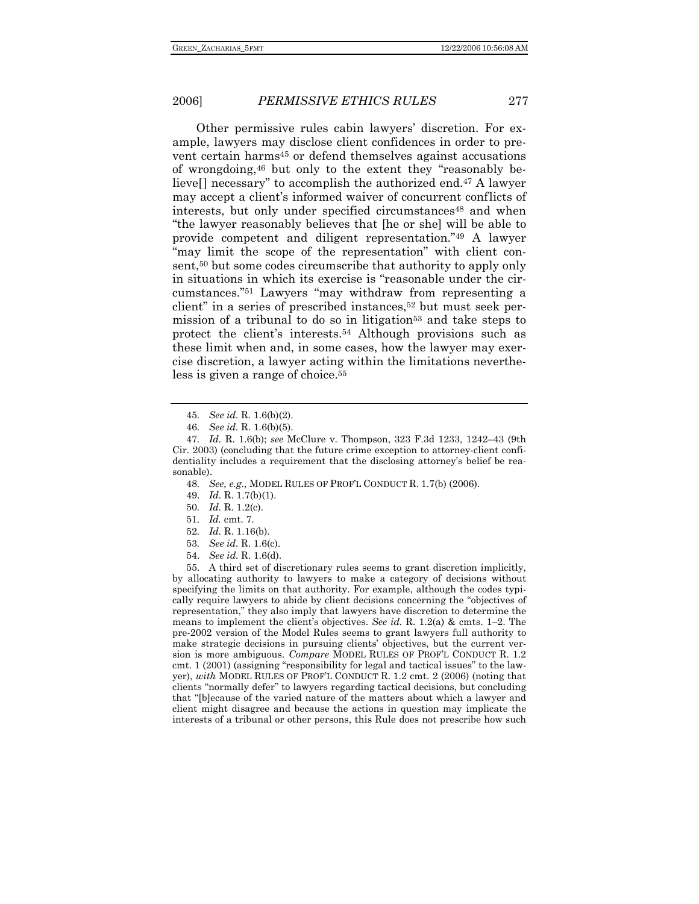Other permissive rules cabin lawyers' discretion. For example, lawyers may disclose client confidences in order to prevent certain harms45 or defend themselves against accusations of wrongdoing,46 but only to the extent they "reasonably believe[] necessary" to accomplish the authorized end.47 A lawyer may accept a client's informed waiver of concurrent conflicts of interests, but only under specified circumstances<sup>48</sup> and when "the lawyer reasonably believes that [he or she] will be able to provide competent and diligent representation."49 A lawyer "may limit the scope of the representation" with client consent,50 but some codes circumscribe that authority to apply only in situations in which its exercise is "reasonable under the circumstances."51 Lawyers "may withdraw from representing a client" in a series of prescribed instances,<sup>52</sup> but must seek permission of a tribunal to do so in litigation<sup>53</sup> and take steps to protect the client's interests.54 Although provisions such as these limit when and, in some cases, how the lawyer may exercise discretion, a lawyer acting within the limitations nevertheless is given a range of choice.55

- 50*. Id.* R. 1.2(c).
- 51*. Id.* cmt. 7.
- 52*. Id.* R. 1.16(b).
- 53*. See id.* R. 1.6(c).
- 54. *See id.* R. 1.6(d).

 55. A third set of discretionary rules seems to grant discretion implicitly, by allocating authority to lawyers to make a category of decisions without specifying the limits on that authority. For example, although the codes typically require lawyers to abide by client decisions concerning the "objectives of representation," they also imply that lawyers have discretion to determine the means to implement the client's objectives. *See id.* R. 1.2(a) & cmts. 1–2. The pre-2002 version of the Model Rules seems to grant lawyers full authority to make strategic decisions in pursuing clients' objectives, but the current version is more ambiguous. *Compare* MODEL RULES OF PROF'L CONDUCT R. 1.2 cmt. 1 (2001) (assigning "responsibility for legal and tactical issues" to the lawyer), *with* MODEL RULES OF PROF'L CONDUCT R. 1.2 cmt. 2 (2006) (noting that clients "normally defer" to lawyers regarding tactical decisions, but concluding that "[b]ecause of the varied nature of the matters about which a lawyer and client might disagree and because the actions in question may implicate the interests of a tribunal or other persons, this Rule does not prescribe how such

<sup>45</sup>*. See id.* R. 1.6(b)(2).

<sup>46</sup>*. See id.* R. 1.6(b)(5).

<sup>47</sup>*. Id.* R. 1.6(b); *see* McClure v. Thompson, 323 F.3d 1233, 1242–43 (9th Cir. 2003) (concluding that the future crime exception to attorney-client confidentiality includes a requirement that the disclosing attorney's belief be reasonable).

<sup>48</sup>*. See, e.g.*, MODEL RULES OF PROF'L CONDUCT R. 1.7(b) (2006).

 <sup>49.</sup> *Id.* R. 1.7(b)(1).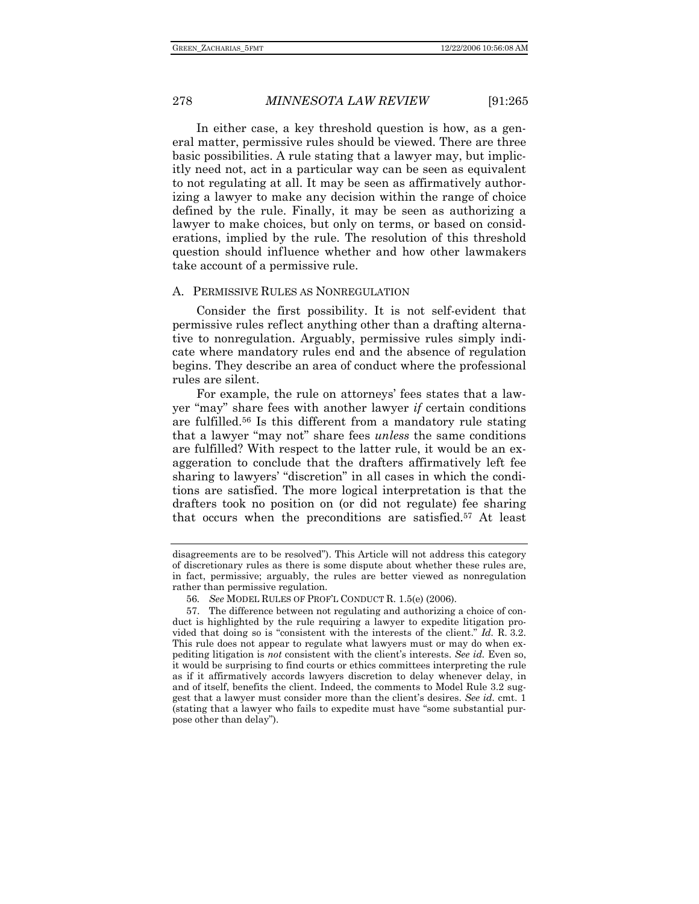In either case, a key threshold question is how, as a general matter, permissive rules should be viewed. There are three basic possibilities. A rule stating that a lawyer may, but implicitly need not, act in a particular way can be seen as equivalent to not regulating at all. It may be seen as affirmatively authorizing a lawyer to make any decision within the range of choice defined by the rule. Finally, it may be seen as authorizing a lawyer to make choices, but only on terms, or based on considerations, implied by the rule. The resolution of this threshold question should influence whether and how other lawmakers take account of a permissive rule.

### A. PERMISSIVE RULES AS NONREGULATION

Consider the first possibility. It is not self-evident that permissive rules reflect anything other than a drafting alternative to nonregulation. Arguably, permissive rules simply indicate where mandatory rules end and the absence of regulation begins. They describe an area of conduct where the professional rules are silent.

For example, the rule on attorneys' fees states that a lawyer "may" share fees with another lawyer *if* certain conditions are fulfilled.56 Is this different from a mandatory rule stating that a lawyer "may not" share fees *unless* the same conditions are fulfilled? With respect to the latter rule, it would be an exaggeration to conclude that the drafters affirmatively left fee sharing to lawyers' "discretion" in all cases in which the conditions are satisfied. The more logical interpretation is that the drafters took no position on (or did not regulate) fee sharing that occurs when the preconditions are satisfied.57 At least

disagreements are to be resolved"). This Article will not address this category of discretionary rules as there is some dispute about whether these rules are, in fact, permissive; arguably, the rules are better viewed as nonregulation rather than permissive regulation.

<sup>56</sup>*. See* MODEL RULES OF PROF'L CONDUCT R. 1.5(e) (2006).

 <sup>57.</sup> The difference between not regulating and authorizing a choice of conduct is highlighted by the rule requiring a lawyer to expedite litigation provided that doing so is "consistent with the interests of the client." *Id.* R. 3.2. This rule does not appear to regulate what lawyers must or may do when expediting litigation is *not* consistent with the client's interests. *See id.* Even so, it would be surprising to find courts or ethics committees interpreting the rule as if it affirmatively accords lawyers discretion to delay whenever delay, in and of itself, benefits the client. Indeed, the comments to Model Rule 3.2 suggest that a lawyer must consider more than the client's desires. *See id.* cmt. 1 (stating that a lawyer who fails to expedite must have "some substantial purpose other than delay").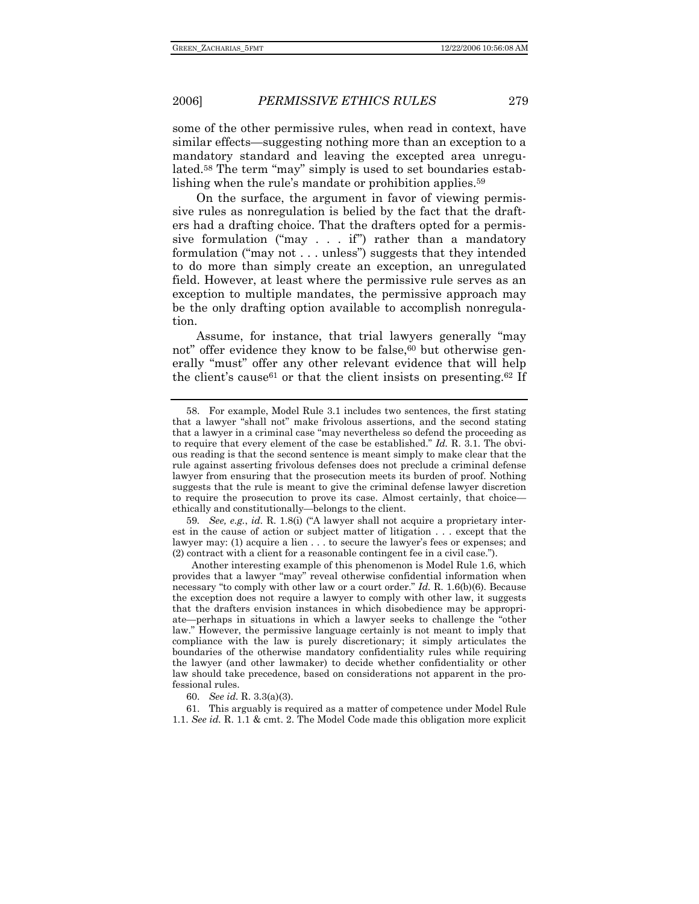some of the other permissive rules, when read in context, have similar effects—suggesting nothing more than an exception to a mandatory standard and leaving the excepted area unregulated.58 The term "may" simply is used to set boundaries establishing when the rule's mandate or prohibition applies.<sup>59</sup>

On the surface, the argument in favor of viewing permissive rules as nonregulation is belied by the fact that the drafters had a drafting choice. That the drafters opted for a permissive formulation ("may  $\ldots$  if") rather than a mandatory formulation ("may not . . . unless") suggests that they intended to do more than simply create an exception, an unregulated field. However, at least where the permissive rule serves as an exception to multiple mandates, the permissive approach may be the only drafting option available to accomplish nonregulation.

Assume, for instance, that trial lawyers generally "may not" offer evidence they know to be false,<sup>60</sup> but otherwise generally "must" offer any other relevant evidence that will help the client's cause<sup>61</sup> or that the client insists on presenting.<sup>62</sup> If

59*. See, e.g.*, *id.* R. 1.8(i) ("A lawyer shall not acquire a proprietary interest in the cause of action or subject matter of litigation . . . except that the lawyer may: (1) acquire a lien . . . to secure the lawyer's fees or expenses; and (2) contract with a client for a reasonable contingent fee in a civil case.").

Another interesting example of this phenomenon is Model Rule 1.6, which provides that a lawyer "may" reveal otherwise confidential information when necessary "to comply with other law or a court order." *Id.* R. 1.6(b)(6). Because the exception does not require a lawyer to comply with other law, it suggests that the drafters envision instances in which disobedience may be appropriate—perhaps in situations in which a lawyer seeks to challenge the "other law." However, the permissive language certainly is not meant to imply that compliance with the law is purely discretionary; it simply articulates the boundaries of the otherwise mandatory confidentiality rules while requiring the lawyer (and other lawmaker) to decide whether confidentiality or other law should take precedence, based on considerations not apparent in the professional rules.

 61. This arguably is required as a matter of competence under Model Rule 1.1. *See id.* R. 1.1 & cmt. 2. The Model Code made this obligation more explicit

 <sup>58.</sup> For example, Model Rule 3.1 includes two sentences, the first stating that a lawyer "shall not" make frivolous assertions, and the second stating that a lawyer in a criminal case "may nevertheless so defend the proceeding as to require that every element of the case be established." *Id.* R. 3.1. The obvious reading is that the second sentence is meant simply to make clear that the rule against asserting frivolous defenses does not preclude a criminal defense lawyer from ensuring that the prosecution meets its burden of proof. Nothing suggests that the rule is meant to give the criminal defense lawyer discretion to require the prosecution to prove its case. Almost certainly, that choice ethically and constitutionally—belongs to the client.

 <sup>60.</sup> *See id.* R. 3.3(a)(3).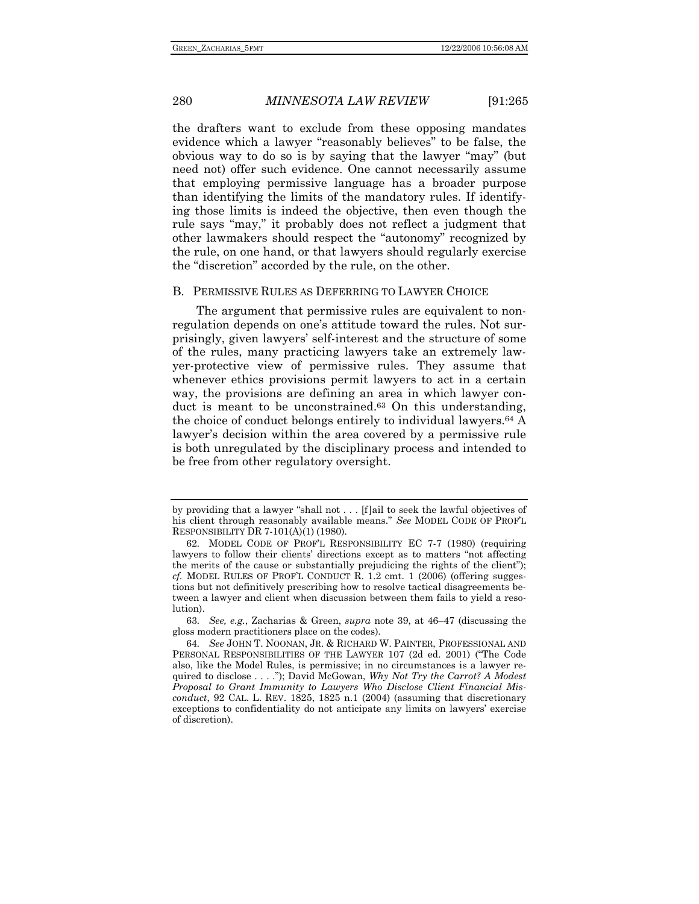the drafters want to exclude from these opposing mandates evidence which a lawyer "reasonably believes" to be false, the obvious way to do so is by saying that the lawyer "may" (but need not) offer such evidence. One cannot necessarily assume that employing permissive language has a broader purpose than identifying the limits of the mandatory rules. If identifying those limits is indeed the objective, then even though the rule says "may," it probably does not reflect a judgment that other lawmakers should respect the "autonomy" recognized by the rule, on one hand, or that lawyers should regularly exercise the "discretion" accorded by the rule, on the other.

### B. PERMISSIVE RULES AS DEFERRING TO LAWYER CHOICE

The argument that permissive rules are equivalent to nonregulation depends on one's attitude toward the rules. Not surprisingly, given lawyers' self-interest and the structure of some of the rules, many practicing lawyers take an extremely lawyer-protective view of permissive rules. They assume that whenever ethics provisions permit lawyers to act in a certain way, the provisions are defining an area in which lawyer conduct is meant to be unconstrained.<sup>63</sup> On this understanding, the choice of conduct belongs entirely to individual lawyers.64 A lawyer's decision within the area covered by a permissive rule is both unregulated by the disciplinary process and intended to be free from other regulatory oversight.

63*. See, e.g.*, Zacharias & Green, *supra* note 39, at 46–47 (discussing the gloss modern practitioners place on the codes).

by providing that a lawyer "shall not . . . [f]ail to seek the lawful objectives of his client through reasonably available means." *See* MODEL CODE OF PROF'L RESPONSIBILITY DR 7-101(A)(1) (1980).

<sup>62</sup>*.* MODEL CODE OF PROF'L RESPONSIBILITY EC 7-7 (1980) (requiring lawyers to follow their clients' directions except as to matters "not affecting the merits of the cause or substantially prejudicing the rights of the client"); *cf.* MODEL RULES OF PROF'L CONDUCT R. 1.2 cmt. 1 (2006) (offering suggestions but not definitively prescribing how to resolve tactical disagreements between a lawyer and client when discussion between them fails to yield a resolution).

<sup>64</sup>*. See* JOHN T. NOONAN, JR. & RICHARD W. PAINTER, PROFESSIONAL AND PERSONAL RESPONSIBILITIES OF THE LAWYER 107 (2d ed. 2001) ("The Code also, like the Model Rules, is permissive; in no circumstances is a lawyer required to disclose . . . ."); David McGowan, *Why Not Try the Carrot? A Modest Proposal to Grant Immunity to Lawyers Who Disclose Client Financial Misconduct*, 92 CAL. L. REV. 1825, 1825 n.1 (2004) (assuming that discretionary exceptions to confidentiality do not anticipate any limits on lawyers' exercise of discretion).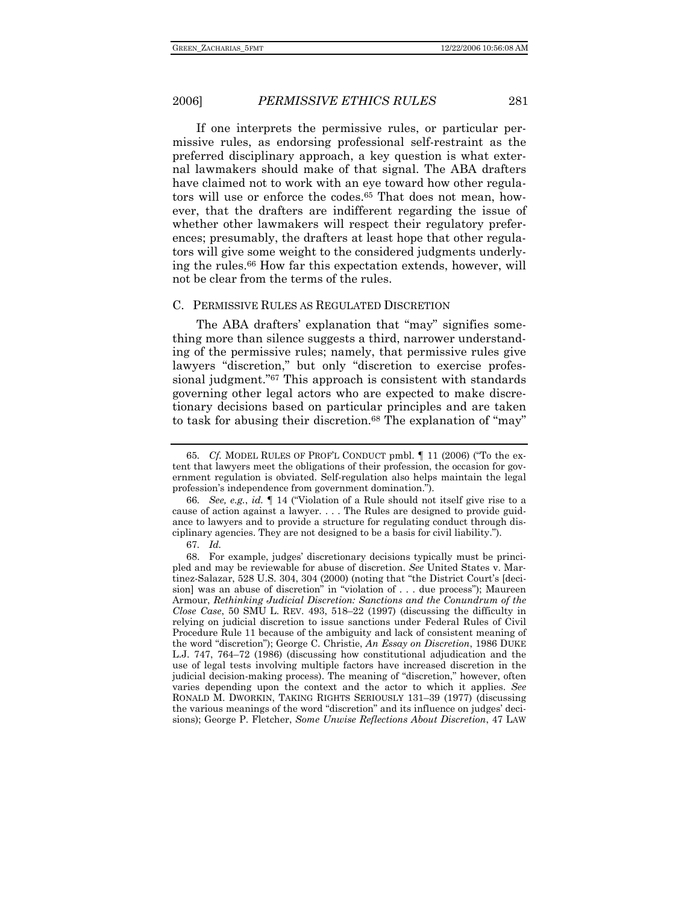If one interprets the permissive rules, or particular permissive rules, as endorsing professional self-restraint as the preferred disciplinary approach, a key question is what external lawmakers should make of that signal. The ABA drafters have claimed not to work with an eye toward how other regulators will use or enforce the codes.65 That does not mean, however, that the drafters are indifferent regarding the issue of whether other lawmakers will respect their regulatory preferences; presumably, the drafters at least hope that other regulators will give some weight to the considered judgments underlying the rules.66 How far this expectation extends, however, will not be clear from the terms of the rules.

### C. PERMISSIVE RULES AS REGULATED DISCRETION

The ABA drafters' explanation that "may" signifies something more than silence suggests a third, narrower understanding of the permissive rules; namely, that permissive rules give lawyers "discretion," but only "discretion to exercise professional judgment."67 This approach is consistent with standards governing other legal actors who are expected to make discretionary decisions based on particular principles and are taken to task for abusing their discretion.<sup>68</sup> The explanation of "may"

<sup>65</sup>*. Cf.* MODEL RULES OF PROF'L CONDUCT pmbl. ¶ 11 (2006) ("To the extent that lawyers meet the obligations of their profession, the occasion for government regulation is obviated. Self-regulation also helps maintain the legal profession's independence from government domination.").

<sup>66</sup>*. See, e.g.*, *id.* ¶ 14 ("Violation of a Rule should not itself give rise to a cause of action against a lawyer. . . . The Rules are designed to provide guidance to lawyers and to provide a structure for regulating conduct through disciplinary agencies. They are not designed to be a basis for civil liability.").

<sup>67</sup>*. Id.* 

 <sup>68.</sup> For example, judges' discretionary decisions typically must be principled and may be reviewable for abuse of discretion. *See* United States v. Martinez-Salazar, 528 U.S. 304, 304 (2000) (noting that "the District Court's [decision] was an abuse of discretion" in "violation of . . . due process"); Maureen Armour, *Rethinking Judicial Discretion: Sanctions and the Conundrum of the Close Case*, 50 SMU L. REV. 493, 518–22 (1997) (discussing the difficulty in relying on judicial discretion to issue sanctions under Federal Rules of Civil Procedure Rule 11 because of the ambiguity and lack of consistent meaning of the word "discretion"); George C. Christie, *An Essay on Discretion*, 1986 DUKE L.J. 747, 764–72 (1986) (discussing how constitutional adjudication and the use of legal tests involving multiple factors have increased discretion in the judicial decision-making process). The meaning of "discretion," however, often varies depending upon the context and the actor to which it applies. *See*  RONALD M. DWORKIN, TAKING RIGHTS SERIOUSLY 131–39 (1977) (discussing the various meanings of the word "discretion" and its influence on judges' decisions); George P. Fletcher, *Some Unwise Reflections About Discretion*, 47 LAW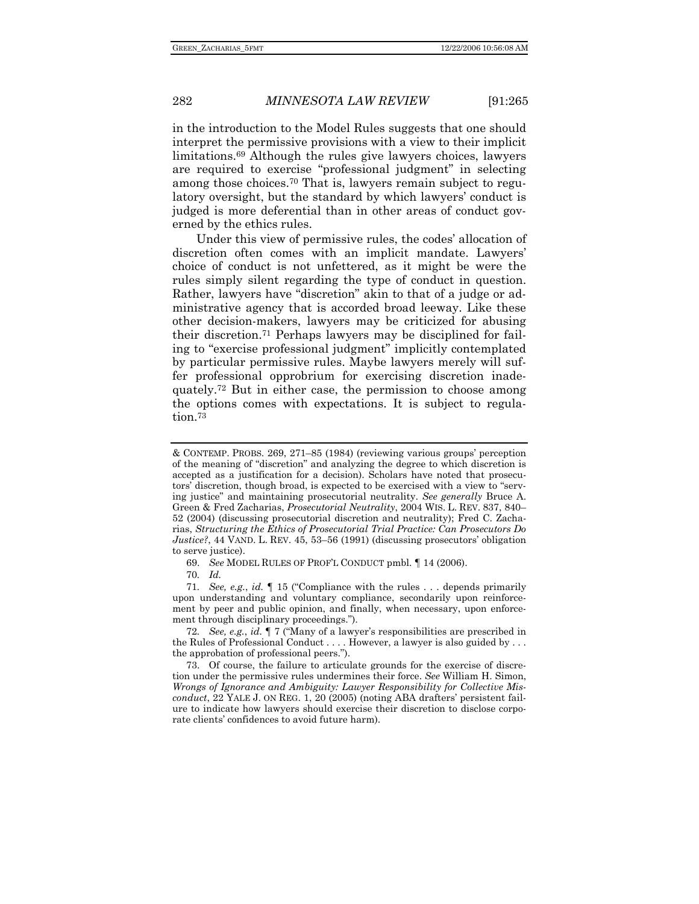in the introduction to the Model Rules suggests that one should interpret the permissive provisions with a view to their implicit limitations.69 Although the rules give lawyers choices, lawyers are required to exercise "professional judgment" in selecting among those choices.70 That is, lawyers remain subject to regulatory oversight, but the standard by which lawyers' conduct is judged is more deferential than in other areas of conduct governed by the ethics rules.

Under this view of permissive rules, the codes' allocation of discretion often comes with an implicit mandate. Lawyers' choice of conduct is not unfettered, as it might be were the rules simply silent regarding the type of conduct in question. Rather, lawyers have "discretion" akin to that of a judge or administrative agency that is accorded broad leeway. Like these other decision-makers, lawyers may be criticized for abusing their discretion.71 Perhaps lawyers may be disciplined for failing to "exercise professional judgment" implicitly contemplated by particular permissive rules. Maybe lawyers merely will suffer professional opprobrium for exercising discretion inadequately.72 But in either case, the permission to choose among the options comes with expectations. It is subject to regulation.73

69. *See* MODEL RULES OF PROF'L CONDUCT pmbl. ¶ 14 (2006).

71*. See, e.g.*, *id.* ¶ 15 ("Compliance with the rules . . . depends primarily upon understanding and voluntary compliance, secondarily upon reinforcement by peer and public opinion, and finally, when necessary, upon enforcement through disciplinary proceedings.").

72*. See, e.g.*, *id.* ¶ 7 ("Many of a lawyer's responsibilities are prescribed in the Rules of Professional Conduct . . . . However, a lawyer is also guided by . . . the approbation of professional peers.").

 73. Of course, the failure to articulate grounds for the exercise of discretion under the permissive rules undermines their force. *See* William H. Simon, *Wrongs of Ignorance and Ambiguity: Lawyer Responsibility for Collective Misconduct*, 22 YALE J. ON REG. 1, 20 (2005) (noting ABA drafters' persistent failure to indicate how lawyers should exercise their discretion to disclose corporate clients' confidences to avoid future harm).

<sup>&</sup>amp; CONTEMP. PROBS. 269, 271–85 (1984) (reviewing various groups' perception of the meaning of "discretion" and analyzing the degree to which discretion is accepted as a justification for a decision). Scholars have noted that prosecutors' discretion, though broad, is expected to be exercised with a view to "serving justice" and maintaining prosecutorial neutrality. *See generally* Bruce A. Green & Fred Zacharias, *Prosecutorial Neutrality*, 2004 WIS. L. REV. 837, 840– 52 (2004) (discussing prosecutorial discretion and neutrality); Fred C. Zacharias, *Structuring the Ethics of Prosecutorial Trial Practice: Can Prosecutors Do Justice?*, 44 VAND. L. REV. 45, 53–56 (1991) (discussing prosecutors' obligation to serve justice).

<sup>70</sup>*. Id.*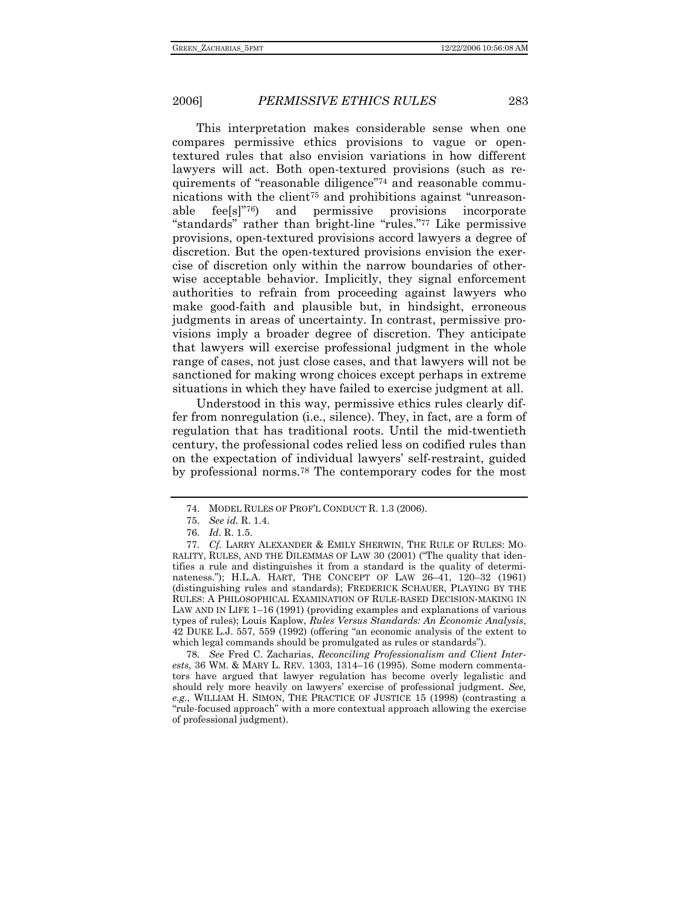This interpretation makes considerable sense when one compares permissive ethics provisions to vague or opentextured rules that also envision variations in how different lawyers will act. Both open-textured provisions (such as requirements of "reasonable diligence"74 and reasonable communications with the client75 and prohibitions against "unreasonable fee[s]"76) and permissive provisions incorporate "standards" rather than bright-line "rules."77 Like permissive provisions, open-textured provisions accord lawyers a degree of discretion. But the open-textured provisions envision the exercise of discretion only within the narrow boundaries of otherwise acceptable behavior. Implicitly, they signal enforcement authorities to refrain from proceeding against lawyers who make good-faith and plausible but, in hindsight, erroneous judgments in areas of uncertainty. In contrast, permissive provisions imply a broader degree of discretion. They anticipate that lawyers will exercise professional judgment in the whole range of cases, not just close cases, and that lawyers will not be sanctioned for making wrong choices except perhaps in extreme situations in which they have failed to exercise judgment at all.

Understood in this way, permissive ethics rules clearly differ from nonregulation (i.e., silence). They, in fact, are a form of regulation that has traditional roots. Until the mid-twentieth century, the professional codes relied less on codified rules than on the expectation of individual lawyers' self-restraint, guided by professional norms.78 The contemporary codes for the most

78*. See* Fred C. Zacharias, *Reconciling Professionalism and Client Interests*, 36 WM. & MARY L. REV. 1303, 1314–16 (1995). Some modern commentators have argued that lawyer regulation has become overly legalistic and should rely more heavily on lawyers' exercise of professional judgment. *See, e.g.*, WILLIAM H. SIMON, THE PRACTICE OF JUSTICE 15 (1998) (contrasting a "rule-focused approach" with a more contextual approach allowing the exercise of professional judgment).

 <sup>74.</sup> MODEL RULES OF PROF'L CONDUCT R. 1.3 (2006).

 <sup>75.</sup> *See id.* R. 1.4.

 <sup>76.</sup> *Id.* R. 1.5.

<sup>77</sup>*. Cf.* LARRY ALEXANDER & EMILY SHERWIN, THE RULE OF RULES: MO-RALITY, RULES, AND THE DILEMMAS OF LAW 30 (2001) ("The quality that identifies a rule and distinguishes it from a standard is the quality of determinateness."); H.L.A. HART, THE CONCEPT OF LAW 26–41, 120–32 (1961) (distinguishing rules and standards); FREDERICK SCHAUER, PLAYING BY THE RULES: A PHILOSOPHICAL EXAMINATION OF RULE-BASED DECISION-MAKING IN LAW AND IN LIFE 1–16 (1991) (providing examples and explanations of various types of rules); Louis Kaplow, *Rules Versus Standards: An Economic Analysis*, 42 DUKE L.J. 557, 559 (1992) (offering "an economic analysis of the extent to which legal commands should be promulgated as rules or standards").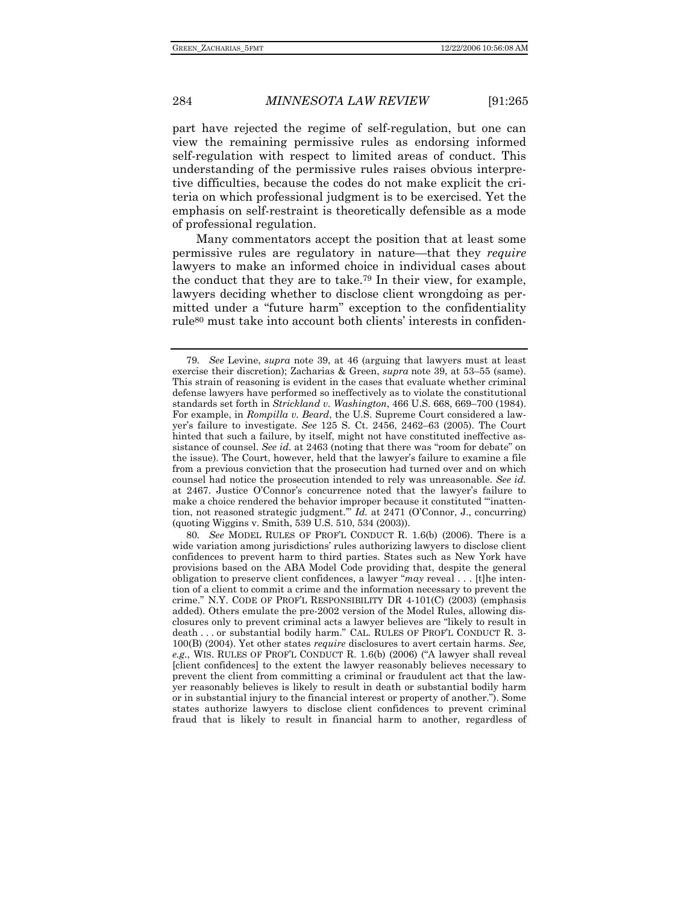part have rejected the regime of self-regulation, but one can view the remaining permissive rules as endorsing informed self-regulation with respect to limited areas of conduct. This understanding of the permissive rules raises obvious interpretive difficulties, because the codes do not make explicit the criteria on which professional judgment is to be exercised. Yet the emphasis on self-restraint is theoretically defensible as a mode of professional regulation.

Many commentators accept the position that at least some permissive rules are regulatory in nature—that they *require* lawyers to make an informed choice in individual cases about the conduct that they are to take.79 In their view, for example, lawyers deciding whether to disclose client wrongdoing as permitted under a "future harm" exception to the confidentiality rule80 must take into account both clients' interests in confiden-

<sup>79</sup>*. See* Levine, *supra* note 39, at 46 (arguing that lawyers must at least exercise their discretion); Zacharias & Green, *supra* note 39, at 53–55 (same). This strain of reasoning is evident in the cases that evaluate whether criminal defense lawyers have performed so ineffectively as to violate the constitutional standards set forth in *Strickland v. Washington*, 466 U.S. 668, 669–700 (1984). For example, in *Rompilla v. Beard*, the U.S. Supreme Court considered a lawyer's failure to investigate. *See* 125 S. Ct. 2456, 2462–63 (2005). The Court hinted that such a failure, by itself, might not have constituted ineffective assistance of counsel. *See id.* at 2463 (noting that there was "room for debate" on the issue). The Court, however, held that the lawyer's failure to examine a file from a previous conviction that the prosecution had turned over and on which counsel had notice the prosecution intended to rely was unreasonable. *See id.* at 2467. Justice O'Connor's concurrence noted that the lawyer's failure to make a choice rendered the behavior improper because it constituted "'inattention, not reasoned strategic judgment.'" *Id.* at 2471 (O'Connor, J., concurring) (quoting Wiggins v. Smith, 539 U.S. 510, 534 (2003)).

<sup>80</sup>*. See* MODEL RULES OF PROF'L CONDUCT R. 1.6(b) (2006). There is a wide variation among jurisdictions' rules authorizing lawyers to disclose client confidences to prevent harm to third parties. States such as New York have provisions based on the ABA Model Code providing that, despite the general obligation to preserve client confidences, a lawyer "*may* reveal . . . [t]he intention of a client to commit a crime and the information necessary to prevent the crime." N.Y. CODE OF PROF'L RESPONSIBILITY DR 4-101(C) (2003) (emphasis added). Others emulate the pre-2002 version of the Model Rules, allowing disclosures only to prevent criminal acts a lawyer believes are "likely to result in death . . . or substantial bodily harm." CAL. RULES OF PROF'L CONDUCT R. 3- 100(B) (2004). Yet other states *require* disclosures to avert certain harms. *See, e.g.*, WIS. RULES OF PROF'L CONDUCT R. 1.6(b) (2006) ("A lawyer shall reveal [client confidences] to the extent the lawyer reasonably believes necessary to prevent the client from committing a criminal or fraudulent act that the lawyer reasonably believes is likely to result in death or substantial bodily harm or in substantial injury to the financial interest or property of another."). Some states authorize lawyers to disclose client confidences to prevent criminal fraud that is likely to result in financial harm to another, regardless of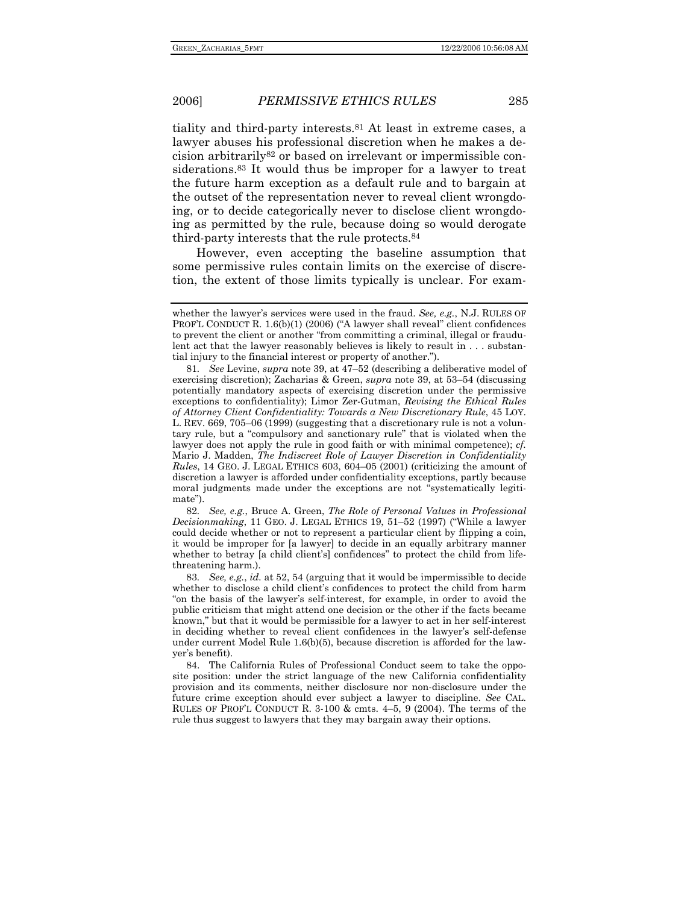tiality and third-party interests.81 At least in extreme cases, a lawyer abuses his professional discretion when he makes a decision arbitrarily82 or based on irrelevant or impermissible considerations.<sup>83</sup> It would thus be improper for a lawyer to treat the future harm exception as a default rule and to bargain at the outset of the representation never to reveal client wrongdoing, or to decide categorically never to disclose client wrongdoing as permitted by the rule, because doing so would derogate third-party interests that the rule protects.84

However, even accepting the baseline assumption that some permissive rules contain limits on the exercise of discretion, the extent of those limits typically is unclear. For exam-

82*. See, e.g.*, Bruce A. Green, *The Role of Personal Values in Professional Decisionmaking*, 11 GEO. J. LEGAL ETHICS 19, 51–52 (1997) ("While a lawyer could decide whether or not to represent a particular client by flipping a coin, it would be improper for [a lawyer] to decide in an equally arbitrary manner whether to betray [a child client's] confidences" to protect the child from lifethreatening harm.).

83*. See, e.g.*, *id.* at 52, 54 (arguing that it would be impermissible to decide whether to disclose a child client's confidences to protect the child from harm "on the basis of the lawyer's self-interest, for example, in order to avoid the public criticism that might attend one decision or the other if the facts became known," but that it would be permissible for a lawyer to act in her self-interest in deciding whether to reveal client confidences in the lawyer's self-defense under current Model Rule  $1.6(b)(5)$ , because discretion is afforded for the lawyer's benefit).

 84. The California Rules of Professional Conduct seem to take the opposite position: under the strict language of the new California confidentiality provision and its comments, neither disclosure nor non-disclosure under the future crime exception should ever subject a lawyer to discipline. *See* CAL. RULES OF PROF'L CONDUCT R. 3-100 & cmts. 4–5, 9 (2004). The terms of the rule thus suggest to lawyers that they may bargain away their options.

whether the lawyer's services were used in the fraud. *See, e.g.*, N.J. RULES OF PROF'L CONDUCT R. 1.6(b)(1) (2006) ("A lawyer shall reveal" client confidences to prevent the client or another "from committing a criminal, illegal or fraudulent act that the lawyer reasonably believes is likely to result in . . . substantial injury to the financial interest or property of another.").

<sup>81</sup>*. See* Levine, *supra* note 39, at 47–52 (describing a deliberative model of exercising discretion); Zacharias & Green, *supra* note 39, at 53–54 (discussing potentially mandatory aspects of exercising discretion under the permissive exceptions to confidentiality); Limor Zer-Gutman, *Revising the Ethical Rules of Attorney Client Confidentiality: Towards a New Discretionary Rule*, 45 LOY. L. REV. 669, 705–06 (1999) (suggesting that a discretionary rule is not a voluntary rule, but a "compulsory and sanctionary rule" that is violated when the lawyer does not apply the rule in good faith or with minimal competence); *cf.*  Mario J. Madden, *The Indiscreet Role of Lawyer Discretion in Confidentiality Rules*, 14 GEO. J. LEGAL ETHICS 603, 604–05 (2001) (criticizing the amount of discretion a lawyer is afforded under confidentiality exceptions, partly because moral judgments made under the exceptions are not "systematically legitimate").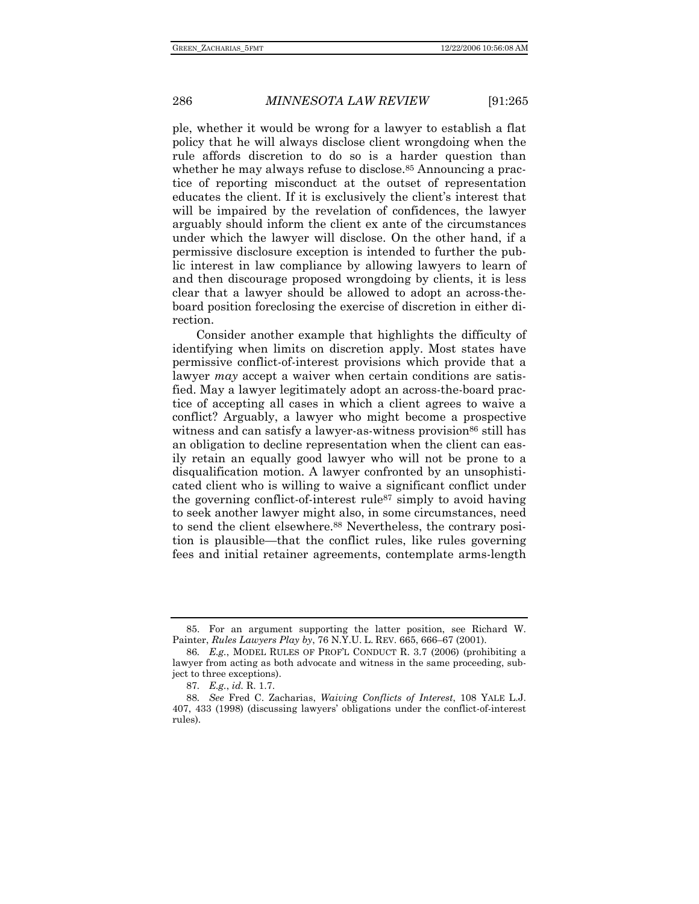ple, whether it would be wrong for a lawyer to establish a flat policy that he will always disclose client wrongdoing when the rule affords discretion to do so is a harder question than whether he may always refuse to disclose.<sup>85</sup> Announcing a practice of reporting misconduct at the outset of representation educates the client. If it is exclusively the client's interest that will be impaired by the revelation of confidences, the lawyer arguably should inform the client ex ante of the circumstances under which the lawyer will disclose. On the other hand, if a permissive disclosure exception is intended to further the public interest in law compliance by allowing lawyers to learn of and then discourage proposed wrongdoing by clients, it is less clear that a lawyer should be allowed to adopt an across-theboard position foreclosing the exercise of discretion in either direction.

Consider another example that highlights the difficulty of identifying when limits on discretion apply. Most states have permissive conflict-of-interest provisions which provide that a lawyer *may* accept a waiver when certain conditions are satisfied. May a lawyer legitimately adopt an across-the-board practice of accepting all cases in which a client agrees to waive a conflict? Arguably, a lawyer who might become a prospective witness and can satisfy a lawyer-as-witness provision<sup>86</sup> still has an obligation to decline representation when the client can easily retain an equally good lawyer who will not be prone to a disqualification motion. A lawyer confronted by an unsophisticated client who is willing to waive a significant conflict under the governing conflict-of-interest rule87 simply to avoid having to seek another lawyer might also, in some circumstances, need to send the client elsewhere.88 Nevertheless, the contrary position is plausible—that the conflict rules, like rules governing fees and initial retainer agreements, contemplate arms-length

 <sup>85.</sup> For an argument supporting the latter position, see Richard W. Painter, *Rules Lawyers Play by*, 76 N.Y.U. L. REV. 665, 666–67 (2001).

<sup>86</sup>*. E.g.*, MODEL RULES OF PROF'L CONDUCT R. 3.7 (2006) (prohibiting a lawyer from acting as both advocate and witness in the same proceeding, subject to three exceptions).

<sup>87</sup>*. E.g.*, *id.* R. 1.7.

<sup>88</sup>*. See* Fred C. Zacharias, *Waiving Conflicts of Interest*, 108 YALE L.J. 407, 433 (1998) (discussing lawyers' obligations under the conflict-of-interest rules).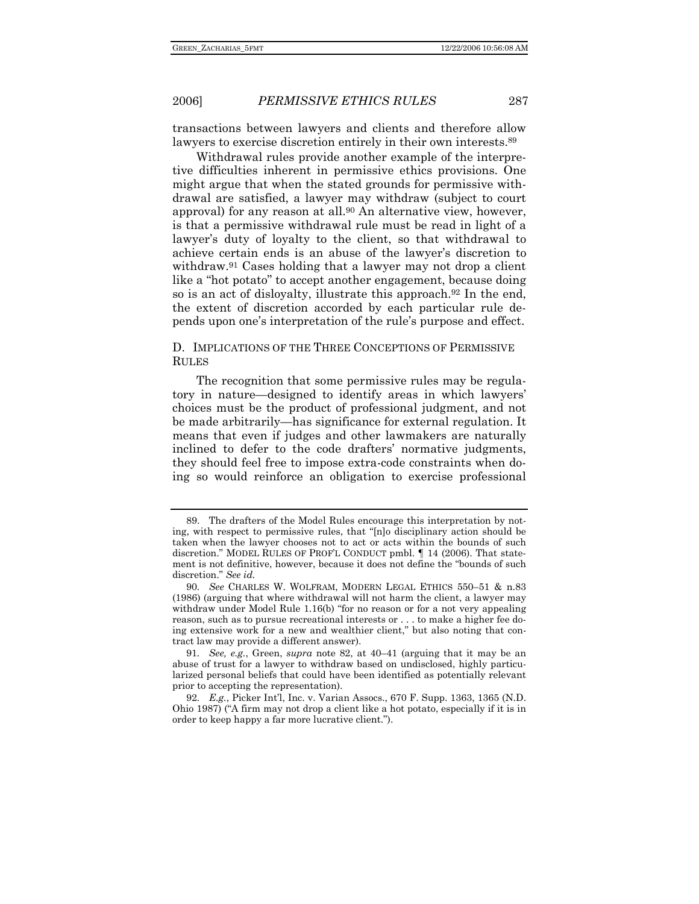transactions between lawyers and clients and therefore allow lawyers to exercise discretion entirely in their own interests.89

Withdrawal rules provide another example of the interpretive difficulties inherent in permissive ethics provisions. One might argue that when the stated grounds for permissive withdrawal are satisfied, a lawyer may withdraw (subject to court approval) for any reason at all.<sup>90</sup> An alternative view, however, is that a permissive withdrawal rule must be read in light of a lawyer's duty of loyalty to the client, so that withdrawal to achieve certain ends is an abuse of the lawyer's discretion to withdraw.<sup>91</sup> Cases holding that a lawyer may not drop a client like a "hot potato" to accept another engagement, because doing so is an act of disloyalty, illustrate this approach.92 In the end, the extent of discretion accorded by each particular rule depends upon one's interpretation of the rule's purpose and effect.

### D. IMPLICATIONS OF THE THREE CONCEPTIONS OF PERMISSIVE RULES

The recognition that some permissive rules may be regulatory in nature—designed to identify areas in which lawyers' choices must be the product of professional judgment, and not be made arbitrarily—has significance for external regulation. It means that even if judges and other lawmakers are naturally inclined to defer to the code drafters' normative judgments, they should feel free to impose extra-code constraints when doing so would reinforce an obligation to exercise professional

 <sup>89.</sup> The drafters of the Model Rules encourage this interpretation by noting, with respect to permissive rules, that "[n]o disciplinary action should be taken when the lawyer chooses not to act or acts within the bounds of such discretion." MODEL RULES OF PROF'L CONDUCT pmbl. ¶ 14 (2006). That statement is not definitive, however, because it does not define the "bounds of such discretion." *See id.*

<sup>90</sup>*. See* CHARLES W. WOLFRAM, MODERN LEGAL ETHICS 550–51 & n.83 (1986) (arguing that where withdrawal will not harm the client, a lawyer may withdraw under Model Rule 1.16(b) "for no reason or for a not very appealing reason, such as to pursue recreational interests or . . . to make a higher fee doing extensive work for a new and wealthier client," but also noting that contract law may provide a different answer).

<sup>91</sup>*. See, e.g.*, Green, *supra* note 82, at 40–41 (arguing that it may be an abuse of trust for a lawyer to withdraw based on undisclosed, highly particularized personal beliefs that could have been identified as potentially relevant prior to accepting the representation).

<sup>92</sup>*. E.g.*, Picker Int'l, Inc. v. Varian Assocs., 670 F. Supp. 1363, 1365 (N.D. Ohio 1987) ("A firm may not drop a client like a hot potato, especially if it is in order to keep happy a far more lucrative client.").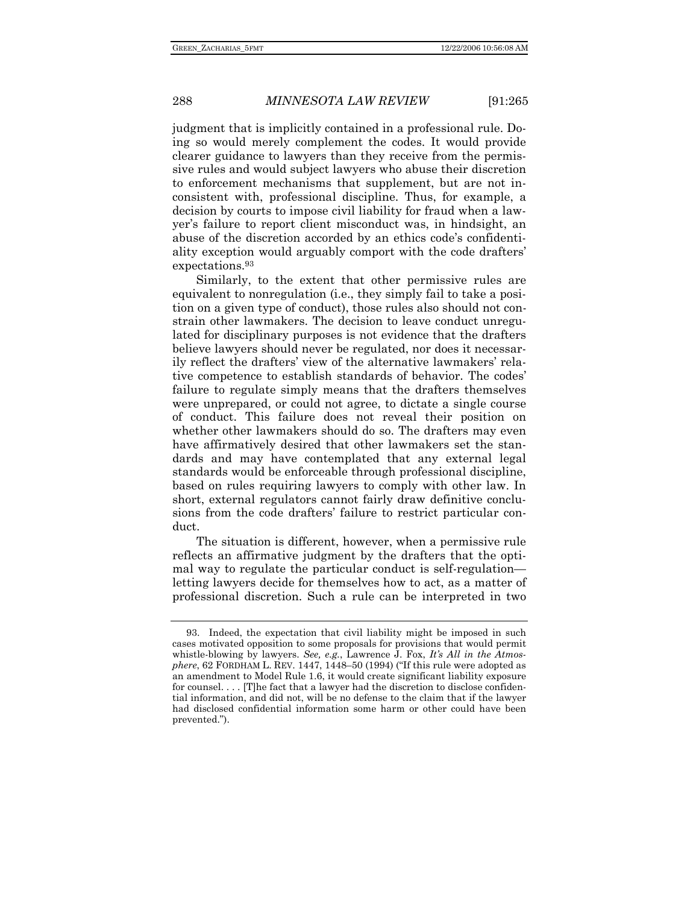judgment that is implicitly contained in a professional rule. Doing so would merely complement the codes. It would provide clearer guidance to lawyers than they receive from the permissive rules and would subject lawyers who abuse their discretion to enforcement mechanisms that supplement, but are not inconsistent with, professional discipline. Thus, for example, a decision by courts to impose civil liability for fraud when a lawyer's failure to report client misconduct was, in hindsight, an abuse of the discretion accorded by an ethics code's confidentiality exception would arguably comport with the code drafters' expectations.93

Similarly, to the extent that other permissive rules are equivalent to nonregulation (i.e., they simply fail to take a position on a given type of conduct), those rules also should not constrain other lawmakers. The decision to leave conduct unregulated for disciplinary purposes is not evidence that the drafters believe lawyers should never be regulated, nor does it necessarily reflect the drafters' view of the alternative lawmakers' relative competence to establish standards of behavior. The codes' failure to regulate simply means that the drafters themselves were unprepared, or could not agree, to dictate a single course of conduct. This failure does not reveal their position on whether other lawmakers should do so. The drafters may even have affirmatively desired that other lawmakers set the standards and may have contemplated that any external legal standards would be enforceable through professional discipline, based on rules requiring lawyers to comply with other law. In short, external regulators cannot fairly draw definitive conclusions from the code drafters' failure to restrict particular conduct.

The situation is different, however, when a permissive rule reflects an affirmative judgment by the drafters that the optimal way to regulate the particular conduct is self-regulation letting lawyers decide for themselves how to act, as a matter of professional discretion. Such a rule can be interpreted in two

 <sup>93.</sup> Indeed, the expectation that civil liability might be imposed in such cases motivated opposition to some proposals for provisions that would permit whistle-blowing by lawyers. *See, e.g.*, Lawrence J. Fox, *It's All in the Atmosphere*, 62 FORDHAM L. REV. 1447, 1448–50 (1994) ("If this rule were adopted as an amendment to Model Rule 1.6, it would create significant liability exposure for counsel. . . . [T]he fact that a lawyer had the discretion to disclose confidential information, and did not, will be no defense to the claim that if the lawyer had disclosed confidential information some harm or other could have been prevented.").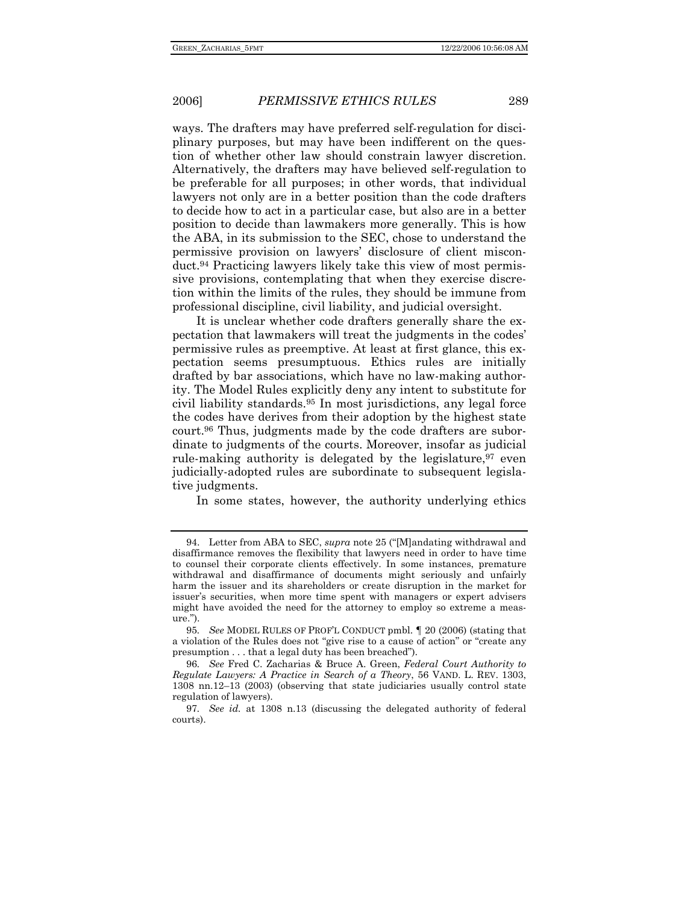ways. The drafters may have preferred self-regulation for disciplinary purposes, but may have been indifferent on the question of whether other law should constrain lawyer discretion. Alternatively, the drafters may have believed self-regulation to be preferable for all purposes; in other words, that individual lawyers not only are in a better position than the code drafters to decide how to act in a particular case, but also are in a better position to decide than lawmakers more generally. This is how the ABA, in its submission to the SEC, chose to understand the permissive provision on lawyers' disclosure of client misconduct.94 Practicing lawyers likely take this view of most permissive provisions, contemplating that when they exercise discretion within the limits of the rules, they should be immune from professional discipline, civil liability, and judicial oversight.

It is unclear whether code drafters generally share the expectation that lawmakers will treat the judgments in the codes' permissive rules as preemptive. At least at first glance, this expectation seems presumptuous. Ethics rules are initially drafted by bar associations, which have no law-making authority. The Model Rules explicitly deny any intent to substitute for civil liability standards.95 In most jurisdictions, any legal force the codes have derives from their adoption by the highest state court.96 Thus, judgments made by the code drafters are subordinate to judgments of the courts. Moreover, insofar as judicial rule-making authority is delegated by the legislature,  $97$  even judicially-adopted rules are subordinate to subsequent legislative judgments.

In some states, however, the authority underlying ethics

 <sup>94.</sup> Letter from ABA to SEC, *supra* note 25 ("[M]andating withdrawal and disaffirmance removes the flexibility that lawyers need in order to have time to counsel their corporate clients effectively. In some instances, premature withdrawal and disaffirmance of documents might seriously and unfairly harm the issuer and its shareholders or create disruption in the market for issuer's securities, when more time spent with managers or expert advisers might have avoided the need for the attorney to employ so extreme a measure.").

<sup>95</sup>*. See* MODEL RULES OF PROF'L CONDUCT pmbl. ¶ 20 (2006) (stating that a violation of the Rules does not "give rise to a cause of action" or "create any presumption . . . that a legal duty has been breached").

<sup>96</sup>*. See* Fred C. Zacharias & Bruce A. Green, *Federal Court Authority to Regulate Lawyers: A Practice in Search of a Theory*, 56 VAND. L. REV. 1303, 1308 nn.12–13 (2003) (observing that state judiciaries usually control state regulation of lawyers).

<sup>97</sup>*. See id.* at 1308 n.13 (discussing the delegated authority of federal courts).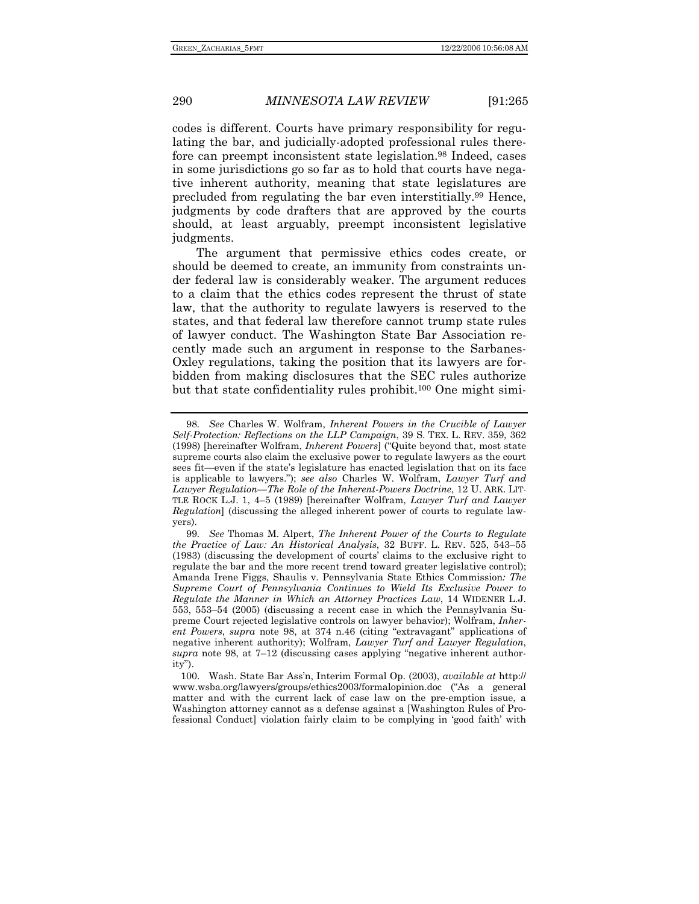codes is different. Courts have primary responsibility for regulating the bar, and judicially-adopted professional rules therefore can preempt inconsistent state legislation.98 Indeed, cases in some jurisdictions go so far as to hold that courts have negative inherent authority, meaning that state legislatures are precluded from regulating the bar even interstitially.99 Hence, judgments by code drafters that are approved by the courts should, at least arguably, preempt inconsistent legislative judgments.

The argument that permissive ethics codes create, or should be deemed to create, an immunity from constraints under federal law is considerably weaker. The argument reduces to a claim that the ethics codes represent the thrust of state law, that the authority to regulate lawyers is reserved to the states, and that federal law therefore cannot trump state rules of lawyer conduct. The Washington State Bar Association recently made such an argument in response to the Sarbanes-Oxley regulations, taking the position that its lawyers are forbidden from making disclosures that the SEC rules authorize but that state confidentiality rules prohibit.100 One might simi-

 100. Wash. State Bar Ass'n, Interim Formal Op. (2003), *available at* http:// www.wsba.org/lawyers/groups/ethics2003/formalopinion.doc ("As a general matter and with the current lack of case law on the pre-emption issue, a Washington attorney cannot as a defense against a [Washington Rules of Professional Conduct] violation fairly claim to be complying in 'good faith' with

<sup>98</sup>*. See* Charles W. Wolfram, *Inherent Powers in the Crucible of Lawyer Self-Protection: Reflections on the LLP Campaign*, 39 S. TEX. L. REV. 359, 362 (1998) [hereinafter Wolfram, *Inherent Powers*] ("Quite beyond that, most state supreme courts also claim the exclusive power to regulate lawyers as the court sees fit—even if the state's legislature has enacted legislation that on its face is applicable to lawyers."); *see also* Charles W. Wolfram, *Lawyer Turf and Lawyer Regulation—The Role of the Inherent-Powers Doctrine*, 12 U. ARK. LIT-TLE ROCK L.J. 1, 4–5 (1989) [hereinafter Wolfram, *Lawyer Turf and Lawyer Regulation*] (discussing the alleged inherent power of courts to regulate lawyers).

<sup>99</sup>*. See* Thomas M. Alpert, *The Inherent Power of the Courts to Regulate the Practice of Law: An Historical Analysis*, 32 BUFF. L. REV. 525, 543–55 (1983) (discussing the development of courts' claims to the exclusive right to regulate the bar and the more recent trend toward greater legislative control); Amanda Irene Figgs, Shaulis v. Pennsylvania State Ethics Commission*: The Supreme Court of Pennsylvania Continues to Wield Its Exclusive Power to Regulate the Manner in Which an Attorney Practices Law*, 14 WIDENER L.J. 553, 553–54 (2005) (discussing a recent case in which the Pennsylvania Supreme Court rejected legislative controls on lawyer behavior); Wolfram, *Inherent Powers*, *supra* note 98, at 374 n.46 (citing "extravagant" applications of negative inherent authority); Wolfram, *Lawyer Turf and Lawyer Regulation*, *supra* note 98, at 7–12 (discussing cases applying "negative inherent authority").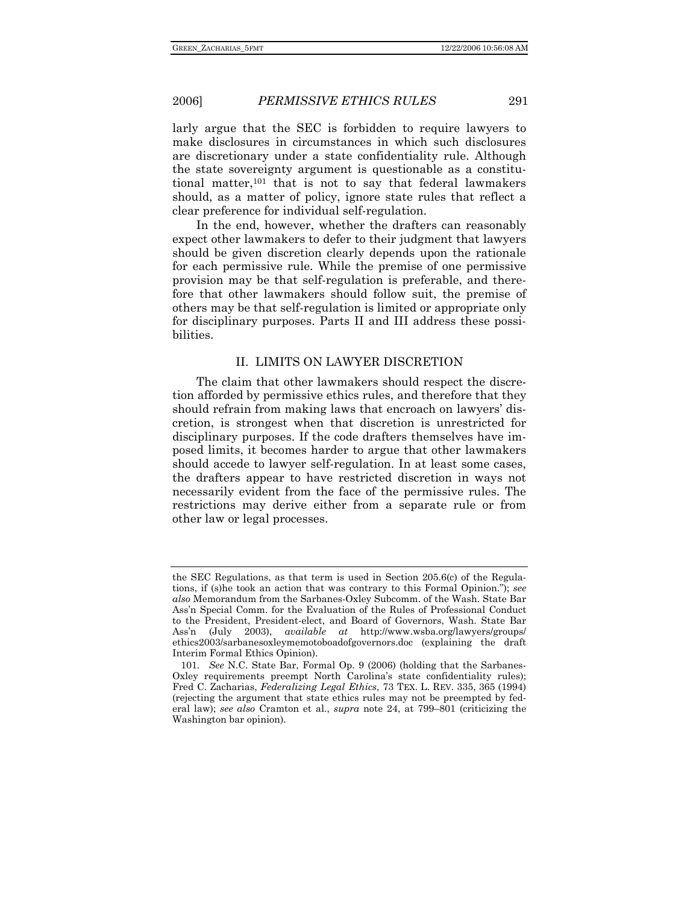larly argue that the SEC is forbidden to require lawyers to make disclosures in circumstances in which such disclosures are discretionary under a state confidentiality rule. Although the state sovereignty argument is questionable as a constitutional matter,101 that is not to say that federal lawmakers should, as a matter of policy, ignore state rules that reflect a clear preference for individual self-regulation.

In the end, however, whether the drafters can reasonably expect other lawmakers to defer to their judgment that lawyers should be given discretion clearly depends upon the rationale for each permissive rule. While the premise of one permissive provision may be that self-regulation is preferable, and therefore that other lawmakers should follow suit, the premise of others may be that self-regulation is limited or appropriate only for disciplinary purposes. Parts II and III address these possibilities.

### II. LIMITS ON LAWYER DISCRETION

The claim that other lawmakers should respect the discretion afforded by permissive ethics rules, and therefore that they should refrain from making laws that encroach on lawyers' discretion, is strongest when that discretion is unrestricted for disciplinary purposes. If the code drafters themselves have imposed limits, it becomes harder to argue that other lawmakers should accede to lawyer self-regulation. In at least some cases, the drafters appear to have restricted discretion in ways not necessarily evident from the face of the permissive rules. The restrictions may derive either from a separate rule or from other law or legal processes.

the SEC Regulations, as that term is used in Section 205.6(c) of the Regulations, if (s)he took an action that was contrary to this Formal Opinion."); *see also* Memorandum from the Sarbanes-Oxley Subcomm. of the Wash. State Bar Ass'n Special Comm. for the Evaluation of the Rules of Professional Conduct to the President, President-elect, and Board of Governors, Wash. State Bar Ass'n (July 2003), *available at* http://www.wsba.org/lawyers/groups/ ethics2003/sarbanesoxleymemotoboadofgovernors.doc (explaining the draft Interim Formal Ethics Opinion).

<sup>101</sup>*. See* N.C. State Bar, Formal Op. 9 (2006) (holding that the Sarbanes-Oxley requirements preempt North Carolina's state confidentiality rules); Fred C. Zacharias, *Federalizing Legal Ethics*, 73 TEX. L. REV. 335, 365 (1994) (rejecting the argument that state ethics rules may not be preempted by federal law); *see also* Cramton et al., *supra* note 24, at 799–801 (criticizing the Washington bar opinion).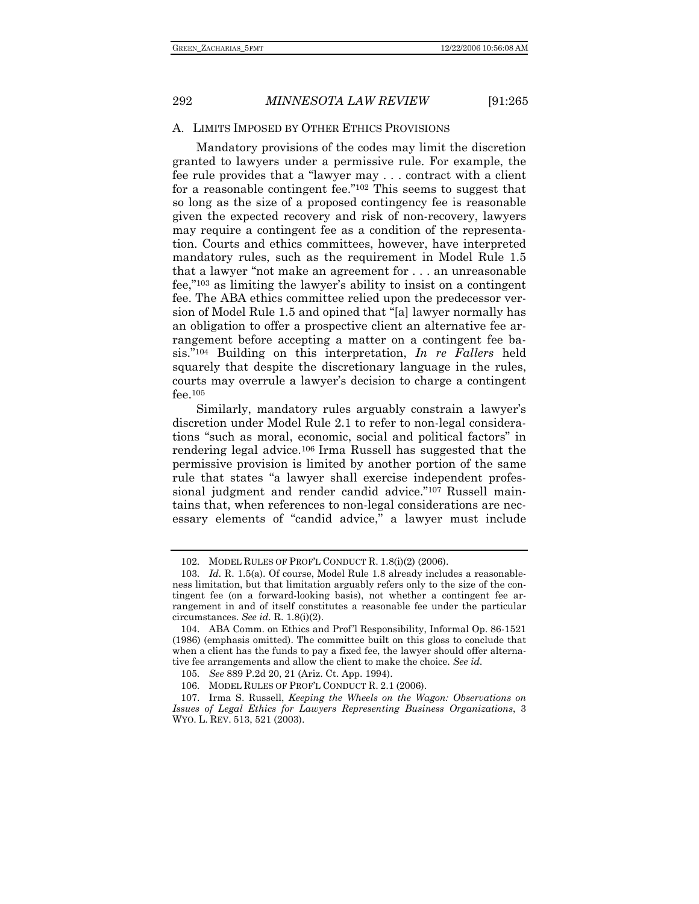### A. LIMITS IMPOSED BY OTHER ETHICS PROVISIONS

Mandatory provisions of the codes may limit the discretion granted to lawyers under a permissive rule. For example, the fee rule provides that a "lawyer may . . . contract with a client for a reasonable contingent fee."102 This seems to suggest that so long as the size of a proposed contingency fee is reasonable given the expected recovery and risk of non-recovery, lawyers may require a contingent fee as a condition of the representation. Courts and ethics committees, however, have interpreted mandatory rules, such as the requirement in Model Rule 1.5 that a lawyer "not make an agreement for . . . an unreasonable fee,"103 as limiting the lawyer's ability to insist on a contingent fee. The ABA ethics committee relied upon the predecessor version of Model Rule 1.5 and opined that "[a] lawyer normally has an obligation to offer a prospective client an alternative fee arrangement before accepting a matter on a contingent fee basis."104 Building on this interpretation, *In re Fallers* held squarely that despite the discretionary language in the rules, courts may overrule a lawyer's decision to charge a contingent fee.105

Similarly, mandatory rules arguably constrain a lawyer's discretion under Model Rule 2.1 to refer to non-legal considerations "such as moral, economic, social and political factors" in rendering legal advice.106 Irma Russell has suggested that the permissive provision is limited by another portion of the same rule that states "a lawyer shall exercise independent professional judgment and render candid advice."107 Russell maintains that, when references to non-legal considerations are necessary elements of "candid advice," a lawyer must include

 <sup>102.</sup> MODEL RULES OF PROF'L CONDUCT R. 1.8(i)(2) (2006).

 <sup>103.</sup> *Id.* R. 1.5(a). Of course, Model Rule 1.8 already includes a reasonableness limitation, but that limitation arguably refers only to the size of the contingent fee (on a forward-looking basis), not whether a contingent fee arrangement in and of itself constitutes a reasonable fee under the particular circumstances. *See id.* R. 1.8(i)(2).

 <sup>104.</sup> ABA Comm. on Ethics and Prof'l Responsibility, Informal Op. 86-1521 (1986) (emphasis omitted). The committee built on this gloss to conclude that when a client has the funds to pay a fixed fee, the lawyer should offer alternative fee arrangements and allow the client to make the choice. *See id.* 

 <sup>105.</sup> *See* 889 P.2d 20, 21 (Ariz. Ct. App. 1994).

 <sup>106.</sup> MODEL RULES OF PROF'L CONDUCT R. 2.1 (2006).

 <sup>107.</sup> Irma S. Russell, *Keeping the Wheels on the Wagon: Observations on Issues of Legal Ethics for Lawyers Representing Business Organizations*, 3 WYO. L. REV. 513, 521 (2003).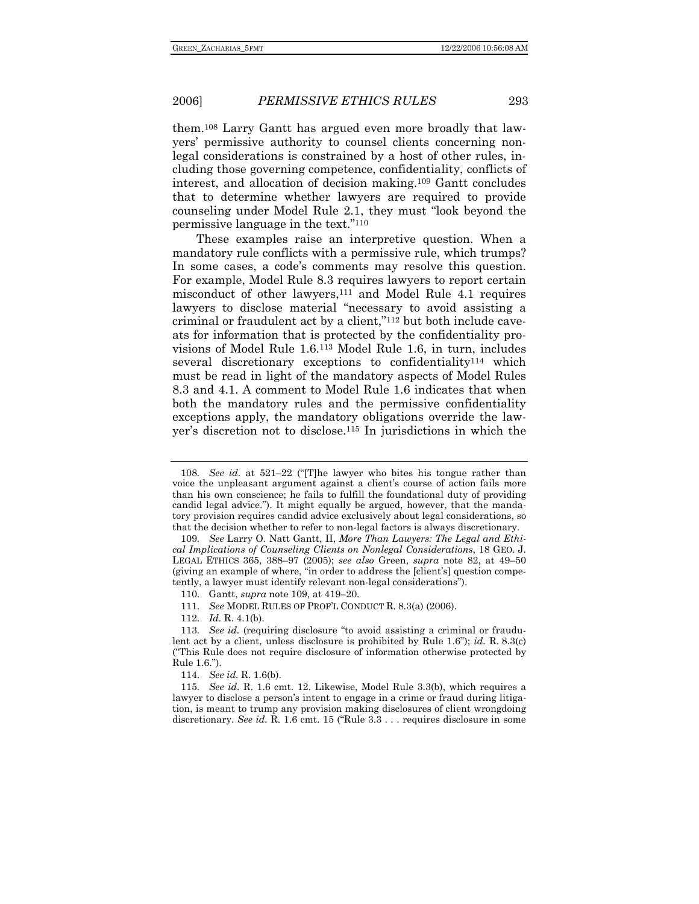them.108 Larry Gantt has argued even more broadly that lawyers' permissive authority to counsel clients concerning nonlegal considerations is constrained by a host of other rules, including those governing competence, confidentiality, conflicts of interest, and allocation of decision making.109 Gantt concludes that to determine whether lawyers are required to provide counseling under Model Rule 2.1, they must "look beyond the permissive language in the text."110

These examples raise an interpretive question. When a mandatory rule conflicts with a permissive rule, which trumps? In some cases, a code's comments may resolve this question. For example, Model Rule 8.3 requires lawyers to report certain misconduct of other lawyers,<sup>111</sup> and Model Rule 4.1 requires lawyers to disclose material "necessary to avoid assisting a criminal or fraudulent act by a client,"112 but both include caveats for information that is protected by the confidentiality provisions of Model Rule 1.6.113 Model Rule 1.6, in turn, includes several discretionary exceptions to confidentiality114 which must be read in light of the mandatory aspects of Model Rules 8.3 and 4.1. A comment to Model Rule 1.6 indicates that when both the mandatory rules and the permissive confidentiality exceptions apply, the mandatory obligations override the lawyer's discretion not to disclose.115 In jurisdictions in which the

112. *Id.* R. 4.1(b).

<sup>108</sup>*. See id.* at 521–22 ("[T]he lawyer who bites his tongue rather than voice the unpleasant argument against a client's course of action fails more than his own conscience; he fails to fulfill the foundational duty of providing candid legal advice."). It might equally be argued, however, that the mandatory provision requires candid advice exclusively about legal considerations, so that the decision whether to refer to non-legal factors is always discretionary.

 <sup>109.</sup> *See* Larry O. Natt Gantt, II, *More Than Lawyers: The Legal and Ethical Implications of Counseling Clients on Nonlegal Considerations*, 18 GEO. J. LEGAL ETHICS 365, 388–97 (2005); *see also* Green, *supra* note 82, at 49–50 (giving an example of where, "in order to address the [client's] question competently, a lawyer must identify relevant non-legal considerations").

 <sup>110.</sup> Gantt, *supra* note 109, at 419–20.

 <sup>111.</sup> *See* MODEL RULES OF PROF'L CONDUCT R. 8.3(a) (2006).

<sup>113</sup>*. See id.* (requiring disclosure "to avoid assisting a criminal or fraudulent act by a client, unless disclosure is prohibited by Rule 1.6"); *id.* R. 8.3(c) ("This Rule does not require disclosure of information otherwise protected by Rule 1.6.").

 <sup>114.</sup> *See id.* R. 1.6(b).

 <sup>115.</sup> *See id.* R. 1.6 cmt. 12. Likewise, Model Rule 3.3(b), which requires a lawyer to disclose a person's intent to engage in a crime or fraud during litigation, is meant to trump any provision making disclosures of client wrongdoing discretionary. *See id.* R. 1.6 cmt. 15 ("Rule 3.3 . . . requires disclosure in some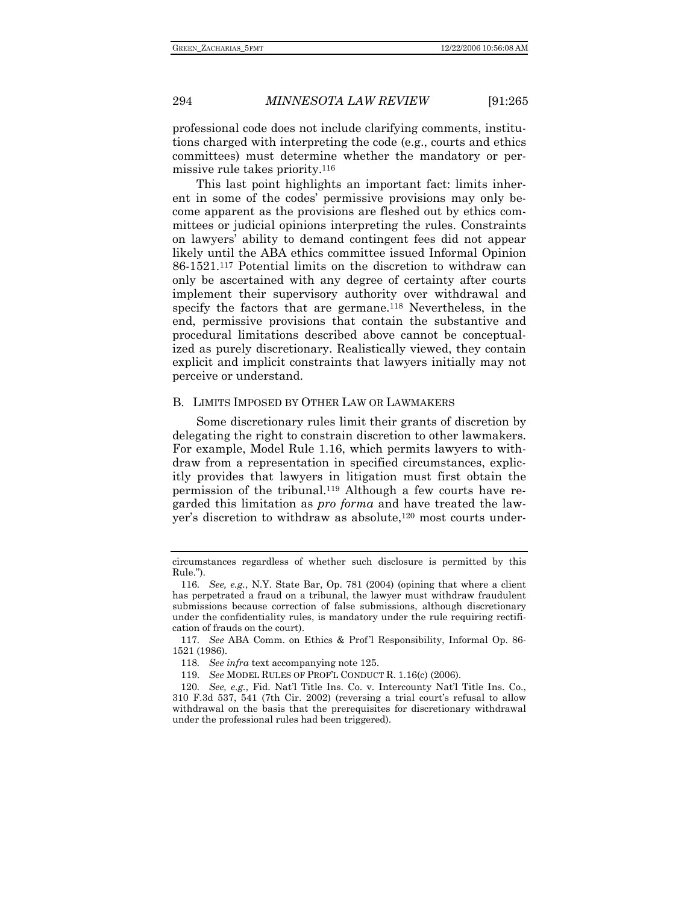professional code does not include clarifying comments, institutions charged with interpreting the code (e.g., courts and ethics committees) must determine whether the mandatory or permissive rule takes priority.116

This last point highlights an important fact: limits inherent in some of the codes' permissive provisions may only become apparent as the provisions are fleshed out by ethics committees or judicial opinions interpreting the rules. Constraints on lawyers' ability to demand contingent fees did not appear likely until the ABA ethics committee issued Informal Opinion 86-1521.117 Potential limits on the discretion to withdraw can only be ascertained with any degree of certainty after courts implement their supervisory authority over withdrawal and specify the factors that are germane.<sup>118</sup> Nevertheless, in the end, permissive provisions that contain the substantive and procedural limitations described above cannot be conceptualized as purely discretionary. Realistically viewed, they contain explicit and implicit constraints that lawyers initially may not perceive or understand.

### B. LIMITS IMPOSED BY OTHER LAW OR LAWMAKERS

Some discretionary rules limit their grants of discretion by delegating the right to constrain discretion to other lawmakers. For example, Model Rule 1.16, which permits lawyers to withdraw from a representation in specified circumstances, explicitly provides that lawyers in litigation must first obtain the permission of the tribunal.119 Although a few courts have regarded this limitation as *pro forma* and have treated the lawyer's discretion to withdraw as absolute,120 most courts under-

circumstances regardless of whether such disclosure is permitted by this Rule.").

<sup>116</sup>*. See, e.g.*, N.Y. State Bar, Op. 781 (2004) (opining that where a client has perpetrated a fraud on a tribunal, the lawyer must withdraw fraudulent submissions because correction of false submissions, although discretionary under the confidentiality rules, is mandatory under the rule requiring rectification of frauds on the court).

<sup>117</sup>*. See* ABA Comm. on Ethics & Prof'l Responsibility, Informal Op. 86- 1521 (1986).

<sup>118</sup>*. See infra* text accompanying note 125.

 <sup>119.</sup> *See* MODEL RULES OF PROF'L CONDUCT R. 1.16(c) (2006).

<sup>120</sup>*. See, e.g.*, Fid. Nat'l Title Ins. Co. v. Intercounty Nat'l Title Ins. Co., 310 F.3d 537, 541 (7th Cir. 2002) (reversing a trial court's refusal to allow withdrawal on the basis that the prerequisites for discretionary withdrawal under the professional rules had been triggered).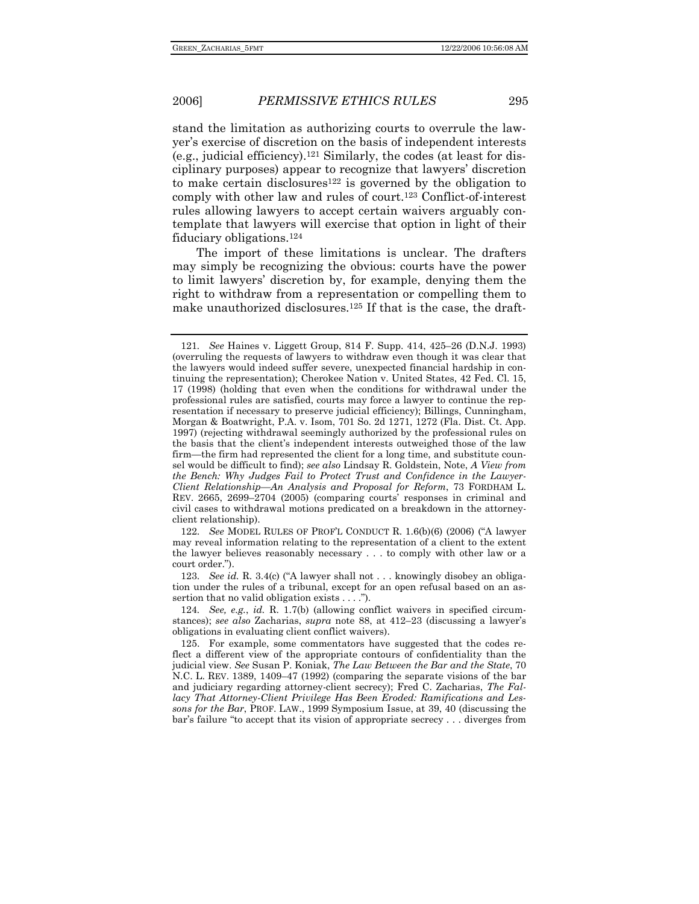stand the limitation as authorizing courts to overrule the lawyer's exercise of discretion on the basis of independent interests (e.g., judicial efficiency).121 Similarly, the codes (at least for disciplinary purposes) appear to recognize that lawyers' discretion to make certain disclosures<sup>122</sup> is governed by the obligation to comply with other law and rules of court.123 Conflict-of-interest rules allowing lawyers to accept certain waivers arguably contemplate that lawyers will exercise that option in light of their fiduciary obligations.124

The import of these limitations is unclear. The drafters may simply be recognizing the obvious: courts have the power to limit lawyers' discretion by, for example, denying them the right to withdraw from a representation or compelling them to make unauthorized disclosures.125 If that is the case, the draft-

 122. *See* MODEL RULES OF PROF'L CONDUCT R. 1.6(b)(6) (2006) ("A lawyer may reveal information relating to the representation of a client to the extent the lawyer believes reasonably necessary . . . to comply with other law or a court order.").

 123. *See id.* R. 3.4(c) ("A lawyer shall not . . . knowingly disobey an obligation under the rules of a tribunal, except for an open refusal based on an assertion that no valid obligation exists . . . .").

124*. See, e.g.*, *id.* R. 1.7(b) (allowing conflict waivers in specified circumstances); *see also* Zacharias, *supra* note 88, at 412–23 (discussing a lawyer's obligations in evaluating client conflict waivers).

 125. For example, some commentators have suggested that the codes reflect a different view of the appropriate contours of confidentiality than the judicial view. *See* Susan P. Koniak, *The Law Between the Bar and the State*, 70 N.C. L. REV. 1389, 1409–47 (1992) (comparing the separate visions of the bar and judiciary regarding attorney-client secrecy); Fred C. Zacharias, *The Fallacy That Attorney-Client Privilege Has Been Eroded: Ramifications and Lessons for the Bar*, PROF. LAW., 1999 Symposium Issue, at 39, 40 (discussing the bar's failure "to accept that its vision of appropriate secrecy . . . diverges from

<sup>121</sup>*. See* Haines v. Liggett Group, 814 F. Supp. 414, 425–26 (D.N.J. 1993) (overruling the requests of lawyers to withdraw even though it was clear that the lawyers would indeed suffer severe, unexpected financial hardship in continuing the representation); Cherokee Nation v. United States, 42 Fed. Cl. 15, 17 (1998) (holding that even when the conditions for withdrawal under the professional rules are satisfied, courts may force a lawyer to continue the representation if necessary to preserve judicial efficiency); Billings, Cunningham, Morgan & Boatwright, P.A. v. Isom, 701 So. 2d 1271, 1272 (Fla. Dist. Ct. App. 1997) (rejecting withdrawal seemingly authorized by the professional rules on the basis that the client's independent interests outweighed those of the law firm—the firm had represented the client for a long time, and substitute counsel would be difficult to find); *see also* Lindsay R. Goldstein, Note, *A View from the Bench: Why Judges Fail to Protect Trust and Confidence in the Lawyer-Client Relationship—An Analysis and Proposal for Reform*, 73 FORDHAM L. REV. 2665, 2699–2704 (2005) (comparing courts' responses in criminal and civil cases to withdrawal motions predicated on a breakdown in the attorneyclient relationship).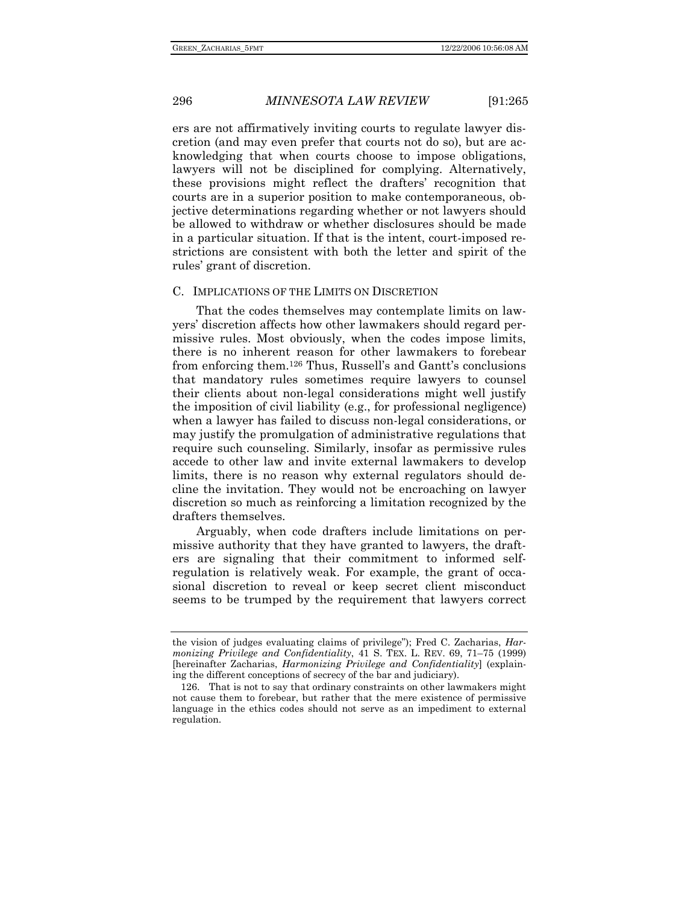ers are not affirmatively inviting courts to regulate lawyer discretion (and may even prefer that courts not do so), but are acknowledging that when courts choose to impose obligations, lawyers will not be disciplined for complying. Alternatively, these provisions might reflect the drafters' recognition that courts are in a superior position to make contemporaneous, objective determinations regarding whether or not lawyers should be allowed to withdraw or whether disclosures should be made in a particular situation. If that is the intent, court-imposed restrictions are consistent with both the letter and spirit of the rules' grant of discretion.

### C. IMPLICATIONS OF THE LIMITS ON DISCRETION

That the codes themselves may contemplate limits on lawyers' discretion affects how other lawmakers should regard permissive rules. Most obviously, when the codes impose limits, there is no inherent reason for other lawmakers to forebear from enforcing them.126 Thus, Russell's and Gantt's conclusions that mandatory rules sometimes require lawyers to counsel their clients about non-legal considerations might well justify the imposition of civil liability (e.g., for professional negligence) when a lawyer has failed to discuss non-legal considerations, or may justify the promulgation of administrative regulations that require such counseling. Similarly, insofar as permissive rules accede to other law and invite external lawmakers to develop limits, there is no reason why external regulators should decline the invitation. They would not be encroaching on lawyer discretion so much as reinforcing a limitation recognized by the drafters themselves.

Arguably, when code drafters include limitations on permissive authority that they have granted to lawyers, the drafters are signaling that their commitment to informed selfregulation is relatively weak. For example, the grant of occasional discretion to reveal or keep secret client misconduct seems to be trumped by the requirement that lawyers correct

the vision of judges evaluating claims of privilege"); Fred C. Zacharias, *Harmonizing Privilege and Confidentiality*, 41 S. TEX. L. REV. 69, 71–75 (1999) [hereinafter Zacharias, *Harmonizing Privilege and Confidentiality*] (explaining the different conceptions of secrecy of the bar and judiciary).

 <sup>126.</sup> That is not to say that ordinary constraints on other lawmakers might not cause them to forebear, but rather that the mere existence of permissive language in the ethics codes should not serve as an impediment to external regulation.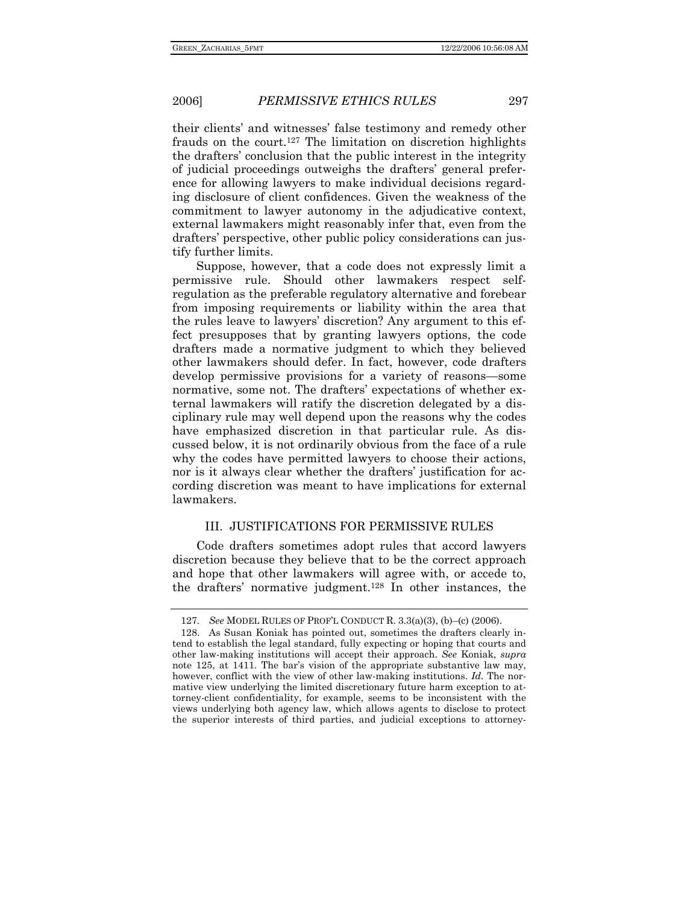their clients' and witnesses' false testimony and remedy other frauds on the court.127 The limitation on discretion highlights the drafters' conclusion that the public interest in the integrity of judicial proceedings outweighs the drafters' general preference for allowing lawyers to make individual decisions regarding disclosure of client confidences. Given the weakness of the commitment to lawyer autonomy in the adjudicative context, external lawmakers might reasonably infer that, even from the drafters' perspective, other public policy considerations can justify further limits.

Suppose, however, that a code does not expressly limit a permissive rule. Should other lawmakers respect selfregulation as the preferable regulatory alternative and forebear from imposing requirements or liability within the area that the rules leave to lawyers' discretion? Any argument to this effect presupposes that by granting lawyers options, the code drafters made a normative judgment to which they believed other lawmakers should defer. In fact, however, code drafters develop permissive provisions for a variety of reasons—some normative, some not. The drafters' expectations of whether external lawmakers will ratify the discretion delegated by a disciplinary rule may well depend upon the reasons why the codes have emphasized discretion in that particular rule. As discussed below, it is not ordinarily obvious from the face of a rule why the codes have permitted lawyers to choose their actions, nor is it always clear whether the drafters' justification for according discretion was meant to have implications for external lawmakers.

### III. JUSTIFICATIONS FOR PERMISSIVE RULES

Code drafters sometimes adopt rules that accord lawyers discretion because they believe that to be the correct approach and hope that other lawmakers will agree with, or accede to, the drafters' normative judgment.128 In other instances, the

<sup>127</sup>*. See* MODEL RULES OF PROF'L CONDUCT R. 3.3(a)(3), (b)–(c) (2006).

 <sup>128.</sup> As Susan Koniak has pointed out, sometimes the drafters clearly intend to establish the legal standard, fully expecting or hoping that courts and other law-making institutions will accept their approach. *See* Koniak, *supra* note 125, at 1411. The bar's vision of the appropriate substantive law may, however, conflict with the view of other law-making institutions. *Id.* The normative view underlying the limited discretionary future harm exception to attorney-client confidentiality, for example, seems to be inconsistent with the views underlying both agency law, which allows agents to disclose to protect the superior interests of third parties, and judicial exceptions to attorney-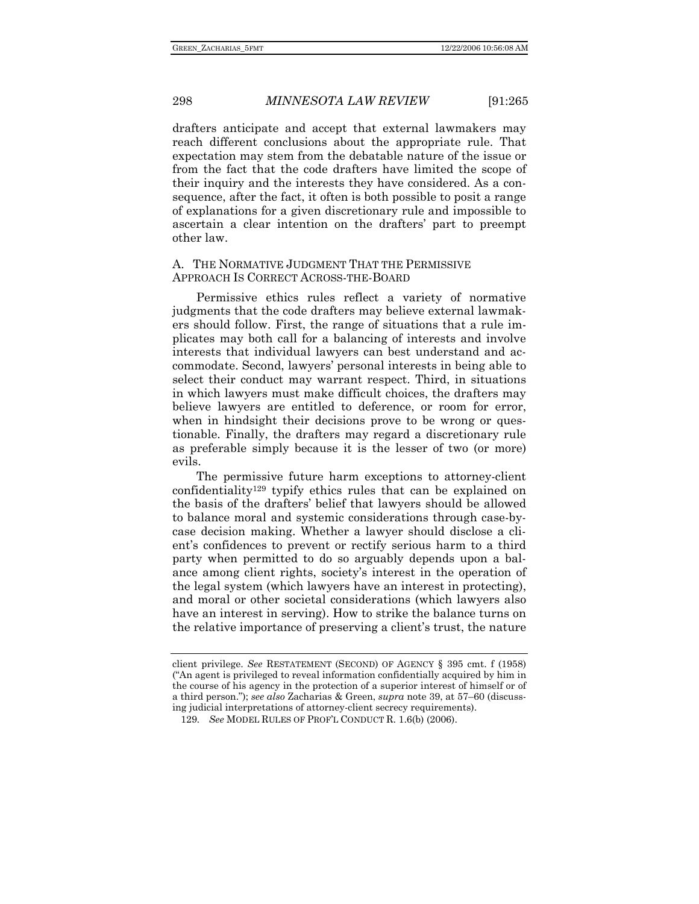drafters anticipate and accept that external lawmakers may reach different conclusions about the appropriate rule. That expectation may stem from the debatable nature of the issue or from the fact that the code drafters have limited the scope of their inquiry and the interests they have considered. As a consequence, after the fact, it often is both possible to posit a range of explanations for a given discretionary rule and impossible to ascertain a clear intention on the drafters' part to preempt other law.

### A. THE NORMATIVE JUDGMENT THAT THE PERMISSIVE APPROACH IS CORRECT ACROSS-THE-BOARD

Permissive ethics rules reflect a variety of normative judgments that the code drafters may believe external lawmakers should follow. First, the range of situations that a rule implicates may both call for a balancing of interests and involve interests that individual lawyers can best understand and accommodate. Second, lawyers' personal interests in being able to select their conduct may warrant respect. Third, in situations in which lawyers must make difficult choices, the drafters may believe lawyers are entitled to deference, or room for error, when in hindsight their decisions prove to be wrong or questionable. Finally, the drafters may regard a discretionary rule as preferable simply because it is the lesser of two (or more) evils.

The permissive future harm exceptions to attorney-client confidentiality129 typify ethics rules that can be explained on the basis of the drafters' belief that lawyers should be allowed to balance moral and systemic considerations through case-bycase decision making. Whether a lawyer should disclose a client's confidences to prevent or rectify serious harm to a third party when permitted to do so arguably depends upon a balance among client rights, society's interest in the operation of the legal system (which lawyers have an interest in protecting), and moral or other societal considerations (which lawyers also have an interest in serving). How to strike the balance turns on the relative importance of preserving a client's trust, the nature

client privilege. *See* RESTATEMENT (SECOND) OF AGENCY § 395 cmt. f (1958) ("An agent is privileged to reveal information confidentially acquired by him in the course of his agency in the protection of a superior interest of himself or of a third person."); *see also* Zacharias & Green, *supra* note 39, at 57–60 (discussing judicial interpretations of attorney-client secrecy requirements).

<sup>129</sup>*. See* MODEL RULES OF PROF'L CONDUCT R. 1.6(b) (2006).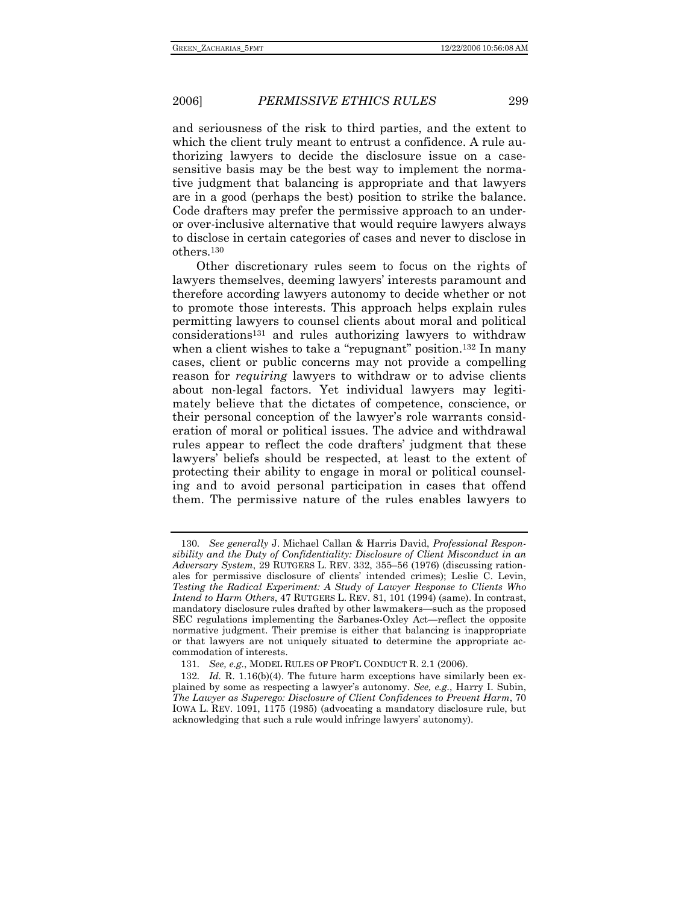and seriousness of the risk to third parties, and the extent to which the client truly meant to entrust a confidence. A rule authorizing lawyers to decide the disclosure issue on a casesensitive basis may be the best way to implement the normative judgment that balancing is appropriate and that lawyers are in a good (perhaps the best) position to strike the balance. Code drafters may prefer the permissive approach to an underor over-inclusive alternative that would require lawyers always to disclose in certain categories of cases and never to disclose in others.130

Other discretionary rules seem to focus on the rights of lawyers themselves, deeming lawyers' interests paramount and therefore according lawyers autonomy to decide whether or not to promote those interests. This approach helps explain rules permitting lawyers to counsel clients about moral and political considerations131 and rules authorizing lawyers to withdraw when a client wishes to take a "repugnant" position.<sup>132</sup> In many cases, client or public concerns may not provide a compelling reason for *requiring* lawyers to withdraw or to advise clients about non-legal factors. Yet individual lawyers may legitimately believe that the dictates of competence, conscience, or their personal conception of the lawyer's role warrants consideration of moral or political issues. The advice and withdrawal rules appear to reflect the code drafters' judgment that these lawyers' beliefs should be respected, at least to the extent of protecting their ability to engage in moral or political counseling and to avoid personal participation in cases that offend them. The permissive nature of the rules enables lawyers to

<sup>130</sup>*. See generally* J. Michael Callan & Harris David, *Professional Responsibility and the Duty of Confidentiality: Disclosure of Client Misconduct in an Adversary System*, 29 RUTGERS L. REV. 332, 355–56 (1976) (discussing rationales for permissive disclosure of clients' intended crimes); Leslie C. Levin, *Testing the Radical Experiment: A Study of Lawyer Response to Clients Who Intend to Harm Others*, 47 RUTGERS L. REV. 81, 101 (1994) (same). In contrast, mandatory disclosure rules drafted by other lawmakers—such as the proposed SEC regulations implementing the Sarbanes-Oxley Act—reflect the opposite normative judgment. Their premise is either that balancing is inappropriate or that lawyers are not uniquely situated to determine the appropriate accommodation of interests.

<sup>131</sup>*. See, e.g.*, MODEL RULES OF PROF'L CONDUCT R. 2.1 (2006).

<sup>132</sup>*. Id.* R. 1.16(b)(4). The future harm exceptions have similarly been explained by some as respecting a lawyer's autonomy. *See, e.g.*, Harry I. Subin, *The Lawyer as Superego: Disclosure of Client Confidences to Prevent Harm*, 70 IOWA L. REV. 1091, 1175 (1985) (advocating a mandatory disclosure rule, but acknowledging that such a rule would infringe lawyers' autonomy).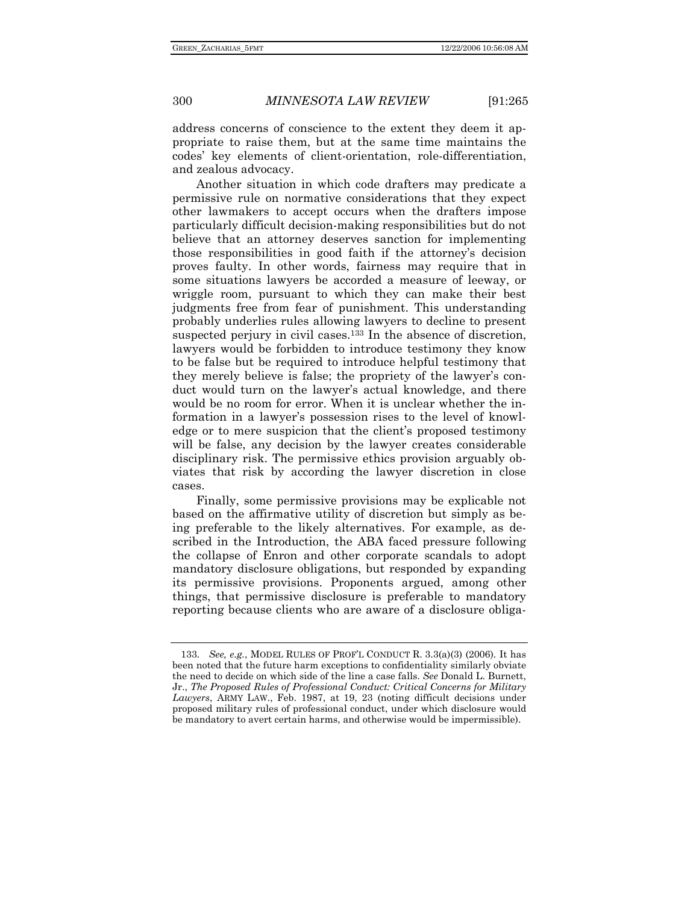address concerns of conscience to the extent they deem it appropriate to raise them, but at the same time maintains the codes' key elements of client-orientation, role-differentiation, and zealous advocacy.

Another situation in which code drafters may predicate a permissive rule on normative considerations that they expect other lawmakers to accept occurs when the drafters impose particularly difficult decision-making responsibilities but do not believe that an attorney deserves sanction for implementing those responsibilities in good faith if the attorney's decision proves faulty. In other words, fairness may require that in some situations lawyers be accorded a measure of leeway, or wriggle room, pursuant to which they can make their best judgments free from fear of punishment. This understanding probably underlies rules allowing lawyers to decline to present suspected perjury in civil cases.<sup>133</sup> In the absence of discretion, lawyers would be forbidden to introduce testimony they know to be false but be required to introduce helpful testimony that they merely believe is false; the propriety of the lawyer's conduct would turn on the lawyer's actual knowledge, and there would be no room for error. When it is unclear whether the information in a lawyer's possession rises to the level of knowledge or to mere suspicion that the client's proposed testimony will be false, any decision by the lawyer creates considerable disciplinary risk. The permissive ethics provision arguably obviates that risk by according the lawyer discretion in close cases.

Finally, some permissive provisions may be explicable not based on the affirmative utility of discretion but simply as being preferable to the likely alternatives. For example, as described in the Introduction, the ABA faced pressure following the collapse of Enron and other corporate scandals to adopt mandatory disclosure obligations, but responded by expanding its permissive provisions. Proponents argued, among other things, that permissive disclosure is preferable to mandatory reporting because clients who are aware of a disclosure obliga-

<sup>133</sup>*. See, e.g.*, MODEL RULES OF PROF'L CONDUCT R. 3.3(a)(3) (2006). It has been noted that the future harm exceptions to confidentiality similarly obviate the need to decide on which side of the line a case falls. *See* Donald L. Burnett, Jr., *The Proposed Rules of Professional Conduct: Critical Concerns for Military Lawyers*, ARMY LAW., Feb. 1987, at 19, 23 (noting difficult decisions under proposed military rules of professional conduct, under which disclosure would be mandatory to avert certain harms, and otherwise would be impermissible).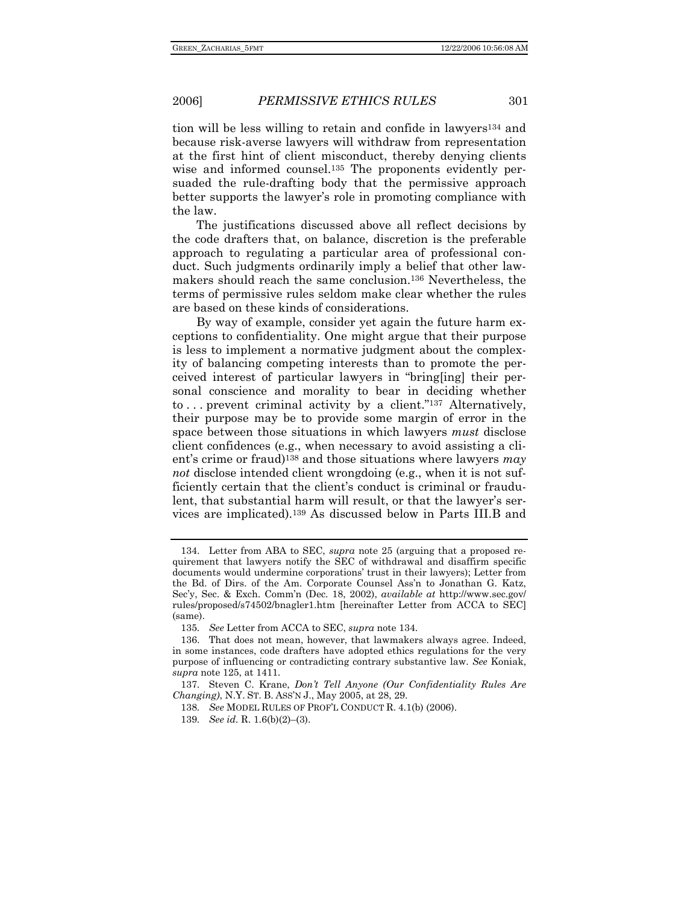tion will be less willing to retain and confide in lawyers134 and because risk-averse lawyers will withdraw from representation at the first hint of client misconduct, thereby denying clients wise and informed counsel.135 The proponents evidently persuaded the rule-drafting body that the permissive approach better supports the lawyer's role in promoting compliance with the law.

The justifications discussed above all reflect decisions by the code drafters that, on balance, discretion is the preferable approach to regulating a particular area of professional conduct. Such judgments ordinarily imply a belief that other lawmakers should reach the same conclusion.136 Nevertheless, the terms of permissive rules seldom make clear whether the rules are based on these kinds of considerations.

By way of example, consider yet again the future harm exceptions to confidentiality. One might argue that their purpose is less to implement a normative judgment about the complexity of balancing competing interests than to promote the perceived interest of particular lawyers in "bring[ing] their personal conscience and morality to bear in deciding whether to ... prevent criminal activity by a client." $137$  Alternatively, their purpose may be to provide some margin of error in the space between those situations in which lawyers *must* disclose client confidences (e.g., when necessary to avoid assisting a client's crime or fraud)138 and those situations where lawyers *may not* disclose intended client wrongdoing (e.g., when it is not sufficiently certain that the client's conduct is criminal or fraudulent, that substantial harm will result, or that the lawyer's services are implicated).139 As discussed below in Parts III.B and

 <sup>134.</sup> Letter from ABA to SEC, *supra* note 25 (arguing that a proposed requirement that lawyers notify the SEC of withdrawal and disaffirm specific documents would undermine corporations' trust in their lawyers); Letter from the Bd. of Dirs. of the Am. Corporate Counsel Ass'n to Jonathan G. Katz, Sec'y, Sec. & Exch. Comm'n (Dec. 18, 2002), *available at* http://www.sec.gov/ rules/proposed/s74502/bnagler1.htm [hereinafter Letter from ACCA to SEC] (same).

<sup>135</sup>*. See* Letter from ACCA to SEC, *supra* note 134.

 <sup>136.</sup> That does not mean, however, that lawmakers always agree. Indeed, in some instances, code drafters have adopted ethics regulations for the very purpose of influencing or contradicting contrary substantive law. *See* Koniak, *supra* note 125, at 1411.

 <sup>137.</sup> Steven C. Krane, *Don't Tell Anyone (Our Confidentiality Rules Are Changing)*, N.Y. ST. B. ASS'N J., May 2005, at 28, 29.

<sup>138</sup>*. See* MODEL RULES OF PROF'L CONDUCT R. 4.1(b) (2006).

<sup>139</sup>*. See id.* R. 1.6(b)(2)–(3).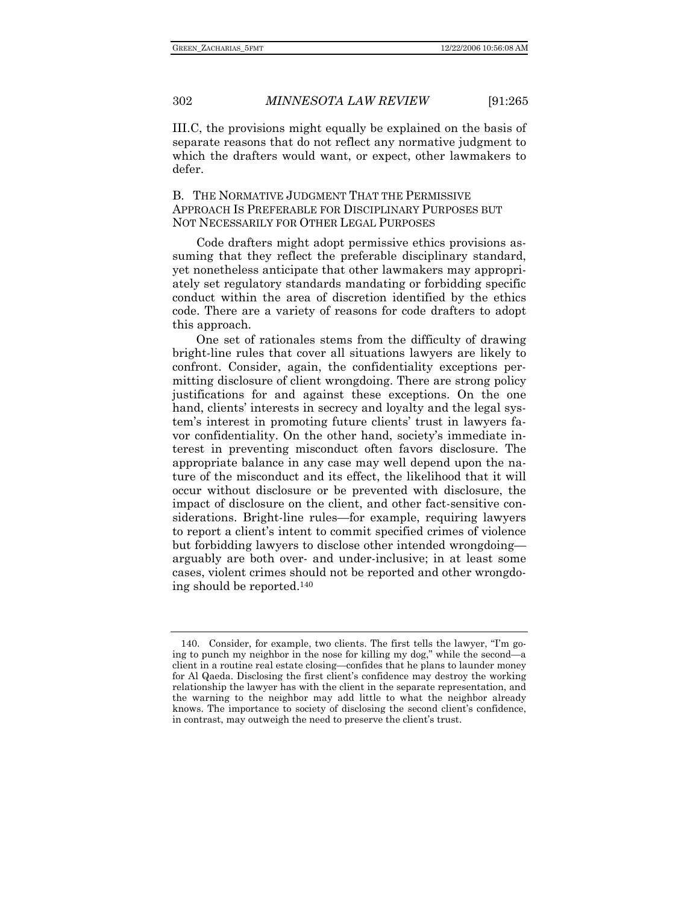III.C, the provisions might equally be explained on the basis of separate reasons that do not reflect any normative judgment to which the drafters would want, or expect, other lawmakers to defer.

B. THE NORMATIVE JUDGMENT THAT THE PERMISSIVE APPROACH IS PREFERABLE FOR DISCIPLINARY PURPOSES BUT NOT NECESSARILY FOR OTHER LEGAL PURPOSES

Code drafters might adopt permissive ethics provisions assuming that they reflect the preferable disciplinary standard, yet nonetheless anticipate that other lawmakers may appropriately set regulatory standards mandating or forbidding specific conduct within the area of discretion identified by the ethics code. There are a variety of reasons for code drafters to adopt this approach.

One set of rationales stems from the difficulty of drawing bright-line rules that cover all situations lawyers are likely to confront. Consider, again, the confidentiality exceptions permitting disclosure of client wrongdoing. There are strong policy justifications for and against these exceptions. On the one hand, clients' interests in secrecy and loyalty and the legal system's interest in promoting future clients' trust in lawyers favor confidentiality. On the other hand, society's immediate interest in preventing misconduct often favors disclosure. The appropriate balance in any case may well depend upon the nature of the misconduct and its effect, the likelihood that it will occur without disclosure or be prevented with disclosure, the impact of disclosure on the client, and other fact-sensitive considerations. Bright-line rules—for example, requiring lawyers to report a client's intent to commit specified crimes of violence but forbidding lawyers to disclose other intended wrongdoing arguably are both over- and under-inclusive; in at least some cases, violent crimes should not be reported and other wrongdoing should be reported.140

 <sup>140.</sup> Consider, for example, two clients. The first tells the lawyer, "I'm going to punch my neighbor in the nose for killing my dog," while the second—a client in a routine real estate closing—confides that he plans to launder money for Al Qaeda. Disclosing the first client's confidence may destroy the working relationship the lawyer has with the client in the separate representation, and the warning to the neighbor may add little to what the neighbor already knows. The importance to society of disclosing the second client's confidence, in contrast, may outweigh the need to preserve the client's trust.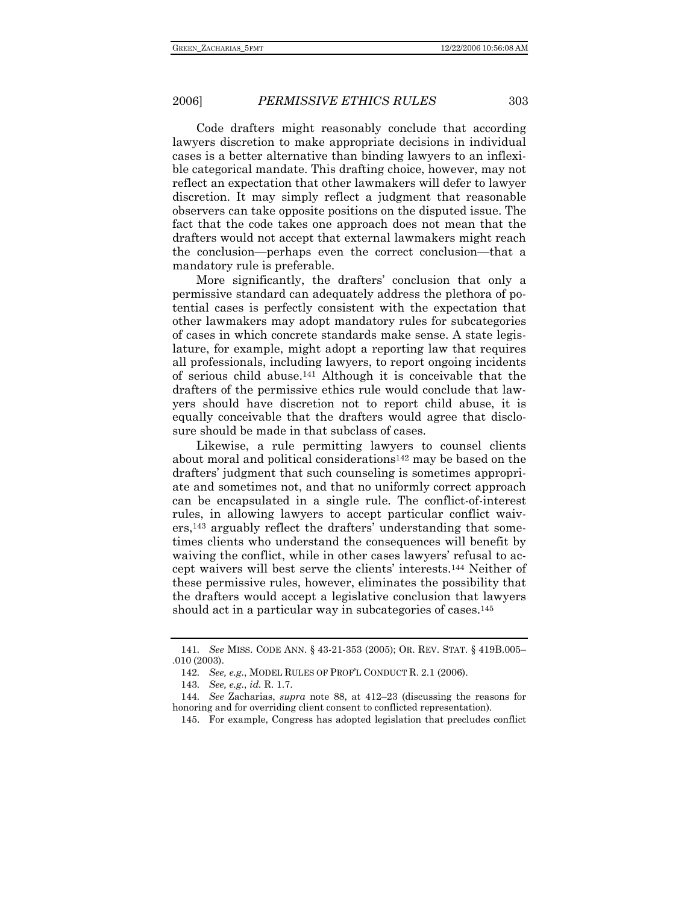Code drafters might reasonably conclude that according lawyers discretion to make appropriate decisions in individual cases is a better alternative than binding lawyers to an inflexible categorical mandate. This drafting choice, however, may not reflect an expectation that other lawmakers will defer to lawyer discretion. It may simply reflect a judgment that reasonable observers can take opposite positions on the disputed issue. The fact that the code takes one approach does not mean that the drafters would not accept that external lawmakers might reach the conclusion—perhaps even the correct conclusion—that a mandatory rule is preferable.

More significantly, the drafters' conclusion that only a permissive standard can adequately address the plethora of potential cases is perfectly consistent with the expectation that other lawmakers may adopt mandatory rules for subcategories of cases in which concrete standards make sense. A state legislature, for example, might adopt a reporting law that requires all professionals, including lawyers, to report ongoing incidents of serious child abuse.141 Although it is conceivable that the drafters of the permissive ethics rule would conclude that lawyers should have discretion not to report child abuse, it is equally conceivable that the drafters would agree that disclosure should be made in that subclass of cases.

Likewise, a rule permitting lawyers to counsel clients about moral and political considerations142 may be based on the drafters' judgment that such counseling is sometimes appropriate and sometimes not, and that no uniformly correct approach can be encapsulated in a single rule. The conflict-of-interest rules, in allowing lawyers to accept particular conflict waivers,143 arguably reflect the drafters' understanding that sometimes clients who understand the consequences will benefit by waiving the conflict, while in other cases lawyers' refusal to accept waivers will best serve the clients' interests.144 Neither of these permissive rules, however, eliminates the possibility that the drafters would accept a legislative conclusion that lawyers should act in a particular way in subcategories of cases.<sup>145</sup>

<sup>141</sup>*. See* MISS. CODE ANN. § 43-21-353 (2005); OR. REV. STAT. § 419B.005– .010 (2003).

<sup>142</sup>*. See, e.g.*, MODEL RULES OF PROF'L CONDUCT R. 2.1 (2006).

<sup>143</sup>*. See, e.g.*, *id.* R. 1.7.

<sup>144</sup>*. See* Zacharias, *supra* note 88, at 412–23 (discussing the reasons for honoring and for overriding client consent to conflicted representation).

 <sup>145.</sup> For example, Congress has adopted legislation that precludes conflict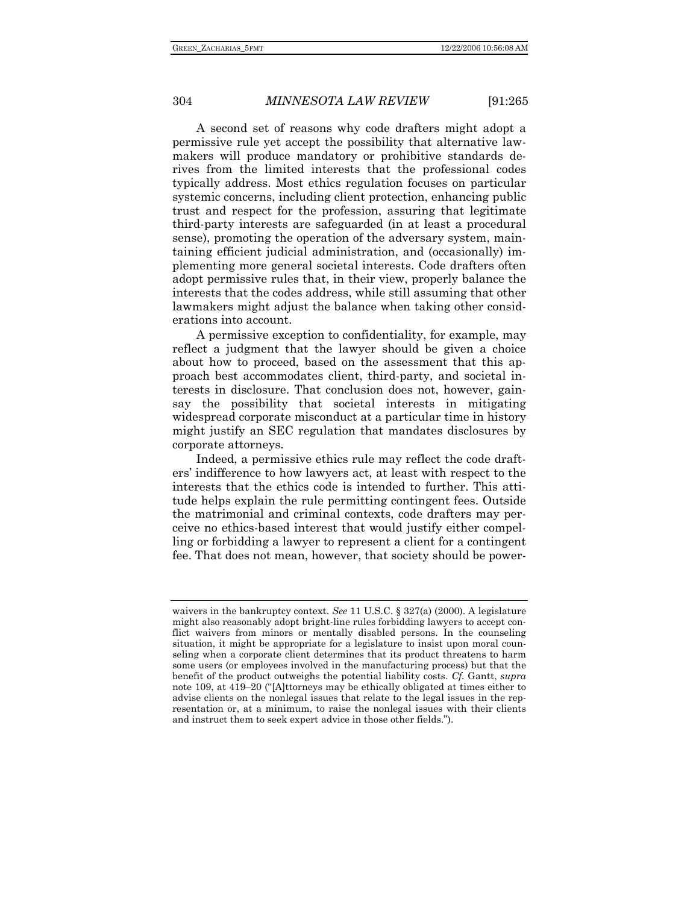A second set of reasons why code drafters might adopt a permissive rule yet accept the possibility that alternative lawmakers will produce mandatory or prohibitive standards derives from the limited interests that the professional codes typically address. Most ethics regulation focuses on particular systemic concerns, including client protection, enhancing public trust and respect for the profession, assuring that legitimate third-party interests are safeguarded (in at least a procedural sense), promoting the operation of the adversary system, maintaining efficient judicial administration, and (occasionally) implementing more general societal interests. Code drafters often adopt permissive rules that, in their view, properly balance the interests that the codes address, while still assuming that other lawmakers might adjust the balance when taking other considerations into account.

A permissive exception to confidentiality, for example, may reflect a judgment that the lawyer should be given a choice about how to proceed, based on the assessment that this approach best accommodates client, third-party, and societal interests in disclosure. That conclusion does not, however, gainsay the possibility that societal interests in mitigating widespread corporate misconduct at a particular time in history might justify an SEC regulation that mandates disclosures by corporate attorneys.

Indeed, a permissive ethics rule may reflect the code drafters' indifference to how lawyers act, at least with respect to the interests that the ethics code is intended to further. This attitude helps explain the rule permitting contingent fees. Outside the matrimonial and criminal contexts, code drafters may perceive no ethics-based interest that would justify either compelling or forbidding a lawyer to represent a client for a contingent fee. That does not mean, however, that society should be power-

waivers in the bankruptcy context. *See* 11 U.S.C. § 327(a) (2000). A legislature might also reasonably adopt bright-line rules forbidding lawyers to accept conflict waivers from minors or mentally disabled persons. In the counseling situation, it might be appropriate for a legislature to insist upon moral counseling when a corporate client determines that its product threatens to harm some users (or employees involved in the manufacturing process) but that the benefit of the product outweighs the potential liability costs. *Cf.* Gantt, *supra* note 109, at 419–20 ("[A]ttorneys may be ethically obligated at times either to advise clients on the nonlegal issues that relate to the legal issues in the representation or, at a minimum, to raise the nonlegal issues with their clients and instruct them to seek expert advice in those other fields.").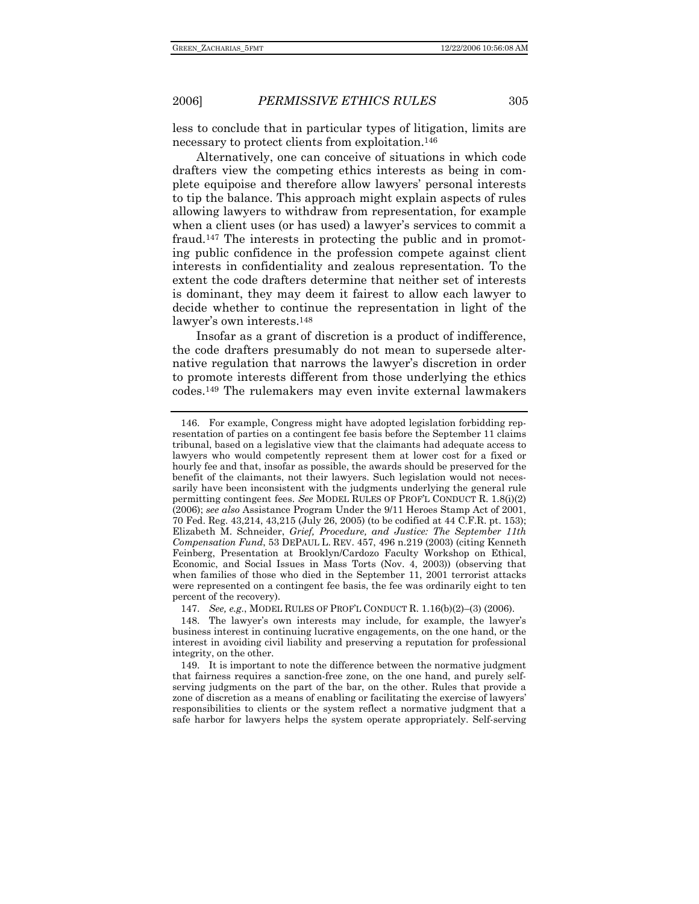less to conclude that in particular types of litigation, limits are necessary to protect clients from exploitation.146

Alternatively, one can conceive of situations in which code drafters view the competing ethics interests as being in complete equipoise and therefore allow lawyers' personal interests to tip the balance. This approach might explain aspects of rules allowing lawyers to withdraw from representation, for example when a client uses (or has used) a lawyer's services to commit a fraud.147 The interests in protecting the public and in promoting public confidence in the profession compete against client interests in confidentiality and zealous representation. To the extent the code drafters determine that neither set of interests is dominant, they may deem it fairest to allow each lawyer to decide whether to continue the representation in light of the lawyer's own interests.148

Insofar as a grant of discretion is a product of indifference, the code drafters presumably do not mean to supersede alternative regulation that narrows the lawyer's discretion in order to promote interests different from those underlying the ethics codes.149 The rulemakers may even invite external lawmakers

 <sup>146.</sup> For example, Congress might have adopted legislation forbidding representation of parties on a contingent fee basis before the September 11 claims tribunal, based on a legislative view that the claimants had adequate access to lawyers who would competently represent them at lower cost for a fixed or hourly fee and that, insofar as possible, the awards should be preserved for the benefit of the claimants, not their lawyers. Such legislation would not necessarily have been inconsistent with the judgments underlying the general rule permitting contingent fees. *See* MODEL RULES OF PROF'L CONDUCT R. 1.8(i)(2) (2006); *see also* Assistance Program Under the 9/11 Heroes Stamp Act of 2001, 70 Fed. Reg. 43,214, 43,215 (July 26, 2005) (to be codified at 44 C.F.R. pt. 153); Elizabeth M. Schneider, *Grief, Procedure, and Justice: The September 11th Compensation Fund*, 53 DEPAUL L. REV. 457, 496 n.219 (2003) (citing Kenneth Feinberg, Presentation at Brooklyn/Cardozo Faculty Workshop on Ethical, Economic, and Social Issues in Mass Torts (Nov. 4, 2003)) (observing that when families of those who died in the September 11, 2001 terrorist attacks were represented on a contingent fee basis, the fee was ordinarily eight to ten percent of the recovery).

 <sup>147.</sup> *See, e.g.*, MODEL RULES OF PROF'L CONDUCT R. 1.16(b)(2)–(3) (2006).

 <sup>148.</sup> The lawyer's own interests may include, for example, the lawyer's business interest in continuing lucrative engagements, on the one hand, or the interest in avoiding civil liability and preserving a reputation for professional integrity, on the other.

 <sup>149.</sup> It is important to note the difference between the normative judgment that fairness requires a sanction-free zone, on the one hand, and purely selfserving judgments on the part of the bar, on the other. Rules that provide a zone of discretion as a means of enabling or facilitating the exercise of lawyers' responsibilities to clients or the system reflect a normative judgment that a safe harbor for lawyers helps the system operate appropriately. Self-serving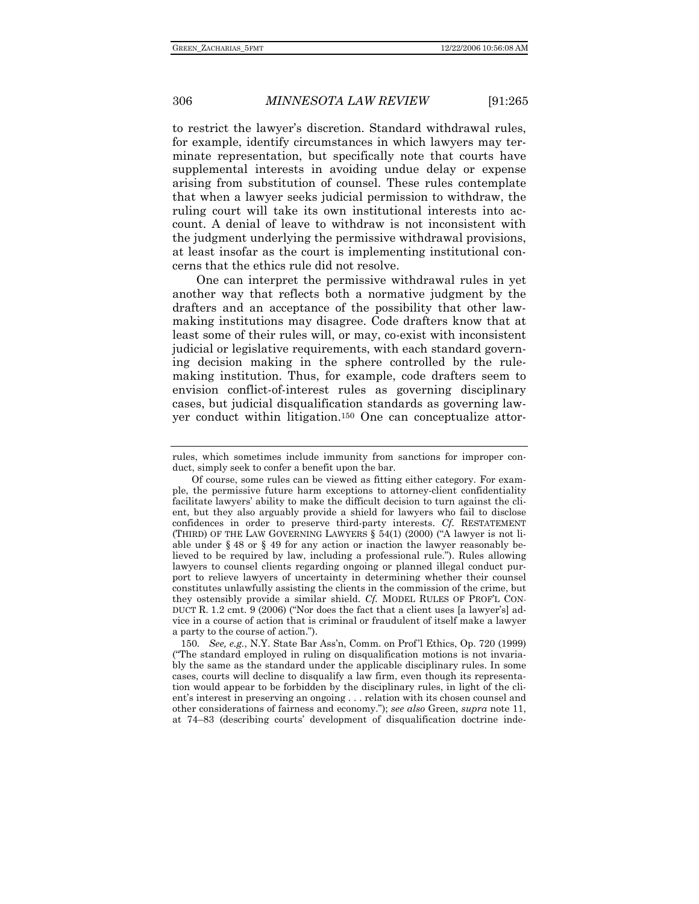to restrict the lawyer's discretion. Standard withdrawal rules, for example, identify circumstances in which lawyers may terminate representation, but specifically note that courts have supplemental interests in avoiding undue delay or expense arising from substitution of counsel. These rules contemplate that when a lawyer seeks judicial permission to withdraw, the ruling court will take its own institutional interests into account. A denial of leave to withdraw is not inconsistent with the judgment underlying the permissive withdrawal provisions, at least insofar as the court is implementing institutional concerns that the ethics rule did not resolve.

One can interpret the permissive withdrawal rules in yet another way that reflects both a normative judgment by the drafters and an acceptance of the possibility that other lawmaking institutions may disagree. Code drafters know that at least some of their rules will, or may, co-exist with inconsistent judicial or legislative requirements, with each standard governing decision making in the sphere controlled by the rulemaking institution. Thus, for example, code drafters seem to envision conflict-of-interest rules as governing disciplinary cases, but judicial disqualification standards as governing lawyer conduct within litigation.150 One can conceptualize attor-

150*. See, e.g.*, N.Y. State Bar Ass'n, Comm. on Prof'l Ethics, Op. 720 (1999) ("The standard employed in ruling on disqualification motions is not invariably the same as the standard under the applicable disciplinary rules. In some cases, courts will decline to disqualify a law firm, even though its representation would appear to be forbidden by the disciplinary rules, in light of the client's interest in preserving an ongoing . . . relation with its chosen counsel and other considerations of fairness and economy."); *see also* Green, *supra* note 11, at 74–83 (describing courts' development of disqualification doctrine inde-

rules, which sometimes include immunity from sanctions for improper conduct, simply seek to confer a benefit upon the bar.

Of course, some rules can be viewed as fitting either category. For example, the permissive future harm exceptions to attorney-client confidentiality facilitate lawyers' ability to make the difficult decision to turn against the client, but they also arguably provide a shield for lawyers who fail to disclose confidences in order to preserve third-party interests. *Cf.* RESTATEMENT (THIRD) OF THE LAW GOVERNING LAWYERS § 54(1) (2000) ("A lawyer is not liable under § 48 or § 49 for any action or inaction the lawyer reasonably believed to be required by law, including a professional rule."). Rules allowing lawyers to counsel clients regarding ongoing or planned illegal conduct purport to relieve lawyers of uncertainty in determining whether their counsel constitutes unlawfully assisting the clients in the commission of the crime, but they ostensibly provide a similar shield. *Cf.* MODEL RULES OF PROF'L CON-DUCT R. 1.2 cmt. 9 (2006) ("Nor does the fact that a client uses [a lawyer's] advice in a course of action that is criminal or fraudulent of itself make a lawyer a party to the course of action.").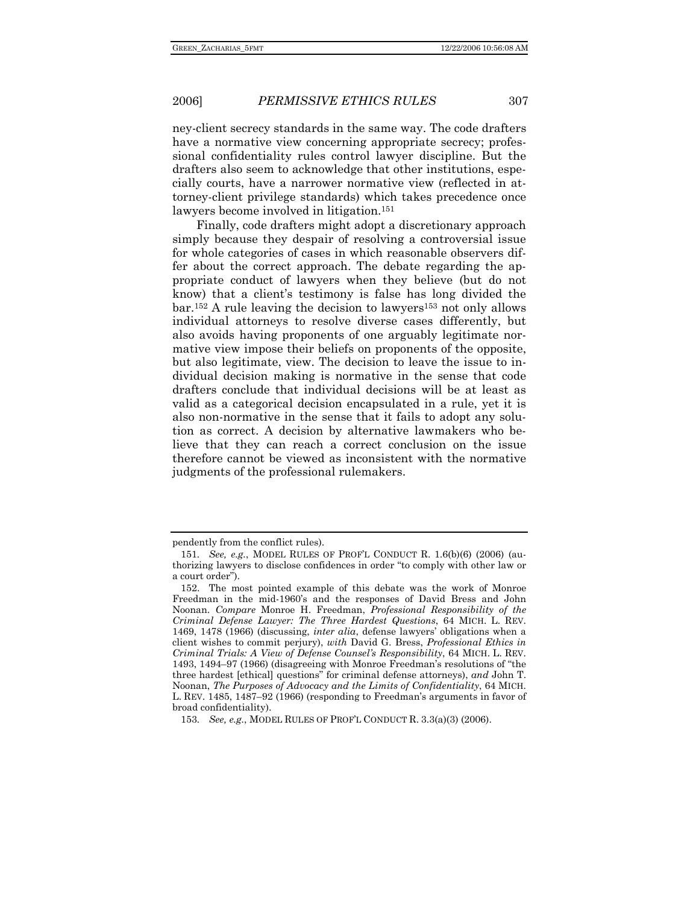ney-client secrecy standards in the same way. The code drafters have a normative view concerning appropriate secrecy; professional confidentiality rules control lawyer discipline. But the drafters also seem to acknowledge that other institutions, especially courts, have a narrower normative view (reflected in attorney-client privilege standards) which takes precedence once lawyers become involved in litigation.151

Finally, code drafters might adopt a discretionary approach simply because they despair of resolving a controversial issue for whole categories of cases in which reasonable observers differ about the correct approach. The debate regarding the appropriate conduct of lawyers when they believe (but do not know) that a client's testimony is false has long divided the bar.152 A rule leaving the decision to lawyers153 not only allows individual attorneys to resolve diverse cases differently, but also avoids having proponents of one arguably legitimate normative view impose their beliefs on proponents of the opposite, but also legitimate, view. The decision to leave the issue to individual decision making is normative in the sense that code drafters conclude that individual decisions will be at least as valid as a categorical decision encapsulated in a rule, yet it is also non-normative in the sense that it fails to adopt any solution as correct. A decision by alternative lawmakers who believe that they can reach a correct conclusion on the issue therefore cannot be viewed as inconsistent with the normative judgments of the professional rulemakers.

pendently from the conflict rules).

<sup>151</sup>*. See, e.g.*, MODEL RULES OF PROF'L CONDUCT R. 1.6(b)(6) (2006) (authorizing lawyers to disclose confidences in order "to comply with other law or a court order").

 <sup>152.</sup> The most pointed example of this debate was the work of Monroe Freedman in the mid-1960's and the responses of David Bress and John Noonan. *Compare* Monroe H. Freedman, *Professional Responsibility of the Criminal Defense Lawyer: The Three Hardest Questions*, 64 MICH. L. REV. 1469, 1478 (1966) (discussing, *inter alia*, defense lawyers' obligations when a client wishes to commit perjury), *with* David G. Bress, *Professional Ethics in Criminal Trials: A View of Defense Counsel's Responsibility*, 64 MICH. L. REV. 1493, 1494–97 (1966) (disagreeing with Monroe Freedman's resolutions of "the three hardest [ethical] questions" for criminal defense attorneys), *and* John T. Noonan, *The Purposes of Advocacy and the Limits of Confidentiality*, 64 MICH. L. REV. 1485, 1487–92 (1966) (responding to Freedman's arguments in favor of broad confidentiality).

<sup>153</sup>*. See, e.g.*, MODEL RULES OF PROF'L CONDUCT R. 3.3(a)(3) (2006).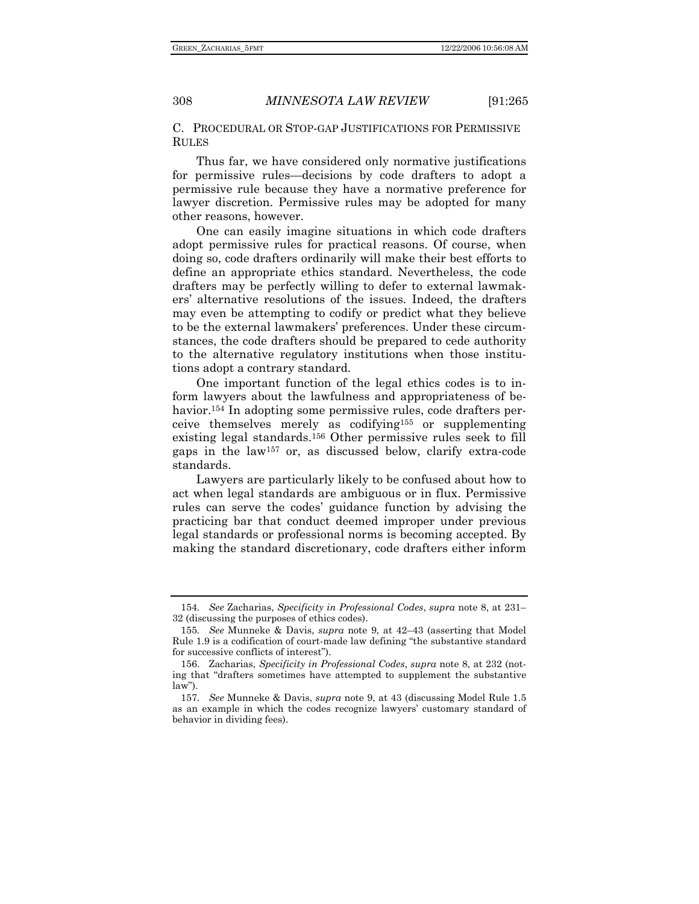C. PROCEDURAL OR STOP-GAP JUSTIFICATIONS FOR PERMISSIVE RULES

Thus far, we have considered only normative justifications for permissive rules—decisions by code drafters to adopt a permissive rule because they have a normative preference for lawyer discretion. Permissive rules may be adopted for many other reasons, however.

One can easily imagine situations in which code drafters adopt permissive rules for practical reasons. Of course, when doing so, code drafters ordinarily will make their best efforts to define an appropriate ethics standard. Nevertheless, the code drafters may be perfectly willing to defer to external lawmakers' alternative resolutions of the issues. Indeed, the drafters may even be attempting to codify or predict what they believe to be the external lawmakers' preferences. Under these circumstances, the code drafters should be prepared to cede authority to the alternative regulatory institutions when those institutions adopt a contrary standard.

One important function of the legal ethics codes is to inform lawyers about the lawfulness and appropriateness of behavior.<sup>154</sup> In adopting some permissive rules, code drafters perceive themselves merely as codifying155 or supplementing existing legal standards.156 Other permissive rules seek to fill gaps in the law157 or, as discussed below, clarify extra-code standards.

Lawyers are particularly likely to be confused about how to act when legal standards are ambiguous or in flux. Permissive rules can serve the codes' guidance function by advising the practicing bar that conduct deemed improper under previous legal standards or professional norms is becoming accepted. By making the standard discretionary, code drafters either inform

<sup>154</sup>*. See* Zacharias, *Specificity in Professional Codes*, *supra* note 8, at 231– 32 (discussing the purposes of ethics codes).

<sup>155</sup>*. See* Munneke & Davis, *supra* note 9, at 42–43 (asserting that Model Rule 1.9 is a codification of court-made law defining "the substantive standard for successive conflicts of interest").

 <sup>156.</sup> Zacharias, *Specificity in Professional Codes*, *supra* note 8, at 232 (noting that "drafters sometimes have attempted to supplement the substantive law").

<sup>157</sup>*. See* Munneke & Davis, *supra* note 9, at 43 (discussing Model Rule 1.5 as an example in which the codes recognize lawyers' customary standard of behavior in dividing fees).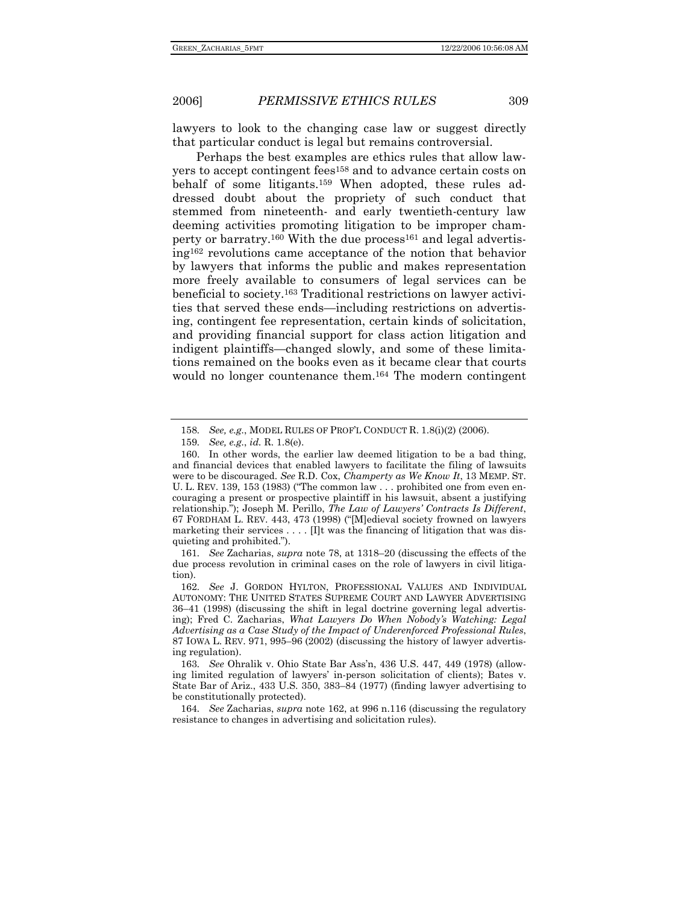lawyers to look to the changing case law or suggest directly that particular conduct is legal but remains controversial.

Perhaps the best examples are ethics rules that allow lawyers to accept contingent fees158 and to advance certain costs on behalf of some litigants.159 When adopted, these rules addressed doubt about the propriety of such conduct that stemmed from nineteenth- and early twentieth-century law deeming activities promoting litigation to be improper champerty or barratry.<sup>160</sup> With the due process<sup>161</sup> and legal advertising162 revolutions came acceptance of the notion that behavior by lawyers that informs the public and makes representation more freely available to consumers of legal services can be beneficial to society.163 Traditional restrictions on lawyer activities that served these ends—including restrictions on advertising, contingent fee representation, certain kinds of solicitation, and providing financial support for class action litigation and indigent plaintiffs—changed slowly, and some of these limitations remained on the books even as it became clear that courts would no longer countenance them.164 The modern contingent

161*. See* Zacharias, *supra* note 78, at 1318–20 (discussing the effects of the due process revolution in criminal cases on the role of lawyers in civil litigation).

<sup>158</sup>*. See, e.g.*, MODEL RULES OF PROF'L CONDUCT R. 1.8(i)(2) (2006).

<sup>159</sup>*. See, e.g.*, *id.* R. 1.8(e).

 <sup>160.</sup> In other words, the earlier law deemed litigation to be a bad thing, and financial devices that enabled lawyers to facilitate the filing of lawsuits were to be discouraged. *See* R.D. Cox, *Champerty as We Know It*, 13 MEMP. ST. U. L. REV. 139, 153 (1983) ("The common law . . . prohibited one from even encouraging a present or prospective plaintiff in his lawsuit, absent a justifying relationship."); Joseph M. Perillo, *The Law of Lawyers' Contracts Is Different*, 67 FORDHAM L. REV. 443, 473 (1998) ("[M]edieval society frowned on lawyers marketing their services . . . . [I]t was the financing of litigation that was disquieting and prohibited.").

<sup>162</sup>*. See* J. GORDON HYLTON, PROFESSIONAL VALUES AND INDIVIDUAL AUTONOMY: THE UNITED STATES SUPREME COURT AND LAWYER ADVERTISING 36–41 (1998) (discussing the shift in legal doctrine governing legal advertising); Fred C. Zacharias, *What Lawyers Do When Nobody's Watching: Legal Advertising as a Case Study of the Impact of Underenforced Professional Rules*, 87 IOWA L. REV. 971, 995–96 (2002) (discussing the history of lawyer advertising regulation).

<sup>163</sup>*. See* Ohralik v. Ohio State Bar Ass'n, 436 U.S. 447, 449 (1978) (allowing limited regulation of lawyers' in-person solicitation of clients); Bates v. State Bar of Ariz., 433 U.S. 350, 383–84 (1977) (finding lawyer advertising to be constitutionally protected).

<sup>164</sup>*. See* Zacharias, *supra* note 162, at 996 n.116 (discussing the regulatory resistance to changes in advertising and solicitation rules).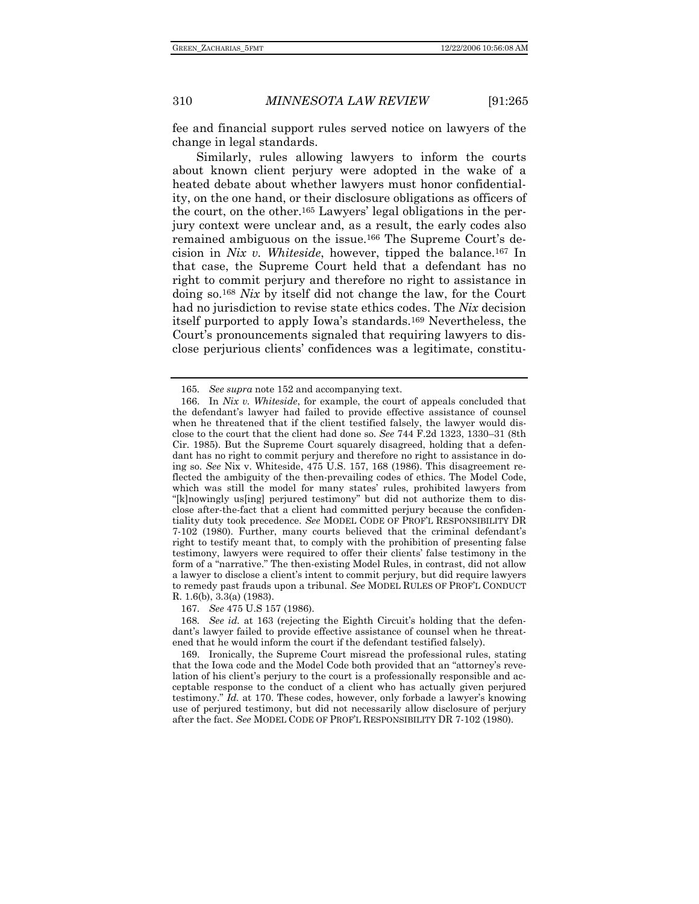fee and financial support rules served notice on lawyers of the change in legal standards.

Similarly, rules allowing lawyers to inform the courts about known client perjury were adopted in the wake of a heated debate about whether lawyers must honor confidentiality, on the one hand, or their disclosure obligations as officers of the court, on the other.165 Lawyers' legal obligations in the perjury context were unclear and, as a result, the early codes also remained ambiguous on the issue.166 The Supreme Court's decision in *Nix v. Whiteside*, however, tipped the balance.167 In that case, the Supreme Court held that a defendant has no right to commit perjury and therefore no right to assistance in doing so.168 *Nix* by itself did not change the law, for the Court had no jurisdiction to revise state ethics codes. The *Nix* decision itself purported to apply Iowa's standards.169 Nevertheless, the Court's pronouncements signaled that requiring lawyers to disclose perjurious clients' confidences was a legitimate, constitu-

<sup>165</sup>*. See supra* note 152 and accompanying text.

 <sup>166.</sup> In *Nix v. Whiteside*, for example, the court of appeals concluded that the defendant's lawyer had failed to provide effective assistance of counsel when he threatened that if the client testified falsely, the lawyer would disclose to the court that the client had done so. *See* 744 F.2d 1323, 1330–31 (8th Cir. 1985). But the Supreme Court squarely disagreed, holding that a defendant has no right to commit perjury and therefore no right to assistance in doing so. *See* Nix v. Whiteside, 475 U.S. 157, 168 (1986). This disagreement reflected the ambiguity of the then-prevailing codes of ethics. The Model Code, which was still the model for many states' rules, prohibited lawyers from "[k]nowingly us[ing] perjured testimony" but did not authorize them to disclose after-the-fact that a client had committed perjury because the confidentiality duty took precedence. *See* MODEL CODE OF PROF'L RESPONSIBILITY DR 7-102 (1980). Further, many courts believed that the criminal defendant's right to testify meant that, to comply with the prohibition of presenting false testimony, lawyers were required to offer their clients' false testimony in the form of a "narrative." The then-existing Model Rules, in contrast, did not allow a lawyer to disclose a client's intent to commit perjury, but did require lawyers to remedy past frauds upon a tribunal. *See* MODEL RULES OF PROF'L CONDUCT R. 1.6(b), 3.3(a) (1983).

 <sup>167.</sup> *See* 475 U.S 157 (1986).

<sup>168</sup>*. See id.* at 163 (rejecting the Eighth Circuit's holding that the defendant's lawyer failed to provide effective assistance of counsel when he threatened that he would inform the court if the defendant testified falsely).

 <sup>169.</sup> Ironically, the Supreme Court misread the professional rules, stating that the Iowa code and the Model Code both provided that an "attorney's revelation of his client's perjury to the court is a professionally responsible and acceptable response to the conduct of a client who has actually given perjured testimony." *Id.* at 170. These codes, however, only forbade a lawyer's knowing use of perjured testimony, but did not necessarily allow disclosure of perjury after the fact. *See* MODEL CODE OF PROF'L RESPONSIBILITY DR 7-102 (1980).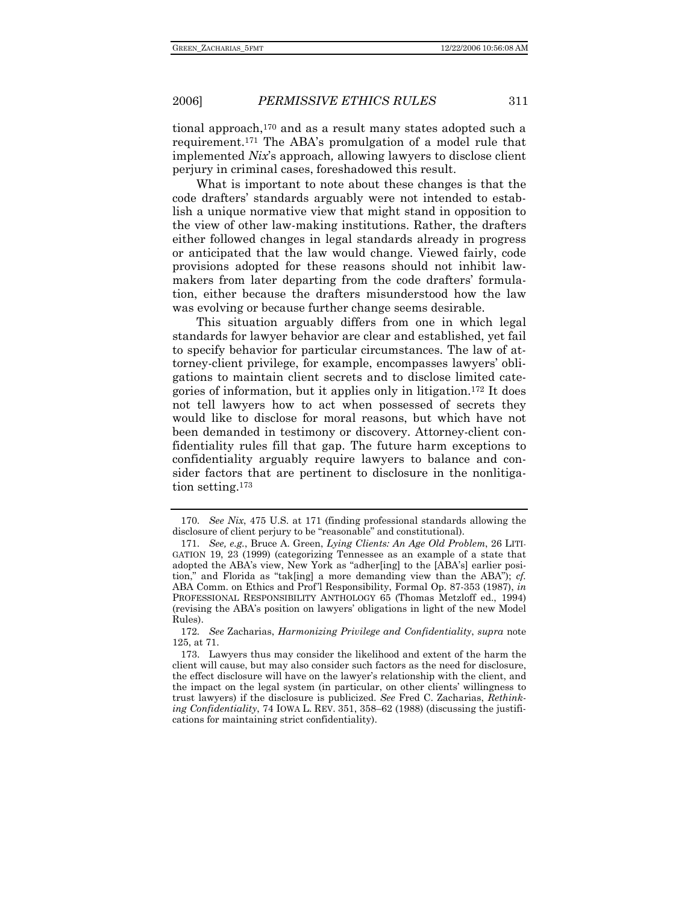tional approach,170 and as a result many states adopted such a requirement.171 The ABA's promulgation of a model rule that implemented *Nix*'s approach*,* allowing lawyers to disclose client perjury in criminal cases, foreshadowed this result.

What is important to note about these changes is that the code drafters' standards arguably were not intended to establish a unique normative view that might stand in opposition to the view of other law-making institutions. Rather, the drafters either followed changes in legal standards already in progress or anticipated that the law would change. Viewed fairly, code provisions adopted for these reasons should not inhibit lawmakers from later departing from the code drafters' formulation, either because the drafters misunderstood how the law was evolving or because further change seems desirable.

This situation arguably differs from one in which legal standards for lawyer behavior are clear and established, yet fail to specify behavior for particular circumstances. The law of attorney-client privilege, for example, encompasses lawyers' obligations to maintain client secrets and to disclose limited categories of information, but it applies only in litigation.172 It does not tell lawyers how to act when possessed of secrets they would like to disclose for moral reasons, but which have not been demanded in testimony or discovery. Attorney-client confidentiality rules fill that gap. The future harm exceptions to confidentiality arguably require lawyers to balance and consider factors that are pertinent to disclosure in the nonlitigation setting.173

 <sup>170.</sup> *See Nix*, 475 U.S. at 171 (finding professional standards allowing the disclosure of client perjury to be "reasonable" and constitutional).

 <sup>171.</sup> *See, e.g.*, Bruce A. Green, *Lying Clients: An Age Old Problem*, 26 LITI-GATION 19, 23 (1999) (categorizing Tennessee as an example of a state that adopted the ABA's view, New York as "adher[ing] to the [ABA's] earlier position," and Florida as "tak[ing] a more demanding view than the ABA"); *cf.*  ABA Comm. on Ethics and Prof'l Responsibility, Formal Op. 87-353 (1987), *in* PROFESSIONAL RESPONSIBILITY ANTHOLOGY 65 (Thomas Metzloff ed., 1994) (revising the ABA's position on lawyers' obligations in light of the new Model Rules).

<sup>172</sup>*. See* Zacharias, *Harmonizing Privilege and Confidentiality*, *supra* note 125, at 71.

 <sup>173.</sup> Lawyers thus may consider the likelihood and extent of the harm the client will cause, but may also consider such factors as the need for disclosure, the effect disclosure will have on the lawyer's relationship with the client, and the impact on the legal system (in particular, on other clients' willingness to trust lawyers) if the disclosure is publicized. *See* Fred C. Zacharias, *Rethinking Confidentiality*, 74 IOWA L. REV. 351, 358–62 (1988) (discussing the justifications for maintaining strict confidentiality).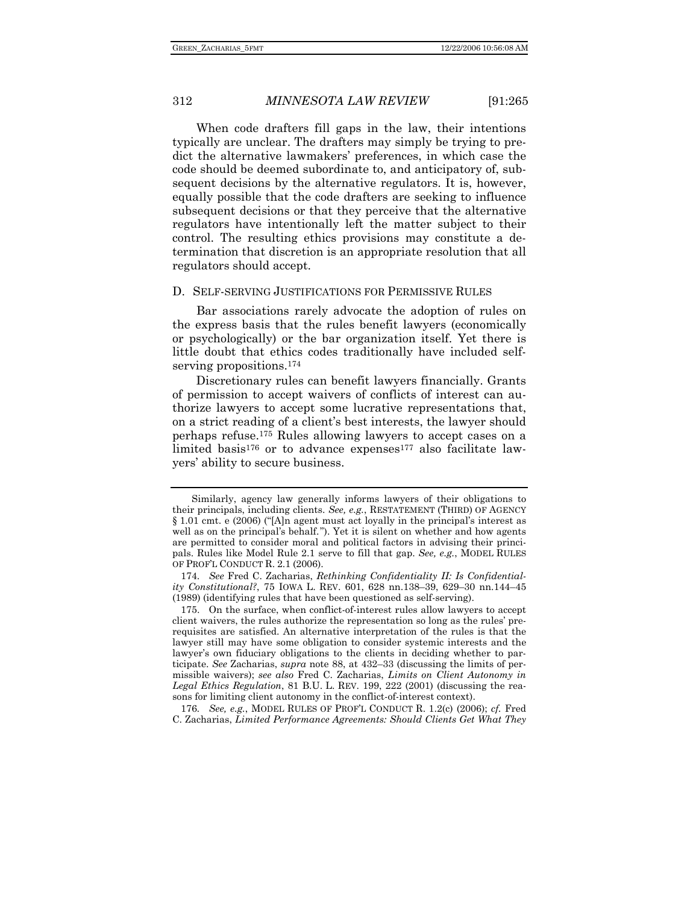When code drafters fill gaps in the law, their intentions typically are unclear. The drafters may simply be trying to predict the alternative lawmakers' preferences, in which case the code should be deemed subordinate to, and anticipatory of, subsequent decisions by the alternative regulators. It is, however, equally possible that the code drafters are seeking to influence subsequent decisions or that they perceive that the alternative regulators have intentionally left the matter subject to their control. The resulting ethics provisions may constitute a determination that discretion is an appropriate resolution that all regulators should accept.

### D. SELF-SERVING JUSTIFICATIONS FOR PERMISSIVE RULES

Bar associations rarely advocate the adoption of rules on the express basis that the rules benefit lawyers (economically or psychologically) or the bar organization itself. Yet there is little doubt that ethics codes traditionally have included selfserving propositions.<sup>174</sup>

Discretionary rules can benefit lawyers financially. Grants of permission to accept waivers of conflicts of interest can authorize lawyers to accept some lucrative representations that, on a strict reading of a client's best interests, the lawyer should perhaps refuse.175 Rules allowing lawyers to accept cases on a limited basis<sup>176</sup> or to advance expenses<sup>177</sup> also facilitate lawyers' ability to secure business.

176*. See, e.g.*, MODEL RULES OF PROF'L CONDUCT R. 1.2(c) (2006); *cf.* Fred C. Zacharias, *Limited Performance Agreements: Should Clients Get What They* 

Similarly, agency law generally informs lawyers of their obligations to their principals, including clients. *See, e.g.*, RESTATEMENT (THIRD) OF AGENCY § 1.01 cmt. e (2006) ("[A]n agent must act loyally in the principal's interest as well as on the principal's behalf."). Yet it is silent on whether and how agents are permitted to consider moral and political factors in advising their principals. Rules like Model Rule 2.1 serve to fill that gap. *See, e.g.*, MODEL RULES OF PROF'L CONDUCT R. 2.1 (2006).

 <sup>174.</sup> *See* Fred C. Zacharias, *Rethinking Confidentiality II: Is Confidentiality Constitutional?*, 75 IOWA L. REV. 601, 628 nn.138–39, 629–30 nn.144–45 (1989) (identifying rules that have been questioned as self-serving).

 <sup>175.</sup> On the surface, when conflict-of-interest rules allow lawyers to accept client waivers, the rules authorize the representation so long as the rules' prerequisites are satisfied. An alternative interpretation of the rules is that the lawyer still may have some obligation to consider systemic interests and the lawyer's own fiduciary obligations to the clients in deciding whether to participate. *See* Zacharias, *supra* note 88, at 432–33 (discussing the limits of permissible waivers); *see also* Fred C. Zacharias, *Limits on Client Autonomy in Legal Ethics Regulation*, 81 B.U. L. REV. 199, 222 (2001) (discussing the reasons for limiting client autonomy in the conflict-of-interest context).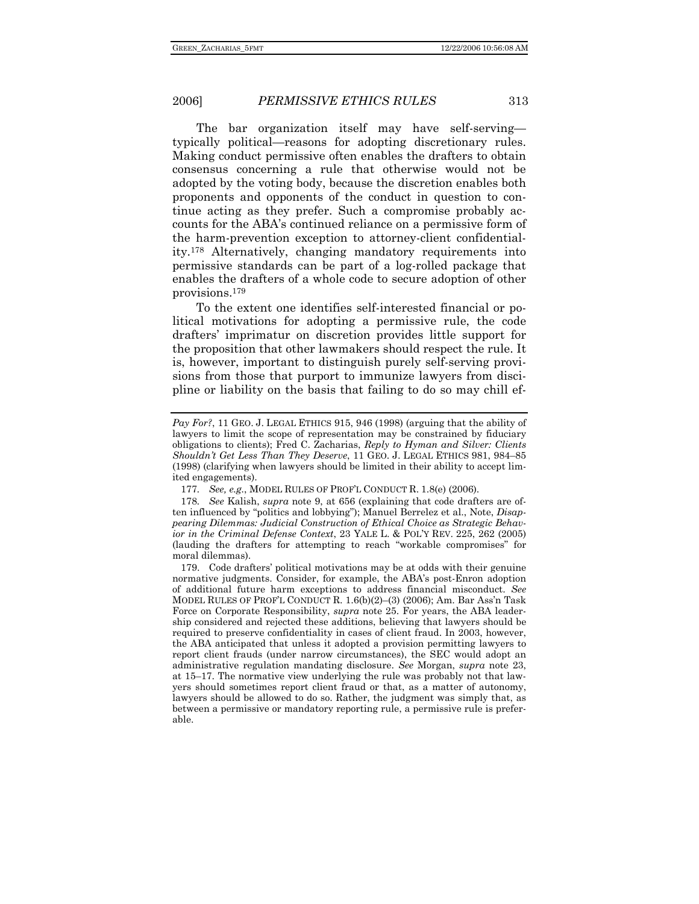The bar organization itself may have self-serving typically political—reasons for adopting discretionary rules. Making conduct permissive often enables the drafters to obtain consensus concerning a rule that otherwise would not be adopted by the voting body, because the discretion enables both proponents and opponents of the conduct in question to continue acting as they prefer. Such a compromise probably accounts for the ABA's continued reliance on a permissive form of the harm-prevention exception to attorney-client confidentiality.178 Alternatively, changing mandatory requirements into permissive standards can be part of a log-rolled package that enables the drafters of a whole code to secure adoption of other provisions.179

To the extent one identifies self-interested financial or political motivations for adopting a permissive rule, the code drafters' imprimatur on discretion provides little support for the proposition that other lawmakers should respect the rule. It is, however, important to distinguish purely self-serving provisions from those that purport to immunize lawyers from discipline or liability on the basis that failing to do so may chill ef-

*Pay For?*, 11 GEO. J. LEGAL ETHICS 915, 946 (1998) (arguing that the ability of lawyers to limit the scope of representation may be constrained by fiduciary obligations to clients); Fred C. Zacharias, *Reply to Hyman and Silver: Clients Shouldn't Get Less Than They Deserve*, 11 GEO. J. LEGAL ETHICS 981, 984–85 (1998) (clarifying when lawyers should be limited in their ability to accept limited engagements).

<sup>177</sup>*. See, e.g.*, MODEL RULES OF PROF'L CONDUCT R. 1.8(e) (2006).

<sup>178</sup>*. See* Kalish, *supra* note 9, at 656 (explaining that code drafters are often influenced by "politics and lobbying"); Manuel Berrelez et al., Note, *Disappearing Dilemmas: Judicial Construction of Ethical Choice as Strategic Behavior in the Criminal Defense Context*, 23 YALE L. & POL'Y REV. 225, 262 (2005) (lauding the drafters for attempting to reach "workable compromises" for moral dilemmas).

 <sup>179.</sup> Code drafters' political motivations may be at odds with their genuine normative judgments. Consider, for example, the ABA's post-Enron adoption of additional future harm exceptions to address financial misconduct. *See*  MODEL RULES OF PROF'L CONDUCT R. 1.6(b)(2)–(3) (2006); Am. Bar Ass'n Task Force on Corporate Responsibility, *supra* note 25. For years, the ABA leadership considered and rejected these additions, believing that lawyers should be required to preserve confidentiality in cases of client fraud. In 2003, however, the ABA anticipated that unless it adopted a provision permitting lawyers to report client frauds (under narrow circumstances), the SEC would adopt an administrative regulation mandating disclosure. *See* Morgan, *supra* note 23, at 15–17. The normative view underlying the rule was probably not that lawyers should sometimes report client fraud or that, as a matter of autonomy, lawyers should be allowed to do so. Rather, the judgment was simply that, as between a permissive or mandatory reporting rule, a permissive rule is preferable.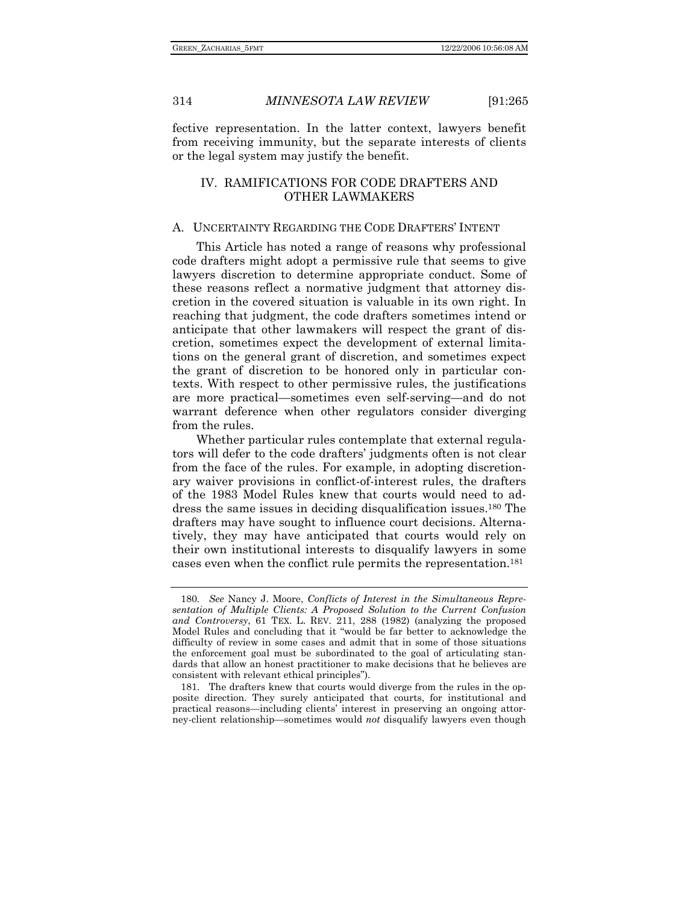fective representation. In the latter context, lawyers benefit from receiving immunity, but the separate interests of clients or the legal system may justify the benefit.

### IV. RAMIFICATIONS FOR CODE DRAFTERS AND OTHER LAWMAKERS

### A. UNCERTAINTY REGARDING THE CODE DRAFTERS' INTENT

This Article has noted a range of reasons why professional code drafters might adopt a permissive rule that seems to give lawyers discretion to determine appropriate conduct. Some of these reasons reflect a normative judgment that attorney discretion in the covered situation is valuable in its own right. In reaching that judgment, the code drafters sometimes intend or anticipate that other lawmakers will respect the grant of discretion, sometimes expect the development of external limitations on the general grant of discretion, and sometimes expect the grant of discretion to be honored only in particular contexts. With respect to other permissive rules, the justifications are more practical—sometimes even self-serving—and do not warrant deference when other regulators consider diverging from the rules.

Whether particular rules contemplate that external regulators will defer to the code drafters' judgments often is not clear from the face of the rules. For example, in adopting discretionary waiver provisions in conflict-of-interest rules, the drafters of the 1983 Model Rules knew that courts would need to address the same issues in deciding disqualification issues.180 The drafters may have sought to influence court decisions. Alternatively, they may have anticipated that courts would rely on their own institutional interests to disqualify lawyers in some cases even when the conflict rule permits the representation.181

<sup>180</sup>*. See* Nancy J. Moore, *Conflicts of Interest in the Simultaneous Representation of Multiple Clients: A Proposed Solution to the Current Confusion and Controversy*, 61 TEX. L. REV. 211, 288 (1982) (analyzing the proposed Model Rules and concluding that it "would be far better to acknowledge the difficulty of review in some cases and admit that in some of those situations the enforcement goal must be subordinated to the goal of articulating standards that allow an honest practitioner to make decisions that he believes are consistent with relevant ethical principles").

 <sup>181.</sup> The drafters knew that courts would diverge from the rules in the opposite direction. They surely anticipated that courts, for institutional and practical reasons—including clients' interest in preserving an ongoing attorney-client relationship—sometimes would *not* disqualify lawyers even though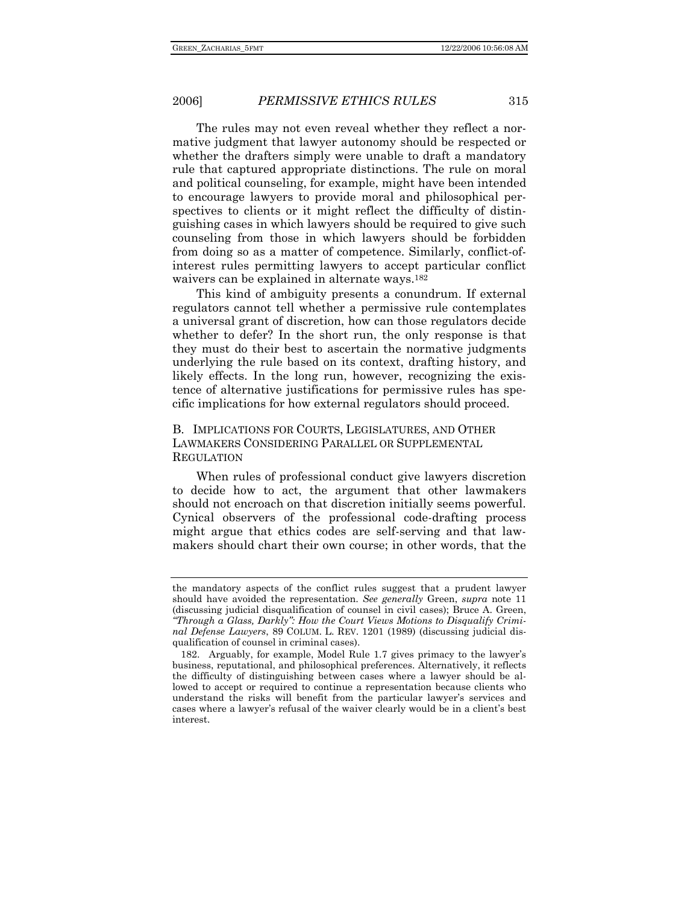The rules may not even reveal whether they reflect a normative judgment that lawyer autonomy should be respected or whether the drafters simply were unable to draft a mandatory rule that captured appropriate distinctions. The rule on moral and political counseling, for example, might have been intended to encourage lawyers to provide moral and philosophical perspectives to clients or it might reflect the difficulty of distinguishing cases in which lawyers should be required to give such counseling from those in which lawyers should be forbidden from doing so as a matter of competence. Similarly, conflict-ofinterest rules permitting lawyers to accept particular conflict waivers can be explained in alternate ways.<sup>182</sup>

This kind of ambiguity presents a conundrum. If external regulators cannot tell whether a permissive rule contemplates a universal grant of discretion, how can those regulators decide whether to defer? In the short run, the only response is that they must do their best to ascertain the normative judgments underlying the rule based on its context, drafting history, and likely effects. In the long run, however, recognizing the existence of alternative justifications for permissive rules has specific implications for how external regulators should proceed.

B. IMPLICATIONS FOR COURTS, LEGISLATURES, AND OTHER LAWMAKERS CONSIDERING PARALLEL OR SUPPLEMENTAL REGULATION

When rules of professional conduct give lawyers discretion to decide how to act, the argument that other lawmakers should not encroach on that discretion initially seems powerful. Cynical observers of the professional code-drafting process might argue that ethics codes are self-serving and that lawmakers should chart their own course; in other words, that the

the mandatory aspects of the conflict rules suggest that a prudent lawyer should have avoided the representation. *See generally* Green, *supra* note 11 (discussing judicial disqualification of counsel in civil cases); Bruce A. Green, *"Through a Glass, Darkly": How the Court Views Motions to Disqualify Criminal Defense Lawyers*, 89 COLUM. L. REV. 1201 (1989) (discussing judicial disqualification of counsel in criminal cases).

 <sup>182.</sup> Arguably, for example, Model Rule 1.7 gives primacy to the lawyer's business, reputational, and philosophical preferences. Alternatively, it reflects the difficulty of distinguishing between cases where a lawyer should be allowed to accept or required to continue a representation because clients who understand the risks will benefit from the particular lawyer's services and cases where a lawyer's refusal of the waiver clearly would be in a client's best interest.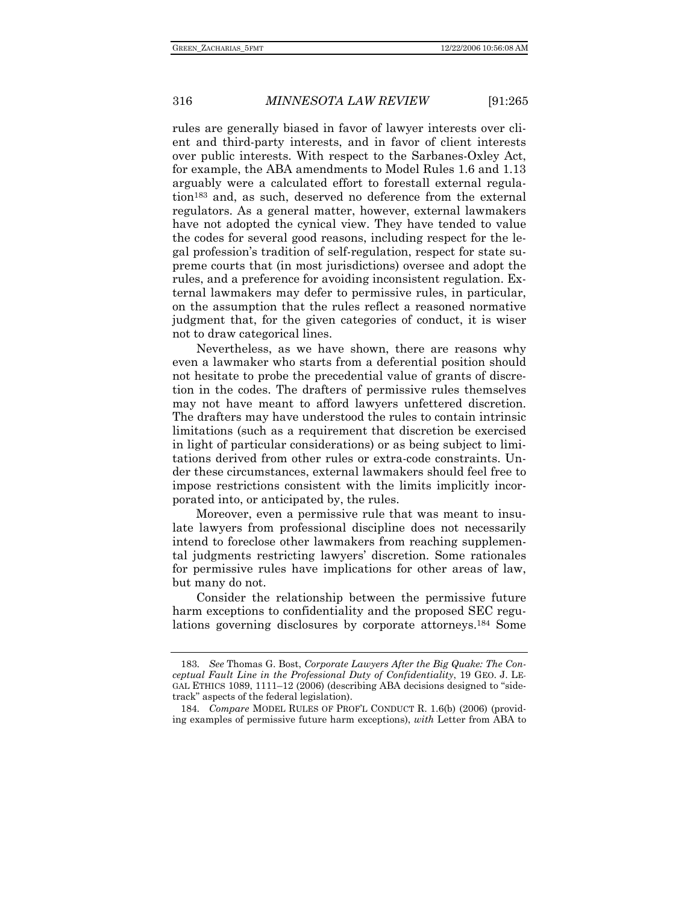rules are generally biased in favor of lawyer interests over client and third-party interests, and in favor of client interests over public interests. With respect to the Sarbanes-Oxley Act, for example, the ABA amendments to Model Rules 1.6 and 1.13 arguably were a calculated effort to forestall external regulation183 and, as such, deserved no deference from the external regulators. As a general matter, however, external lawmakers have not adopted the cynical view. They have tended to value the codes for several good reasons, including respect for the legal profession's tradition of self-regulation, respect for state supreme courts that (in most jurisdictions) oversee and adopt the rules, and a preference for avoiding inconsistent regulation. External lawmakers may defer to permissive rules, in particular, on the assumption that the rules reflect a reasoned normative judgment that, for the given categories of conduct, it is wiser not to draw categorical lines.

Nevertheless, as we have shown, there are reasons why even a lawmaker who starts from a deferential position should not hesitate to probe the precedential value of grants of discretion in the codes. The drafters of permissive rules themselves may not have meant to afford lawyers unfettered discretion. The drafters may have understood the rules to contain intrinsic limitations (such as a requirement that discretion be exercised in light of particular considerations) or as being subject to limitations derived from other rules or extra-code constraints. Under these circumstances, external lawmakers should feel free to impose restrictions consistent with the limits implicitly incorporated into, or anticipated by, the rules.

Moreover, even a permissive rule that was meant to insulate lawyers from professional discipline does not necessarily intend to foreclose other lawmakers from reaching supplemental judgments restricting lawyers' discretion. Some rationales for permissive rules have implications for other areas of law, but many do not.

Consider the relationship between the permissive future harm exceptions to confidentiality and the proposed SEC regulations governing disclosures by corporate attorneys.184 Some

<sup>183</sup>*. See* Thomas G. Bost, *Corporate Lawyers After the Big Quake: The Conceptual Fault Line in the Professional Duty of Confidentiality*, 19 GEO. J. LE-GAL ETHICS 1089, 1111–12 (2006) (describing ABA decisions designed to "sidetrack" aspects of the federal legislation).

<sup>184</sup>*. Compare* MODEL RULES OF PROF'L CONDUCT R. 1.6(b) (2006) (providing examples of permissive future harm exceptions), *with* Letter from ABA to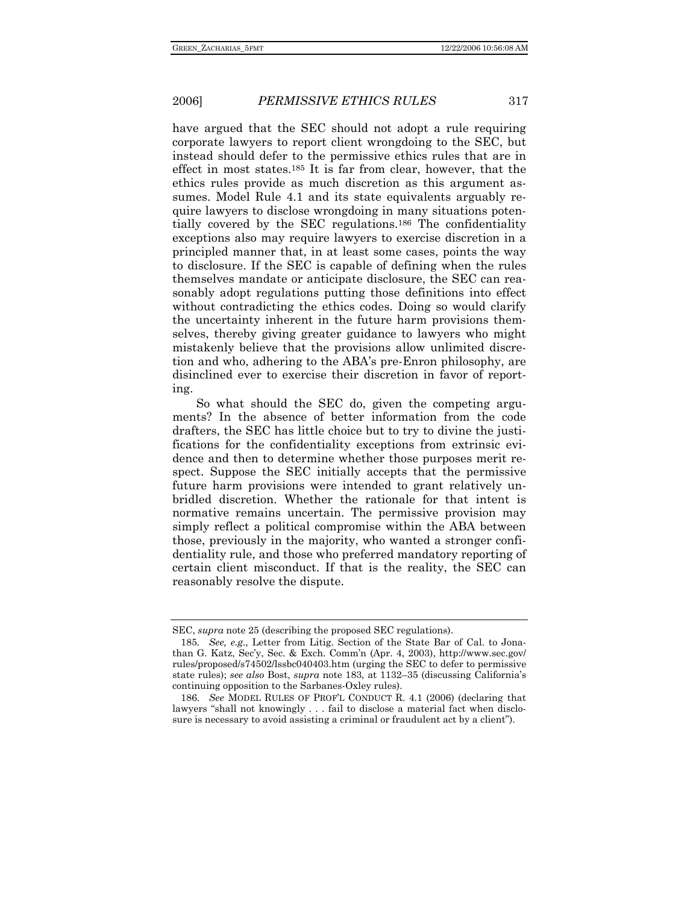have argued that the SEC should not adopt a rule requiring corporate lawyers to report client wrongdoing to the SEC, but instead should defer to the permissive ethics rules that are in effect in most states.185 It is far from clear, however, that the ethics rules provide as much discretion as this argument assumes. Model Rule 4.1 and its state equivalents arguably require lawyers to disclose wrongdoing in many situations potentially covered by the SEC regulations.186 The confidentiality exceptions also may require lawyers to exercise discretion in a principled manner that, in at least some cases, points the way to disclosure. If the SEC is capable of defining when the rules themselves mandate or anticipate disclosure, the SEC can reasonably adopt regulations putting those definitions into effect without contradicting the ethics codes. Doing so would clarify the uncertainty inherent in the future harm provisions themselves, thereby giving greater guidance to lawyers who might mistakenly believe that the provisions allow unlimited discretion and who, adhering to the ABA's pre-Enron philosophy, are disinclined ever to exercise their discretion in favor of reporting.

So what should the SEC do, given the competing arguments? In the absence of better information from the code drafters, the SEC has little choice but to try to divine the justifications for the confidentiality exceptions from extrinsic evidence and then to determine whether those purposes merit respect. Suppose the SEC initially accepts that the permissive future harm provisions were intended to grant relatively unbridled discretion. Whether the rationale for that intent is normative remains uncertain. The permissive provision may simply reflect a political compromise within the ABA between those, previously in the majority, who wanted a stronger confidentiality rule, and those who preferred mandatory reporting of certain client misconduct. If that is the reality, the SEC can reasonably resolve the dispute.

SEC, *supra* note 25 (describing the proposed SEC regulations).

<sup>185</sup>*. See, e.g.*, Letter from Litig. Section of the State Bar of Cal. to Jonathan G. Katz, Sec'y, Sec. & Exch. Comm'n (Apr. 4, 2003), http://www.sec.gov/ rules/proposed/s74502/lssbc040403.htm (urging the SEC to defer to permissive state rules); *see also* Bost, *supra* note 183, at 1132–35 (discussing California's continuing opposition to the Sarbanes-Oxley rules).

<sup>186</sup>*. See* MODEL RULES OF PROF'L CONDUCT R. 4.1 (2006) (declaring that lawyers "shall not knowingly . . . fail to disclose a material fact when disclosure is necessary to avoid assisting a criminal or fraudulent act by a client").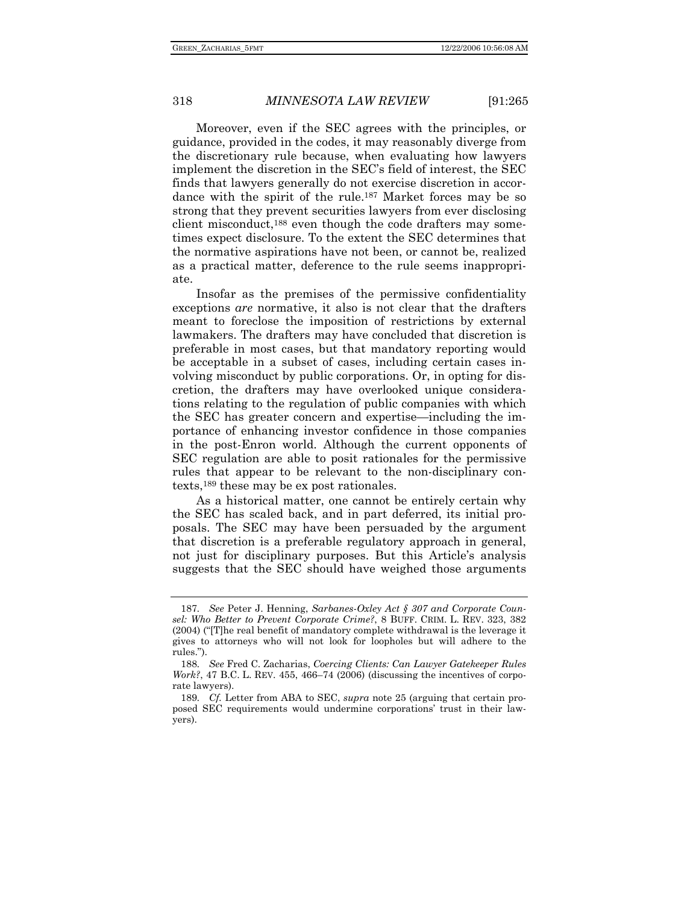Moreover, even if the SEC agrees with the principles, or guidance, provided in the codes, it may reasonably diverge from the discretionary rule because, when evaluating how lawyers implement the discretion in the SEC's field of interest, the SEC finds that lawyers generally do not exercise discretion in accordance with the spirit of the rule.187 Market forces may be so strong that they prevent securities lawyers from ever disclosing client misconduct,188 even though the code drafters may sometimes expect disclosure. To the extent the SEC determines that the normative aspirations have not been, or cannot be, realized as a practical matter, deference to the rule seems inappropriate.

Insofar as the premises of the permissive confidentiality exceptions *are* normative, it also is not clear that the drafters meant to foreclose the imposition of restrictions by external lawmakers. The drafters may have concluded that discretion is preferable in most cases, but that mandatory reporting would be acceptable in a subset of cases, including certain cases involving misconduct by public corporations. Or, in opting for discretion, the drafters may have overlooked unique considerations relating to the regulation of public companies with which the SEC has greater concern and expertise—including the importance of enhancing investor confidence in those companies in the post-Enron world. Although the current opponents of SEC regulation are able to posit rationales for the permissive rules that appear to be relevant to the non-disciplinary contexts,189 these may be ex post rationales.

As a historical matter, one cannot be entirely certain why the SEC has scaled back, and in part deferred, its initial proposals. The SEC may have been persuaded by the argument that discretion is a preferable regulatory approach in general, not just for disciplinary purposes. But this Article's analysis suggests that the SEC should have weighed those arguments

<sup>187</sup>*. See* Peter J. Henning, *Sarbanes-Oxley Act § 307 and Corporate Counsel: Who Better to Prevent Corporate Crime?*, 8 BUFF. CRIM. L. REV. 323, 382 (2004) ("[T]he real benefit of mandatory complete withdrawal is the leverage it gives to attorneys who will not look for loopholes but will adhere to the rules.").

<sup>188</sup>*. See* Fred C. Zacharias, *Coercing Clients: Can Lawyer Gatekeeper Rules Work?*, 47 B.C. L. REV. 455, 466–74 (2006) (discussing the incentives of corporate lawyers).

<sup>189</sup>*. Cf.* Letter from ABA to SEC, *supra* note 25 (arguing that certain proposed SEC requirements would undermine corporations' trust in their lawyers).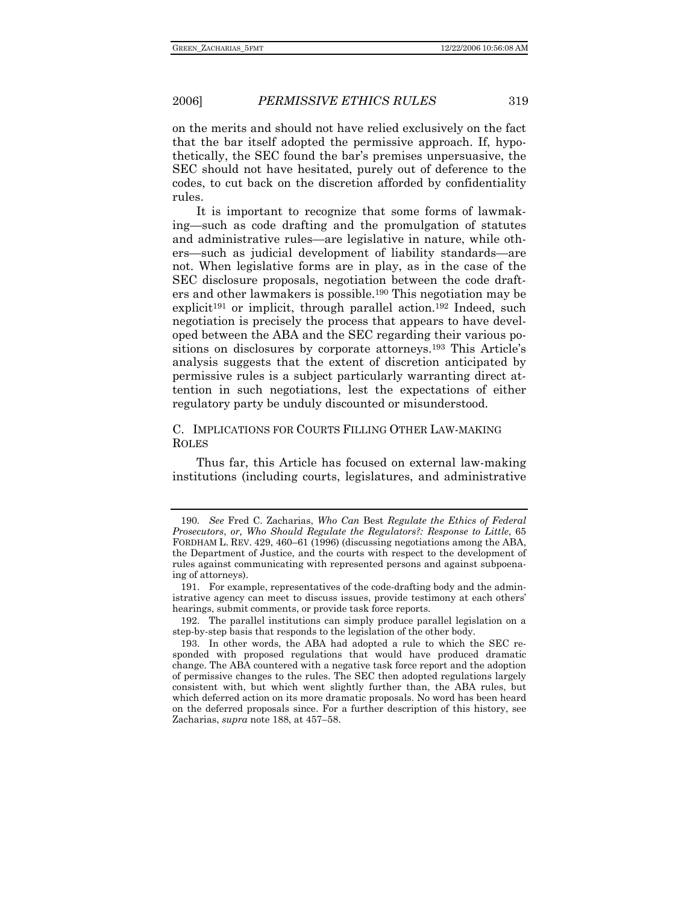on the merits and should not have relied exclusively on the fact that the bar itself adopted the permissive approach. If, hypothetically, the SEC found the bar's premises unpersuasive, the SEC should not have hesitated, purely out of deference to the codes, to cut back on the discretion afforded by confidentiality rules.

It is important to recognize that some forms of lawmaking—such as code drafting and the promulgation of statutes and administrative rules—are legislative in nature, while others—such as judicial development of liability standards—are not. When legislative forms are in play, as in the case of the SEC disclosure proposals, negotiation between the code drafters and other lawmakers is possible.190 This negotiation may be explicit<sup>191</sup> or implicit, through parallel action.<sup>192</sup> Indeed, such negotiation is precisely the process that appears to have developed between the ABA and the SEC regarding their various positions on disclosures by corporate attorneys.193 This Article's analysis suggests that the extent of discretion anticipated by permissive rules is a subject particularly warranting direct attention in such negotiations, lest the expectations of either regulatory party be unduly discounted or misunderstood.

C. IMPLICATIONS FOR COURTS FILLING OTHER LAW-MAKING ROLES

Thus far, this Article has focused on external law-making institutions (including courts, legislatures, and administrative

<sup>190</sup>*. See* Fred C. Zacharias, *Who Can* Best *Regulate the Ethics of Federal Prosecutors*, *or, Who Should Regulate the Regulators?: Response to Little*, 65 FORDHAM L. REV. 429, 460–61 (1996) (discussing negotiations among the ABA, the Department of Justice, and the courts with respect to the development of rules against communicating with represented persons and against subpoenaing of attorneys).

 <sup>191.</sup> For example, representatives of the code-drafting body and the administrative agency can meet to discuss issues, provide testimony at each others' hearings, submit comments, or provide task force reports.

 <sup>192.</sup> The parallel institutions can simply produce parallel legislation on a step-by-step basis that responds to the legislation of the other body.

 <sup>193.</sup> In other words, the ABA had adopted a rule to which the SEC responded with proposed regulations that would have produced dramatic change. The ABA countered with a negative task force report and the adoption of permissive changes to the rules. The SEC then adopted regulations largely consistent with, but which went slightly further than, the ABA rules, but which deferred action on its more dramatic proposals. No word has been heard on the deferred proposals since. For a further description of this history, see Zacharias, *supra* note 188, at 457–58.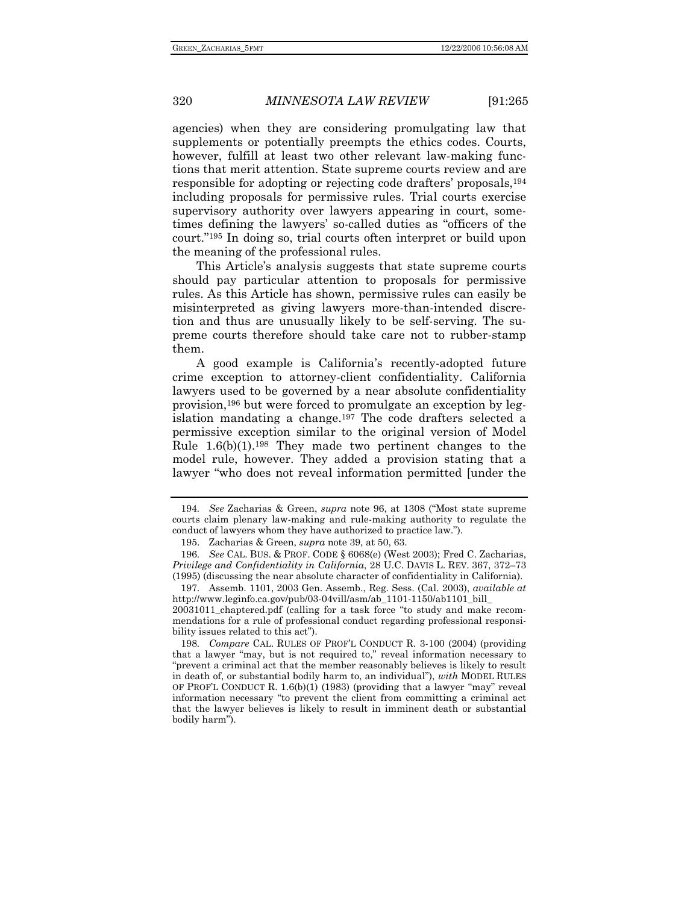agencies) when they are considering promulgating law that supplements or potentially preempts the ethics codes. Courts, however, fulfill at least two other relevant law-making functions that merit attention. State supreme courts review and are responsible for adopting or rejecting code drafters' proposals,194 including proposals for permissive rules. Trial courts exercise supervisory authority over lawyers appearing in court, sometimes defining the lawyers' so-called duties as "officers of the court."195 In doing so, trial courts often interpret or build upon the meaning of the professional rules.

This Article's analysis suggests that state supreme courts should pay particular attention to proposals for permissive rules. As this Article has shown, permissive rules can easily be misinterpreted as giving lawyers more-than-intended discretion and thus are unusually likely to be self-serving. The supreme courts therefore should take care not to rubber-stamp them.

A good example is California's recently-adopted future crime exception to attorney-client confidentiality. California lawyers used to be governed by a near absolute confidentiality provision,196 but were forced to promulgate an exception by legislation mandating a change.197 The code drafters selected a permissive exception similar to the original version of Model Rule  $1.6(b)(1).198$  They made two pertinent changes to the model rule, however. They added a provision stating that a lawyer "who does not reveal information permitted [under the

 197. Assemb. 1101, 2003 Gen. Assemb., Reg. Sess. (Cal. 2003), *available at*  http://www.leginfo.ca.gov/pub/03-04vill/asm/ab\_1101-1150/ab1101\_bill\_ 20031011\_chaptered.pdf (calling for a task force "to study and make recom-

mendations for a rule of professional conduct regarding professional responsibility issues related to this act").

198*. Compare* CAL. RULES OF PROF'L CONDUCT R. 3-100 (2004) (providing that a lawyer "may, but is not required to," reveal information necessary to "prevent a criminal act that the member reasonably believes is likely to result in death of, or substantial bodily harm to, an individual"), *with* MODEL RULES OF PROF'L CONDUCT R. 1.6(b)(1) (1983) (providing that a lawyer "may" reveal information necessary "to prevent the client from committing a criminal act that the lawyer believes is likely to result in imminent death or substantial bodily harm").

<sup>194</sup>*. See* Zacharias & Green, *supra* note 96, at 1308 ("Most state supreme courts claim plenary law-making and rule-making authority to regulate the conduct of lawyers whom they have authorized to practice law.").

 <sup>195.</sup> Zacharias & Green, *supra* note 39, at 50, 63.

<sup>196</sup>*. See* CAL. BUS. & PROF. CODE § 6068(e) (West 2003); Fred C. Zacharias, *Privilege and Confidentiality in California*, 28 U.C. DAVIS L. REV. 367, 372–73 (1995) (discussing the near absolute character of confidentiality in California).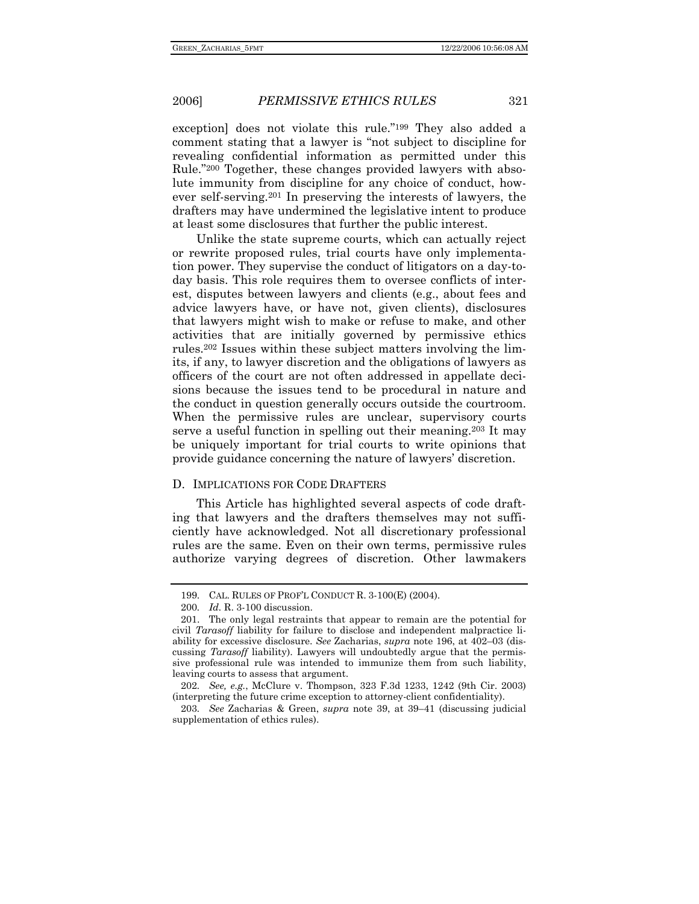exception] does not violate this rule."199 They also added a comment stating that a lawyer is "not subject to discipline for revealing confidential information as permitted under this Rule."200 Together, these changes provided lawyers with absolute immunity from discipline for any choice of conduct, however self-serving.201 In preserving the interests of lawyers, the drafters may have undermined the legislative intent to produce at least some disclosures that further the public interest.

Unlike the state supreme courts, which can actually reject or rewrite proposed rules, trial courts have only implementation power. They supervise the conduct of litigators on a day-today basis. This role requires them to oversee conflicts of interest, disputes between lawyers and clients (e.g., about fees and advice lawyers have, or have not, given clients), disclosures that lawyers might wish to make or refuse to make, and other activities that are initially governed by permissive ethics rules.202 Issues within these subject matters involving the limits, if any, to lawyer discretion and the obligations of lawyers as officers of the court are not often addressed in appellate decisions because the issues tend to be procedural in nature and the conduct in question generally occurs outside the courtroom. When the permissive rules are unclear, supervisory courts serve a useful function in spelling out their meaning.203 It may be uniquely important for trial courts to write opinions that provide guidance concerning the nature of lawyers' discretion.

### D. IMPLICATIONS FOR CODE DRAFTERS

This Article has highlighted several aspects of code drafting that lawyers and the drafters themselves may not sufficiently have acknowledged. Not all discretionary professional rules are the same. Even on their own terms, permissive rules authorize varying degrees of discretion. Other lawmakers

 <sup>199.</sup> CAL. RULES OF PROF'L CONDUCT R. 3-100(E) (2004).

<sup>200</sup>*. Id.* R. 3-100 discussion.

 <sup>201.</sup> The only legal restraints that appear to remain are the potential for civil *Tarasoff* liability for failure to disclose and independent malpractice liability for excessive disclosure. *See* Zacharias, *supra* note 196, at 402–03 (discussing *Tarasoff* liability). Lawyers will undoubtedly argue that the permissive professional rule was intended to immunize them from such liability, leaving courts to assess that argument.

<sup>202</sup>*. See, e.g.*, McClure v. Thompson, 323 F.3d 1233, 1242 (9th Cir. 2003) (interpreting the future crime exception to attorney-client confidentiality).

<sup>203</sup>*. See* Zacharias & Green, *supra* note 39, at 39–41 (discussing judicial supplementation of ethics rules).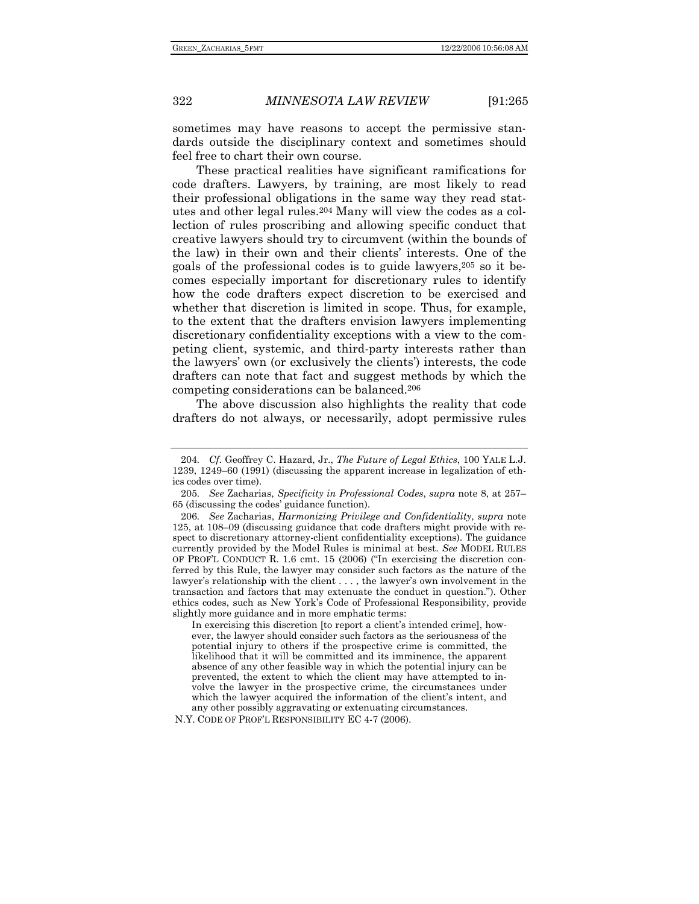sometimes may have reasons to accept the permissive standards outside the disciplinary context and sometimes should feel free to chart their own course.

These practical realities have significant ramifications for code drafters. Lawyers, by training, are most likely to read their professional obligations in the same way they read statutes and other legal rules.204 Many will view the codes as a collection of rules proscribing and allowing specific conduct that creative lawyers should try to circumvent (within the bounds of the law) in their own and their clients' interests. One of the goals of the professional codes is to guide lawyers,205 so it becomes especially important for discretionary rules to identify how the code drafters expect discretion to be exercised and whether that discretion is limited in scope. Thus, for example, to the extent that the drafters envision lawyers implementing discretionary confidentiality exceptions with a view to the competing client, systemic, and third-party interests rather than the lawyers' own (or exclusively the clients') interests, the code drafters can note that fact and suggest methods by which the competing considerations can be balanced.206

The above discussion also highlights the reality that code drafters do not always, or necessarily, adopt permissive rules

In exercising this discretion [to report a client's intended crime], however, the lawyer should consider such factors as the seriousness of the potential injury to others if the prospective crime is committed, the likelihood that it will be committed and its imminence, the apparent absence of any other feasible way in which the potential injury can be prevented, the extent to which the client may have attempted to involve the lawyer in the prospective crime, the circumstances under which the lawyer acquired the information of the client's intent, and any other possibly aggravating or extenuating circumstances.

N.Y. CODE OF PROF'L RESPONSIBILITY EC 4-7 (2006).

<sup>204</sup>*. Cf*. Geoffrey C. Hazard, Jr., *The Future of Legal Ethics*, 100 YALE L.J. 1239, 1249–60 (1991) (discussing the apparent increase in legalization of ethics codes over time).

<sup>205</sup>*. See* Zacharias, *Specificity in Professional Codes*, *supra* note 8, at 257– 65 (discussing the codes' guidance function).

<sup>206</sup>*. See* Zacharias, *Harmonizing Privilege and Confidentiality*, *supra* note 125, at 108–09 (discussing guidance that code drafters might provide with respect to discretionary attorney-client confidentiality exceptions). The guidance currently provided by the Model Rules is minimal at best. *See* MODEL RULES OF PROF'L CONDUCT R. 1.6 cmt. 15 (2006) ("In exercising the discretion conferred by this Rule, the lawyer may consider such factors as the nature of the lawyer's relationship with the client . . . , the lawyer's own involvement in the transaction and factors that may extenuate the conduct in question."). Other ethics codes, such as New York's Code of Professional Responsibility, provide slightly more guidance and in more emphatic terms: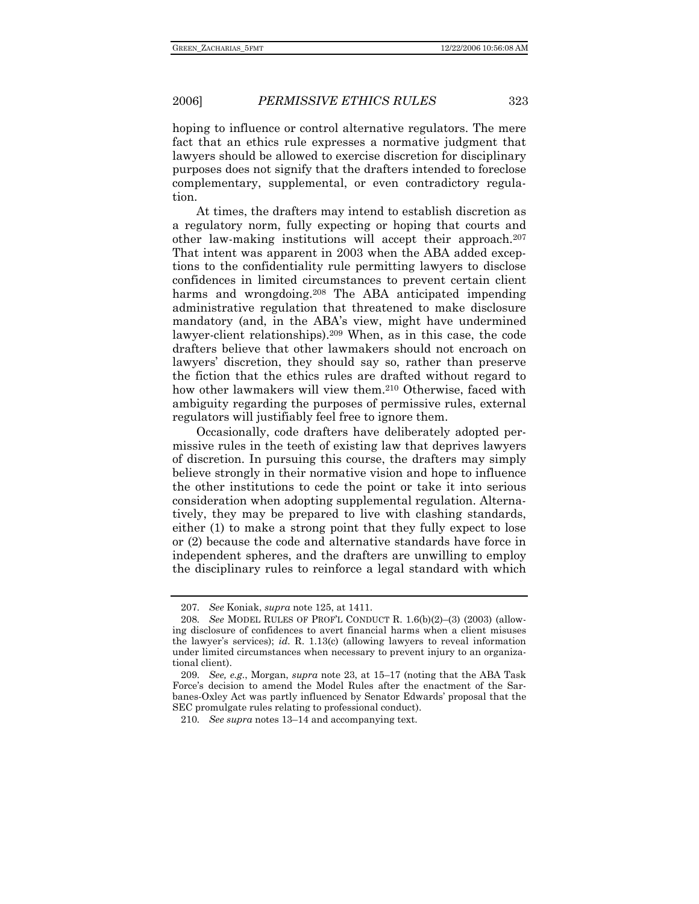hoping to influence or control alternative regulators. The mere fact that an ethics rule expresses a normative judgment that lawyers should be allowed to exercise discretion for disciplinary purposes does not signify that the drafters intended to foreclose complementary, supplemental, or even contradictory regulation.

At times, the drafters may intend to establish discretion as a regulatory norm, fully expecting or hoping that courts and other law-making institutions will accept their approach.207 That intent was apparent in 2003 when the ABA added exceptions to the confidentiality rule permitting lawyers to disclose confidences in limited circumstances to prevent certain client harms and wrongdoing.<sup>208</sup> The ABA anticipated impending administrative regulation that threatened to make disclosure mandatory (and, in the ABA's view, might have undermined lawyer-client relationships).209 When, as in this case, the code drafters believe that other lawmakers should not encroach on lawyers' discretion, they should say so, rather than preserve the fiction that the ethics rules are drafted without regard to how other lawmakers will view them.210 Otherwise, faced with ambiguity regarding the purposes of permissive rules, external regulators will justifiably feel free to ignore them.

Occasionally, code drafters have deliberately adopted permissive rules in the teeth of existing law that deprives lawyers of discretion. In pursuing this course, the drafters may simply believe strongly in their normative vision and hope to influence the other institutions to cede the point or take it into serious consideration when adopting supplemental regulation. Alternatively, they may be prepared to live with clashing standards, either (1) to make a strong point that they fully expect to lose or (2) because the code and alternative standards have force in independent spheres, and the drafters are unwilling to employ the disciplinary rules to reinforce a legal standard with which

<sup>207</sup>*. See* Koniak, *supra* note 125, at 1411.

<sup>208</sup>*. See* MODEL RULES OF PROF'L CONDUCT R. 1.6(b)(2)–(3) (2003) (allowing disclosure of confidences to avert financial harms when a client misuses the lawyer's services); *id.* R. 1.13(c) (allowing lawyers to reveal information under limited circumstances when necessary to prevent injury to an organizational client).

<sup>209</sup>*. See, e.g.*, Morgan, *supra* note 23, at 15–17 (noting that the ABA Task Force's decision to amend the Model Rules after the enactment of the Sarbanes-Oxley Act was partly influenced by Senator Edwards' proposal that the SEC promulgate rules relating to professional conduct).

<sup>210</sup>*. See supra* notes 13–14 and accompanying text.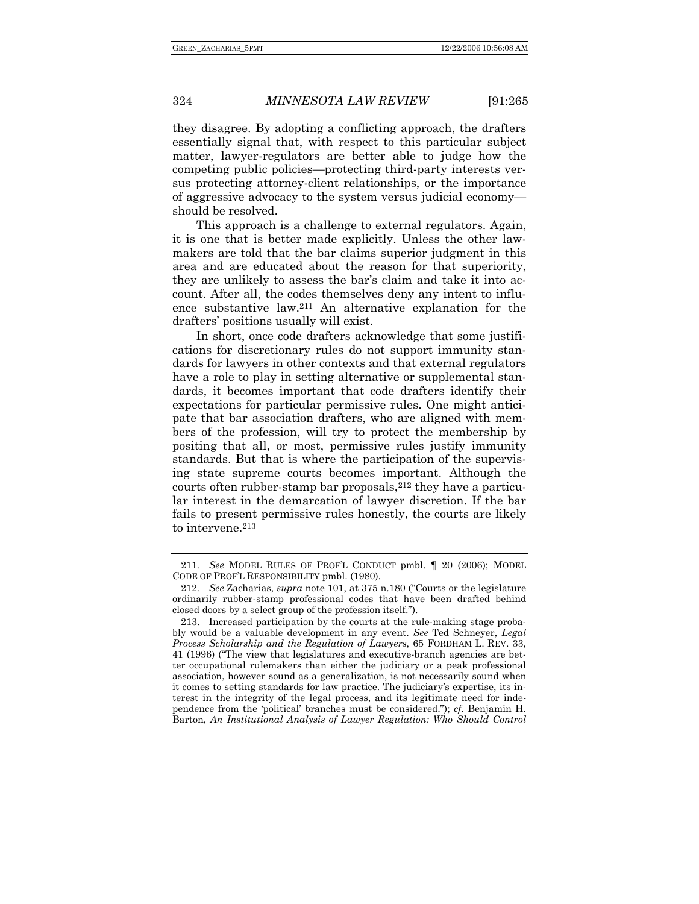they disagree. By adopting a conflicting approach, the drafters essentially signal that, with respect to this particular subject matter, lawyer-regulators are better able to judge how the competing public policies—protecting third-party interests versus protecting attorney-client relationships, or the importance of aggressive advocacy to the system versus judicial economy should be resolved.

This approach is a challenge to external regulators. Again, it is one that is better made explicitly. Unless the other lawmakers are told that the bar claims superior judgment in this area and are educated about the reason for that superiority, they are unlikely to assess the bar's claim and take it into account. After all, the codes themselves deny any intent to influence substantive law.211 An alternative explanation for the drafters' positions usually will exist.

In short, once code drafters acknowledge that some justifications for discretionary rules do not support immunity standards for lawyers in other contexts and that external regulators have a role to play in setting alternative or supplemental standards, it becomes important that code drafters identify their expectations for particular permissive rules. One might anticipate that bar association drafters, who are aligned with members of the profession, will try to protect the membership by positing that all, or most, permissive rules justify immunity standards. But that is where the participation of the supervising state supreme courts becomes important. Although the courts often rubber-stamp bar proposals,  $212$  they have a particular interest in the demarcation of lawyer discretion. If the bar fails to present permissive rules honestly, the courts are likely to intervene.<sup>213</sup>

<sup>211</sup>*. See* MODEL RULES OF PROF'L CONDUCT pmbl. ¶ 20 (2006); MODEL CODE OF PROF'L RESPONSIBILITY pmbl. (1980).

<sup>212</sup>*. See* Zacharias, *supra* note 101, at 375 n.180 ("Courts or the legislature ordinarily rubber-stamp professional codes that have been drafted behind closed doors by a select group of the profession itself.").

 <sup>213.</sup> Increased participation by the courts at the rule-making stage probably would be a valuable development in any event. *See* Ted Schneyer, *Legal Process Scholarship and the Regulation of Lawyers*, 65 FORDHAM L. REV. 33, 41 (1996) ("The view that legislatures and executive-branch agencies are better occupational rulemakers than either the judiciary or a peak professional association, however sound as a generalization, is not necessarily sound when it comes to setting standards for law practice. The judiciary's expertise, its interest in the integrity of the legal process, and its legitimate need for independence from the 'political' branches must be considered."); *cf.* Benjamin H. Barton, *An Institutional Analysis of Lawyer Regulation: Who Should Control*